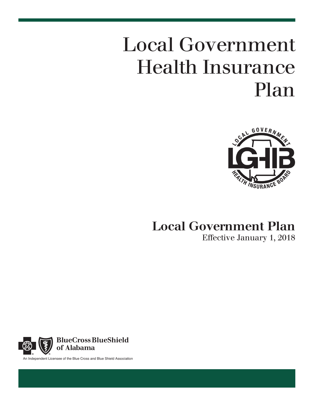# Local Government Health Insurance Plan



# Local Government Plan Effective January 1, 2018



An Independent Licensee of the Blue Cross and Blue Shield Association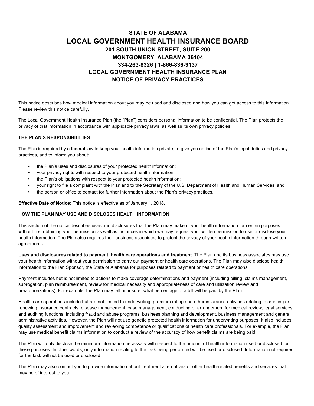# **STATE OF ALABAMA LOCAL GOVERNMENT HEALTH INSURANCE BOARD 201 SOUTH UNION STREET, SUITE 200 MONTGOMERY, ALABAMA 36104 334-263-8326 | 1-866-836-9137 LOCAL GOVERNMENT HEALTH INSURANCE PLAN NOTICE OF PRIVACY PRACTICES**

This notice describes how medical information about you may be used and disclosed and how you can get access to this information. Please review this notice carefully.

The Local Government Health Insurance Plan (the "Plan") considers personal information to be confidential. The Plan protects the privacy of that information in accordance with applicable privacy laws, as well as its own privacy policies.

#### **THE PLAN'S RESPONSIBILITIES**

The Plan is required by a federal law to keep your health information private, to give you notice of the Plan's legal duties and privacy practices, and to inform you about:

- the Plan's uses and disclosures of your protected healthinformation;
- your privacy rights with respect to your protected health information;
- the Plan's obligations with respect to your protected healthinformation;
- your right to file a complaint with the Plan and to the Secretary of the U.S. Department of Health and Human Services; and
- the person or office to contact for further information about the Plan's privacypractices.

**Effective Date of Notice:** This notice is effective as of January 1, 2018.

#### **HOW THE PLAN MAY USE AND DISCLOSES HEALTH INFORMATION**

This section of the notice describes uses and disclosures that the Plan may make of your health information for certain purposes without first obtaining your permission as well as instances in which we may request your written permission to use or disclose your health information. The Plan also requires their business associates to protect the privacy of your health information through written agreements.

**Uses and disclosures related to payment, health care operations and treatment**. The Plan and its business associates may use your health information without your permission to carry out payment or health care operations. The Plan may also disclose health information to the Plan Sponsor, the State of Alabama for purposes related to payment or health care operations.

Payment includes but is not limited to actions to make coverage determinations and payment (including billing, claims management, subrogation, plan reimbursement, review for medical necessity and appropriateness of care and utilization review and preauthorizations). For example, the Plan may tell an insurer what percentage of a bill will be paid by the Plan.

Health care operations include but are not limited to underwriting, premium rating and other insurance activities relating to creating or renewing insurance contracts, disease management, case management, conducting or arrangement for medical review, legal services and auditing functions, including fraud and abuse programs, business planning and development, business management and general administrative activities. However, the Plan will not use genetic protected health information for underwriting purposes. It also includes quality assessment and improvement and reviewing competence or qualifications of health care professionals. For example, the Plan may use medical benefit claims information to conduct a review of the accuracy of how benefit claims are being paid.

The Plan will only disclose the minimum information necessary with respect to the amount of health information used or disclosed for these purposes. In other words, only information relating to the task being performed will be used or disclosed. Information not required for the task will not be used or disclosed.

The Plan may also contact you to provide information about treatment alternatives or other health-related benefits and services that may be of interest to you.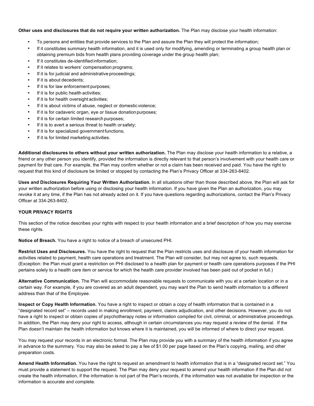#### **Other uses and disclosures that do not require your written authorization.** The Plan may disclose your health information:

- To persons and entities that provide services to the Plan and assure the Plan they will protect the information;
- If it constitutes summary health information, and it is used only for modifying, amending or terminating a group health plan or obtaining premium bids from health plans providing coverage under the group health plan;
- If it constitutes de-identified information:
- If it relates to workers' compensation programs;
- If it is for judicial and administrative proceedings;
- If it is about decedents:
- If it is for law enforcement purposes;
- If it is for public health activities;
- If it is for health oversight activities;
- If it is about victims of abuse, neglect or domestic violence;
- If it is for cadaveric organ, eye or tissue donation purposes;
- If it is for certain limited research purposes;
- If it is to avert a serious threat to health or safety;
- If it is for specialized government functions;
- If it is for limited marketing activities.

**Additional disclosures to others without your written authorization.** The Plan may disclose your health information to a relative, a friend or any other person you identify, provided the information is directly relevant to that person's involvement with your health care or payment for that care. For example, the Plan may confirm whether or not a claim has been received and paid. You have the right to request that this kind of disclosure be limited or stopped by contacting the Plan's Privacy Officer at 334-263-8402.

**Uses and Disclosures Requiring Your Written Authorization.** In all situations other than those described above, the Plan will ask for your written authorization before using or disclosing your health information. If you have given the Plan an authorization, you may revoke it at any time, if the Plan has not already acted on it. If you have questions regarding authorizations, contact the Plan's Privacy Officer at 334-263-8402.

#### **YOUR PRIVACY RIGHTS**

This section of the notice describes your rights with respect to your health information and a brief description of how you may exercise these rights.

**Notice of Breach.** You have a right to notice of a breach of unsecured PHI.

**Restrict Uses and Disclosures.** You have the right to request that the Plan restricts uses and disclosure of your health information for activities related to payment, health care operations and treatment. The Plan will consider, but may not agree to, such requests. (Exception: the Plan must grant a restriction on PHI disclosed to a health plan for payment or health care operations purposes if the PHI pertains solely to a health care item or service for which the health care provider involved has been paid out of pocket in full.)

**Alternative Communication.** The Plan will accommodate reasonable requests to communicate with you at a certain location or in a certain way. For example, if you are covered as an adult dependent, you may want the Plan to send health information to a different address than that of the Employee.

**Inspect or Copy Health Information.** You have a right to inspect or obtain a copy of health information that is contained in a "designated record set" – records used in making enrollment, payment, claims adjudication, and other decisions. However, you do not have a right to inspect or obtain copies of psychotherapy notes or information compiled for civil, criminal, or administrative proceedings. In addition, the Plan may deny your right to access, although in certain circumstances you may request a review of the denial. If the Plan doesn't maintain the health information but knows where it is maintained, you will be informed of where to direct your request.

You may request your records in an electronic format. The Plan may provide you with a summary of the health information if you agree in advance to the summary. You may also be asked to pay a fee of \$1.00 per page based on the Plan's copying, mailing, and other preparation costs.

**Amend Health Information.** You have the right to request an amendment to health information that is in a "designated record set." You must provide a statement to support the request. The Plan may deny your request to amend your health information if the Plan did not create the health information, if the information is not part of the Plan's records, if the information was not available for inspection or the information is accurate and complete.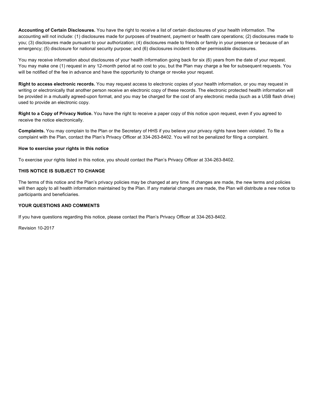**Accounting of Certain Disclosures.** You have the right to receive a list of certain disclosures of your health information. The accounting will not include: (1) disclosures made for purposes of treatment, payment or health care operations; (2) disclosures made to you; (3) disclosures made pursuant to your authorization; (4) disclosures made to friends or family in your presence or because of an emergency; (5) disclosure for national security purpose; and (6) disclosures incident to other permissible disclosures.

You may receive information about disclosures of your health information going back for six (6) years from the date of your request. You may make one (1) request in any 12-month period at no cost to you, but the Plan may charge a fee for subsequent requests. You will be notified of the fee in advance and have the opportunity to change or revoke your request.

**Right to access electronic records.** You may request access to electronic copies of your health information, or you may request in writing or electronically that another person receive an electronic copy of these records. The electronic protected health information will be provided in a mutually agreed-upon format, and you may be charged for the cost of any electronic media (such as a USB flash drive) used to provide an electronic copy.

**Right to a Copy of Privacy Notice.** You have the right to receive a paper copy of this notice upon request, even if you agreed to receive the notice electronically.

**Complaints.** You may complain to the Plan or the Secretary of HHS if you believe your privacy rights have been violated. To file a complaint with the Plan, contact the Plan's Privacy Officer at 334-263-8402. You will not be penalized for filing a complaint.

#### **How to exercise your rights in this notice**

To exercise your rights listed in this notice, you should contact the Plan's Privacy Officer at 334-263-8402.

#### **THIS NOTICE IS SUBJECT TO CHANGE**

The terms of this notice and the Plan's privacy policies may be changed at any time. If changes are made, the new terms and policies will then apply to all health information maintained by the Plan. If any material changes are made, the Plan will distribute a new notice to participants and beneficiaries.

#### **YOUR QUESTIONS AND COMMENTS**

If you have questions regarding this notice, please contact the Plan's Privacy Officer at 334-263-8402.

Revision 10-2017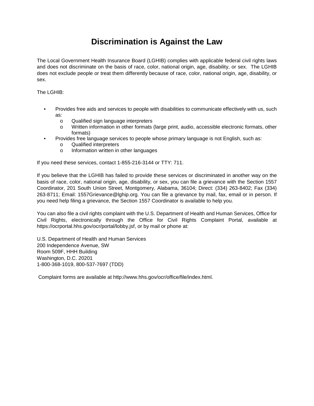# **Discrimination is Against the Law**

The Local Government Health Insurance Board (LGHIB) complies with applicable federal civil rights laws and does not discriminate on the basis of race, color, national origin, age, disability, or sex. The LGHIB does not exclude people or treat them differently because of race, color, national origin, age, disability, or sex.

The LGHIB:

- Provides free aids and services to people with disabilities to communicate effectively with us, such as:
	- o Qualified sign language interpreters
	- o Written information in other formats (large print, audio, accessible electronic formats, other formats)
- Provides free language services to people whose primary language is not English, such as:
	- o Qualified interpreters
	- o Information written in other languages

If you need these services, contact 1-855-216-3144 or TTY: 711.

If you believe that the LGHIB has failed to provide these services or discriminated in another way on the basis of race, color, national origin, age, disability, or sex, you can file a grievance with the Section 1557 Coordinator, 201 South Union Street, Montgomery, Alabama, 36104; Direct: (334) 263-8402; Fax (334) 263-8711; Email: 1557Grievance@lghip.org. You can file a grievance by mail, fax, email or in person. If you need help filing a grievance, the Section 1557 Coordinator is available to help you.

You can also file a civil rights complaint with the U.S. Department of Health and Human Services, Office for Civil Rights, electronically through the Office for Civil Rights Complaint Portal, available at https://ocrportal.hhs.gov/ocr/portal/lobby.jsf, or by mail or phone at:

U.S. Department of Health and Human Services 200 Independence Avenue, SW Room 509F, HHH Building Washington, D.C. 20201 1-800-368-1019, 800-537-7697 (TDD)

Complaint forms are available at http://www.hhs.gov/ocr/office/file/index.html.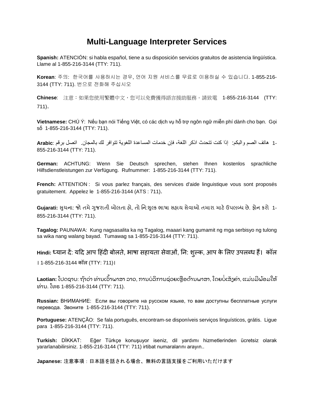# **Multi-Language Interpreter Services**

**Spanish:** ATENCIÓN: si habla español, tiene a su disposición servicios gratuitos de asistencia lingüística. Llame al 1-855-216-3144 (TTY: 711).

**Korean**: 주의: 한국어를 사용하시는 경우, 언어 지원 서비스를 무료로 이용하실 수 있습니다. 1-855-216- 3144 (TTY: 711). 번으로 전화해 주십시오

**Chinese**: 注意:如果您使用繁體中文,您可以免費獲得語言援助服務。請致電 1-855-216-3144 (TTY: 711)。

**Vietnamese:** CHÚ Ý: Nếu bạn nói Tiếng Việt, có các dịch vụ hỗ trợ ngôn ngữ miễn phí dành cho bạn. Gọi số 1-855-216-3144 (TTY: 711).

1- ھاتف الصم والبكم: إذا كنت تتحدث اذكر اللغة، فإن خدمات المساعدة اللغویة تتوافر لك بالمجان. اتصل برقم :**Arabic** 855-216-3144 (TTY: 711).

**German:** ACHTUNG: Wenn Sie Deutsch sprechen, stehen Ihnen kostenlos sprachliche Hilfsdienstleistungen zur Verfügung. Rufnummer: 1-855-216-3144 (TTY: 711).

**French:** ATTENTION : Si vous parlez français, des services d'aide linguistique vous sont proposés gratuitement. Appelez le 1-855-216-3144 (ATS : 711).

Gujarati: સુચના: જો તમે ગુજરાતી બોલતા હો, તો નિ:શુલ્ક ભાષા સહાય સેવાઓ તમારા માટે ઉપલબ્ધ છે. ફોન કરો 1-855-216-3144 (TTY: 711).

**Tagalog:** PAUNAWA: Kung nagsasalita ka ng Tagalog, maaari kang gumamit ng mga serbisyo ng tulong sa wika nang walang bayad. Tumawag sa 1-855-216-3144 (TTY: 711).

Hindi: ध्यान दे: यदि आप हिंदी बोलते, भाषा सहायता सेवाओं, नि: शुल्क, आप के लिए उपलब्ध है। कॉल । 1-855-216-3144 कॉल (TTY: 711)।

**Laotian: ໂປດຊາບ: ຖ້າວ່າ ທ່ານເວົາພາສາ ລາວ, ການບໍລິການຊ່ວຍເຫຼືອດ້ານພາສາ, ໂດຍບໍ່ເສັງຄ່າ, ແມ່ນມີພ້ອມໃຫ້** ທ່ ານ. ໂທຣ 1-855-216-3144 (TTY: 711).

**Russian:** ВНИМАНИЕ: Если вы говорите на русском языке, то вам доступны бесплатные услуги перевода. Звоните 1-855-216-3144 (TTY: 711).

**Portuguese:** ATENÇÃO: Se fala português, encontram-se disponíveis serviços linguísticos, grátis. Ligue para 1-855-216-3144 (TTY: 711).

**Turkish:** DİKKAT: Eğer Türkçe konuşuyor iseniz, dil yardımı hizmetlerinden ücretsiz olarak yararlanabilirsiniz. 1-855-216-3144 (TTY: 711) irtibat numaralarını arayın..

**Japanese:** 注意事項:日本語を話される場合、無料の言語支援をご利用いただけます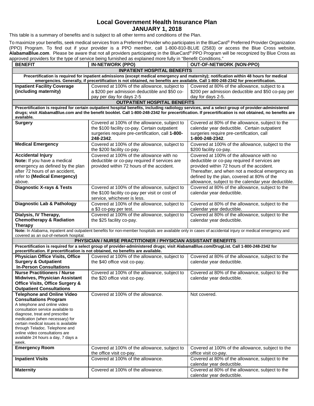# **Local Government Health Insurance Plan JANUARY 1, 2018**

This table is a summary of benefits and is subject to all other terms and conditions of the Plan.

To maximize your benefits, seek medical services from a Preferred Provider who participates in the BlueCard® Preferred Provider Organization (PPO) Program. To find out if your provider is a PPO member, call 1-800-810-BLUE (2583) or access the Blue Cross website, **AlabamaBlue.com**. Please be aware that not all providers participating in the BlueCard® PPO Program will be recognized by Blue Cross as approved providers for the type of service being furnished as explained more fully in "Benefit Conditions."

| <b>BENEFIT</b>                                                        | proved providers for the type of service being farmanca as explained more rany in "Benein Conditions."<br><b>IN-NETWORK (PPO)</b>       | <b>OUT-OF-NETWORK (NON-PPO)</b>                                                                                                                        |  |
|-----------------------------------------------------------------------|-----------------------------------------------------------------------------------------------------------------------------------------|--------------------------------------------------------------------------------------------------------------------------------------------------------|--|
| <b>INPATIENT HOSPITAL BENEFITS</b>                                    |                                                                                                                                         |                                                                                                                                                        |  |
|                                                                       |                                                                                                                                         | Precertification is required for inpatient admissions (except medical emergency and maternity); notification within 48 hours for medical               |  |
| <b>Inpatient Facility Coverage</b>                                    | emergencies. Generally, if precertification is not obtained, no benefits are available. Call 1-800-248-2342 for precertification.       | Covered at 80% of the allowance, subject to a                                                                                                          |  |
| (including maternity)                                                 | Covered at 100% of the allowance, subject to<br>a \$200 per admission deductible and \$50 co-                                           | \$200 per admission deductible and \$50 co-pay per                                                                                                     |  |
|                                                                       | pay per day for days 2-5                                                                                                                | day for days 2-5.                                                                                                                                      |  |
|                                                                       | <b>OUTPATIENT HOSPITAL BENEFITS</b>                                                                                                     |                                                                                                                                                        |  |
|                                                                       |                                                                                                                                         | Precertification is required for certain outpatient hospital benefits, including radiology services, and a select group of provider-administered       |  |
| available.                                                            |                                                                                                                                         | drugs; visit AlabamaBlue.com and the benefit booklet. Call 1-800-248-2342 for precertification. If precertification is not obtained, no benefits are   |  |
| <b>Surgery</b>                                                        | Covered at 100% of the allowance, subject to                                                                                            | Covered at 80% of the allowance, subject to the                                                                                                        |  |
|                                                                       | the \$100 facility co-pay. Certain outpatient                                                                                           | calendar year deductible. Certain outpatient                                                                                                           |  |
|                                                                       | surgeries require pre-certification, call 1-800-                                                                                        | surgeries require pre-certification, call                                                                                                              |  |
|                                                                       | 248-2342.                                                                                                                               | 1-800-248-2342.                                                                                                                                        |  |
| <b>Medical Emergency</b>                                              | Covered at 100% of the allowance, subject to                                                                                            | Covered at 100% of the allowance, subject to the                                                                                                       |  |
|                                                                       | the \$200 facility co-pay.                                                                                                              | \$200 facility co-pay.                                                                                                                                 |  |
| <b>Accidental Injury</b>                                              | Covered at 100% of the allowance with no                                                                                                | Covered at 100% of the allowance with no                                                                                                               |  |
| Note: If you have a medical<br>emergency as defined by the plan       | deductible or co-pay required if services are<br>provided within 72 hours of the accident.                                              | deductible or co-pay required if services are<br>provided within 72 hours of the accident.                                                             |  |
| after 72 hours of an accident,                                        |                                                                                                                                         | Thereafter, and when not a medical emergency as                                                                                                        |  |
| refer to (Medical Emergency)                                          |                                                                                                                                         | defined by the plan, covered at 80% of the                                                                                                             |  |
| above.                                                                |                                                                                                                                         | allowance, subject to the calendar year deductible.                                                                                                    |  |
| <b>Diagnostic X-rays &amp; Tests</b>                                  | Covered at 100% of the allowance, subject to                                                                                            | Covered at 80% of the allowance, subject to the                                                                                                        |  |
|                                                                       | the \$100 facility co-pay per visit or cost of                                                                                          | calendar year deductible.                                                                                                                              |  |
|                                                                       | service, whichever is less.                                                                                                             |                                                                                                                                                        |  |
| <b>Diagnostic Lab &amp; Pathology</b>                                 | Covered at 100% of the allowance, subject to<br>a \$3 co-pay per test.                                                                  | Covered at 80% of the allowance, subject to the<br>calendar year deductible.                                                                           |  |
| Dialysis, IV Therapy,                                                 | Covered at 100% of the allowance, subject to                                                                                            | Covered at 80% of the allowance, subject to the                                                                                                        |  |
| <b>Chemotherapy &amp; Radiation</b>                                   | the \$25 facility co-pay.                                                                                                               | calendar year deductible.                                                                                                                              |  |
| Therapy                                                               |                                                                                                                                         |                                                                                                                                                        |  |
|                                                                       |                                                                                                                                         | Note: In Alabama, inpatient and outpatient benefits for non-member hospitals are available only in cases of accidental injury or medical emergency and |  |
| covered as an out-of-network hospital.                                | PHYSICIAN / NURSE PRACTITIONER / PHYSICIAN ASSISTANT BENEFITS                                                                           |                                                                                                                                                        |  |
|                                                                       | Precertification is required for a select group of provider-administered drugs; visit AlabamaBlue.com/DrugList. Call 1-800-248-2342 for |                                                                                                                                                        |  |
|                                                                       | precertification. If precertification is not obtained, no benefits are available.                                                       |                                                                                                                                                        |  |
| <b>Physician Office Visits, Office</b>                                | Covered at 100% of the allowance, subject to                                                                                            | Covered at 80% of the allowance, subject to the                                                                                                        |  |
| <b>Surgery &amp; Outpatient</b><br><b>In-Person Consultations</b>     | the \$40 office visit co-pay.                                                                                                           | calendar year deductible.                                                                                                                              |  |
| <b>Nurse Practitioners / Nurse</b>                                    | Covered at 100% of the allowance, subject to                                                                                            | Covered at 80% of the allowance, subject to the                                                                                                        |  |
| <b>Midwives, Physician Assistant</b>                                  | the \$20 office visit co-pay.                                                                                                           | calendar year deductible.                                                                                                                              |  |
| <b>Office Visits, Office Surgery &amp;</b>                            |                                                                                                                                         |                                                                                                                                                        |  |
| <b>Outpatient Consultations</b>                                       |                                                                                                                                         |                                                                                                                                                        |  |
| <b>Telephone and Online Video</b>                                     | Covered at 100% of the allowance.                                                                                                       | Not covered.                                                                                                                                           |  |
| <b>Consultations Program</b>                                          |                                                                                                                                         |                                                                                                                                                        |  |
| A telephone and online video<br>consultation service available to     |                                                                                                                                         |                                                                                                                                                        |  |
| diagnose, treat and prescribe                                         |                                                                                                                                         |                                                                                                                                                        |  |
| medication (when necessary) for                                       |                                                                                                                                         |                                                                                                                                                        |  |
| certain medical issues is available<br>through Teladoc. Telephone and |                                                                                                                                         |                                                                                                                                                        |  |
| online video consultations are                                        |                                                                                                                                         |                                                                                                                                                        |  |
| available 24 hours a day, 7 days a                                    |                                                                                                                                         |                                                                                                                                                        |  |
| week.<br><b>Emergency Room</b>                                        |                                                                                                                                         | Covered at 100% of the allowance, subject to the                                                                                                       |  |
|                                                                       | Covered at 100% of the allowance, subject to<br>the office visit co-pay.                                                                | office visit co-pay.                                                                                                                                   |  |
| <b>Inpatient Visits</b>                                               | Covered at 100% of the allowance.                                                                                                       | Covered at 80% of the allowance, subject to the                                                                                                        |  |
|                                                                       |                                                                                                                                         | calendar year deductible.                                                                                                                              |  |
| <b>Maternity</b>                                                      | Covered at 100% of the allowance.                                                                                                       | Covered at 80% of the allowance, subject to the                                                                                                        |  |
|                                                                       |                                                                                                                                         | calendar year deductible.                                                                                                                              |  |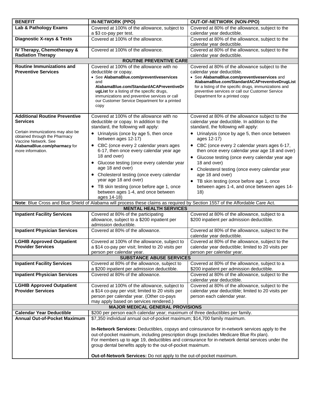| <b>BENEFIT</b>                                               | <b>IN-NETWORK (PPO)</b>                                                                                                       | <b>OUT-OF-NETWORK (NON-PPO)</b>                                                                       |  |
|--------------------------------------------------------------|-------------------------------------------------------------------------------------------------------------------------------|-------------------------------------------------------------------------------------------------------|--|
| Lab & Pathology Exams                                        | Covered at 100% of the allowance, subject to<br>a \$3 co-pay per test.                                                        | Covered at 80% of the allowance, subject to the<br>calendar year deductible.                          |  |
| <b>Diagnostic X-rays &amp; Tests</b>                         | Covered at 100% of the allowance.                                                                                             | Covered at 80% of the allowance, subject to the                                                       |  |
|                                                              |                                                                                                                               | calendar year deductible.                                                                             |  |
| IV Therapy, Chemotherapy &<br><b>Radiation Therapy</b>       | Covered at 100% of the allowance.                                                                                             | Covered at 80% of the allowance, subject to the<br>calendar year deductible.                          |  |
|                                                              | <b>ROUTINE PREVENTIVE CARE</b>                                                                                                |                                                                                                       |  |
| <b>Routine Immunizations and</b>                             | Covered at 100% of the allowance with no                                                                                      | Covered at 80% of the allowance subject to the                                                        |  |
| <b>Preventive Services</b>                                   | deductible or copay.                                                                                                          | calendar year deductible.                                                                             |  |
|                                                              | • See AlabamaBlue.com/preventiveservices<br>and                                                                               | • See AlabamaBlue.com/preventiveservices and<br>AlabamaBlue.com/StandardACAPreventiveDrugList         |  |
|                                                              | AlabamaBlue.com/StandardACAPreventiveDr                                                                                       | for a listing of the specific drugs, immunizations and                                                |  |
|                                                              | ugList for a listing of the specific drugs,                                                                                   | preventive services or call our Customer Service                                                      |  |
|                                                              | immunizations and preventive services or call<br>our Customer Service Department for a printed                                | Department for a printed copy                                                                         |  |
|                                                              | copy                                                                                                                          |                                                                                                       |  |
|                                                              |                                                                                                                               |                                                                                                       |  |
| <b>Additional Routine Preventive</b>                         | Covered at 100% of the allowance with no                                                                                      | Covered at 80% of the allowance subject to the                                                        |  |
| <b>Services</b>                                              | deductible or copay. In addition to the<br>standard, the following will apply:                                                | calendar year deductible. In addition to the<br>standard, the following will apply:                   |  |
| Certain immunizations may also be                            | • Urinalysis (once by age 5, then once                                                                                        | • Urinalysis (once by age 5, then once between                                                        |  |
| obtained through the Pharmacy<br>Vaccine Network. See        | between ages 12-17)                                                                                                           | ages 12-17)                                                                                           |  |
| AlabamaBlue.com/pharmacy for<br>more information.            | • CBC (once every 2 calendar years ages<br>6-17, then once every calendar year age                                            | • CBC (once every 2 calendar years ages 6-17,<br>then once every calendar year age 18 and over)       |  |
|                                                              | 18 and over)                                                                                                                  | • Glucose testing (once every calendar year age                                                       |  |
|                                                              | • Glucose testing (once every calendar year                                                                                   | 18 and over)                                                                                          |  |
|                                                              | age 18 and over)                                                                                                              | • Cholesterol testing (once every calendar year                                                       |  |
|                                                              | • Cholesterol testing (once every calendar                                                                                    | age 18 and over)                                                                                      |  |
|                                                              | year age 18 and over)<br>• TB skin testing (once before age 1, once                                                           | • TB skin testing (once before age 1, once<br>between ages 1-4, and once between ages 14-             |  |
|                                                              | between ages 1-4, and once between                                                                                            | 18)                                                                                                   |  |
|                                                              | ages 14-18)                                                                                                                   |                                                                                                       |  |
|                                                              | Note: Blue Cross and Blue Shield of Alabama will process these claims as required by Section 1557 of the Affordable Care Act. |                                                                                                       |  |
|                                                              | <b>MENTAL HEALTH SERVICES</b>                                                                                                 |                                                                                                       |  |
| <b>Inpatient Facility Services</b>                           | Covered at 80% of the participating<br>allowance, subject to a \$200 inpatient per                                            | Covered at 80% of the allowance, subject to a<br>\$200 inpatient per admission deductible.            |  |
|                                                              | admission deductible.                                                                                                         |                                                                                                       |  |
| <b>Inpatient Physician Services</b>                          | Covered at 80% of the allowance.                                                                                              | Covered at 80% of the allowance, subject to the                                                       |  |
| <b>LGHIB Approved Outpatient</b>                             | Covered at 100% of the allowance, subject to                                                                                  | calendar year deductible.<br>Covered at 80% of the allowance, subject to the                          |  |
| <b>Provider Services</b>                                     | a \$14 co-pay per visit; limited to 20 visits per                                                                             | calendar year deductible; limited to 20 visits per                                                    |  |
|                                                              | person per calendar year.                                                                                                     | person per calendar year.                                                                             |  |
|                                                              | <b>SUBSTANCE ABUSE SERVICES</b>                                                                                               |                                                                                                       |  |
| <b>Inpatient Facility Services</b>                           | Covered at 80% of the allowance, subject to<br>a \$200 inpatient per admission deductible.                                    | Covered at 80% of the allowance, subject to a<br>\$200 inpatient per admission deductible.            |  |
| <b>Inpatient Physician Services</b>                          | Covered at 80% of the allowance.                                                                                              | Covered at 80% of the allowance, subject to the                                                       |  |
|                                                              |                                                                                                                               | calendar year deductible.                                                                             |  |
| <b>LGHIB Approved Outpatient</b><br><b>Provider Services</b> | Covered at 100% of the allowance, subject to<br>a \$14 co-pay per visit; limited to 20 visits per                             | Covered at 80% of the allowance, subject to the<br>calendar year deductible; limited to 20 visits per |  |
|                                                              | person per calendar year. (Other co-pays                                                                                      | person each calendar year.                                                                            |  |
|                                                              | may apply based on services rendered.)                                                                                        |                                                                                                       |  |
| <b>MAJOR MEDICAL GENERAL PROVISIONS</b>                      |                                                                                                                               |                                                                                                       |  |
| <b>Calendar Year Deductible</b>                              | \$200 per person each calendar year; maximum of three deductibles per family.                                                 |                                                                                                       |  |
| <b>Annual Out-of-Pocket Maximum</b>                          | \$7,350 individual annual out-of-pocket maximum; \$14,700 family maximum.                                                     |                                                                                                       |  |
|                                                              |                                                                                                                               | In-Network Services: Deductibles, copays and coinsurance for in-network services apply to the         |  |
|                                                              | out-of-pocket maximum, including prescription drugs (excludes Medicare Blue Rx plan).                                         |                                                                                                       |  |
|                                                              |                                                                                                                               | For members up to age 19, deductibles and coinsurance for in-network dental services under the        |  |
|                                                              | group dental benefits apply to the out-of-pocket maximum.                                                                     |                                                                                                       |  |
|                                                              | Out-of-Network Services: Do not apply to the out-of-pocket maximum.                                                           |                                                                                                       |  |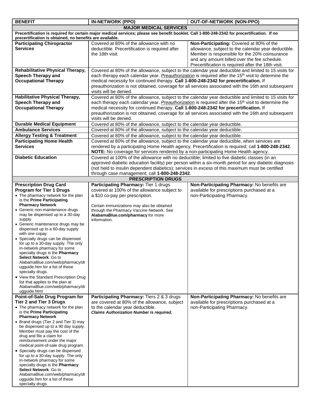| <b>BENEFIT</b>                                                                                                                                                                                                                                                                                                                                                                                                                                                                                                                                                                                                                                                                                                                                 | <b>IN-NETWORK (PPO)</b>                                                                                                                                                                                                                                                                 | <b>OUT-OF-NETWORK (NON-PPO)</b>                                                                                                                                                                                                                                                                                                 |
|------------------------------------------------------------------------------------------------------------------------------------------------------------------------------------------------------------------------------------------------------------------------------------------------------------------------------------------------------------------------------------------------------------------------------------------------------------------------------------------------------------------------------------------------------------------------------------------------------------------------------------------------------------------------------------------------------------------------------------------------|-----------------------------------------------------------------------------------------------------------------------------------------------------------------------------------------------------------------------------------------------------------------------------------------|---------------------------------------------------------------------------------------------------------------------------------------------------------------------------------------------------------------------------------------------------------------------------------------------------------------------------------|
|                                                                                                                                                                                                                                                                                                                                                                                                                                                                                                                                                                                                                                                                                                                                                | <b>MAJOR MEDICAL SERVICES</b>                                                                                                                                                                                                                                                           |                                                                                                                                                                                                                                                                                                                                 |
| precertification is obtained, no benefits are available.                                                                                                                                                                                                                                                                                                                                                                                                                                                                                                                                                                                                                                                                                       | Precertification is required for certain major medical services; please see benefit booklet. Call 1-800-248-2342 for precertification. If no                                                                                                                                            |                                                                                                                                                                                                                                                                                                                                 |
| <b>Participating Chiropractor</b><br><b>Services</b>                                                                                                                                                                                                                                                                                                                                                                                                                                                                                                                                                                                                                                                                                           | Covered at 80% of the allowance with no<br>deductible. Precertification is required after<br>the 18th visit.                                                                                                                                                                            | Non-Participating: Covered at 80% of the<br>allowance, subject to the calendar year deductible.<br>Member is responsible for the 20% coinsurance<br>and any amount billed over the fee schedule.<br>Precertification is required after the 18th visit.                                                                          |
| Rehabilitative Physical Therapy,                                                                                                                                                                                                                                                                                                                                                                                                                                                                                                                                                                                                                                                                                                               |                                                                                                                                                                                                                                                                                         | Covered at 80% of the allowance, subject to the calendar year deductible and limited to 15 visits for                                                                                                                                                                                                                           |
| <b>Speech Therapy and</b><br><b>Occupational Therapy</b>                                                                                                                                                                                                                                                                                                                                                                                                                                                                                                                                                                                                                                                                                       | medical necessity for continued therapy. Call 1-800-248-2342 for precertification. If<br>visits will be denied.                                                                                                                                                                         | each therapy each calendar year. Preauthorization is required after the 15 <sup>th</sup> visit to determine the<br>preauthorization is not obtained, coverage for all services associated with the 16th and subsequent                                                                                                          |
| <b>Habilitative Physical Therapy,</b><br>Speech Therapy and<br><b>Occupational Therapy</b>                                                                                                                                                                                                                                                                                                                                                                                                                                                                                                                                                                                                                                                     | medical necessity for continued therapy. Call 1-800-248-2342 for precertification. If<br>visits will be denied.                                                                                                                                                                         | Covered at 80% of the allowance, subject to the calendar year deductible and limited to 15 visits for<br>each therapy each calendar year. Preauthorization is required after the 15 <sup>th</sup> visit to determine the<br>preauthorization is not obtained, coverage for all services associated with the 16th and subsequent |
| <b>Durable Medical Equipment</b>                                                                                                                                                                                                                                                                                                                                                                                                                                                                                                                                                                                                                                                                                                               | Covered at 80% of the allowance, subject to the calendar year deductible.                                                                                                                                                                                                               |                                                                                                                                                                                                                                                                                                                                 |
| <b>Ambulance Services</b>                                                                                                                                                                                                                                                                                                                                                                                                                                                                                                                                                                                                                                                                                                                      | Covered at 80% of the allowance, subject to the calendar year deductible.                                                                                                                                                                                                               |                                                                                                                                                                                                                                                                                                                                 |
| <b>Allergy Testing &amp; Treatment</b>                                                                                                                                                                                                                                                                                                                                                                                                                                                                                                                                                                                                                                                                                                         | Covered at 80% of the allowance, subject to the calendar year deductible.                                                                                                                                                                                                               |                                                                                                                                                                                                                                                                                                                                 |
| <b>Participating Home Health</b><br><b>Services</b>                                                                                                                                                                                                                                                                                                                                                                                                                                                                                                                                                                                                                                                                                            | Covered at 80% of the allowance, subject to the calendar year deductible, when services are<br>rendered by a participating Home Health agency; Precertification is required; call 1-800-248-2342.<br>NOTE: No coverage for services rendered by a non-participating Home Health agency. |                                                                                                                                                                                                                                                                                                                                 |
| <b>Diabetic Education</b>                                                                                                                                                                                                                                                                                                                                                                                                                                                                                                                                                                                                                                                                                                                      | Covered at 100% of the allowance with no deductible; limited to five diabetic classes (in an<br>(not held to insulin dependent diabetics); services in excess of this maximum must be certified<br>through case management; call 1-800-248-2342.                                        | approved diabetic education facility) per person within a six-month period for any diabetic diagnosis                                                                                                                                                                                                                           |
|                                                                                                                                                                                                                                                                                                                                                                                                                                                                                                                                                                                                                                                                                                                                                | <b>PRESCRIPTION DRUGS</b>                                                                                                                                                                                                                                                               |                                                                                                                                                                                                                                                                                                                                 |
| <b>Prescription Drug Card</b><br><b>Program for Tier 1 Drugs</b><br>• The pharmacy network for the plan<br>is the Prime Participating<br><b>Pharmacy Network</b><br>• Generic non-maintenance drugs<br>may be dispensed up to a 30-day<br>supply<br>• Generic maintenance drugs may be<br>dispensed up to a 60-day supply<br>with one copay<br>• Specialty drugs can be dispensed<br>for up to a 30-day supply. The only<br>in-network pharmacy for some<br>specialty drugs is the Pharmacy<br>Select Network. Go to<br>AlabamaBlue.com/web/pharmacy/dr<br>ugguide.htm for a list of these<br>specialty drugs.<br>• View the Standard Prescription Drug<br>list that applies to the plan at<br>AlabamaBlue.com/web/pharmacy/dr<br>ugguide.html | Participating Pharmacy: Tier 1 drugs<br>covered at 100% of the allowance subject to<br>a \$10 co-pay per prescription.<br>Certain immunizations may also be obtained<br>through the Pharmacy Vaccine Network. See<br>AlabamaBlue.com/pharmacy for more<br>information.                  | Non-Participating Pharmacy: No benefits are<br>available for prescriptions purchased at a<br>non-Participating Pharmacy.                                                                                                                                                                                                        |
| Point-of-Sale Drug Program for<br><b>Tier 2 and Tier 3 Drugs</b><br>• The pharmacy network for the plan<br>is the Prime Participating<br><b>Pharmacy Network</b><br>• Brand drugs (Tier 2 and Tier 3) may<br>be dispensed up to a 90 day supply.<br>Member must pay the cost of the<br>drug and file a claim for<br>reimbursement under the major<br>medical point-of-sale drug program.<br>• Specialty drugs can be dispensed<br>for up to a 30-day supply. The only<br>in-network pharmacy for some<br>specialty drugs is the Pharmacy<br>Select Network. Go to<br>AlabamaBlue.com/web/pharmacy/dr<br>ugguide.htm for a list of these<br>specialty drugs.                                                                                    | Participating Pharmacy: Tiers 2 & 3 drugs<br>are covered at 80% of the allowance, subject<br>to the calendar year deductible.<br><b>Claims Authorization Number is required.</b>                                                                                                        | Non-Participating Pharmacy: No benefits are<br>available for prescriptions purchased at a<br>non-Participating Pharmacy.                                                                                                                                                                                                        |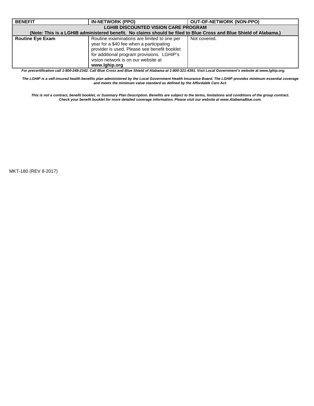| <b>BENEFIT</b>                                                                                                    | <b>IN-NETWORK (PPO)</b>                                                                                                                                                                                                                                                                                                                                                                              | <b>OUT-OF-NETWORK (NON-PPO)</b> |  |
|-------------------------------------------------------------------------------------------------------------------|------------------------------------------------------------------------------------------------------------------------------------------------------------------------------------------------------------------------------------------------------------------------------------------------------------------------------------------------------------------------------------------------------|---------------------------------|--|
|                                                                                                                   | <b>LGHIB DISCOUNTED VISION CARE PROGRAM</b>                                                                                                                                                                                                                                                                                                                                                          |                                 |  |
| (Note: This is a LGHIB administered benefit. No claims should be filed to Blue Cross and Blue Shield of Alabama.) |                                                                                                                                                                                                                                                                                                                                                                                                      |                                 |  |
| <b>Routine Eve Exam</b>                                                                                           | Routine examinations are limited to one per<br>year for a \$40 fee when a participating<br>provider is used. Please see benefit booklet<br>for additional program provisions. LGHIP's<br>vision network is on our website at<br>www.lqhip.org<br>Fergus continuation call 4,000,040,0040,004 Dive Oreas and Dive Chiefel of Alebana at 4,000,004,4004, Wait Lead Communicationships of www.lekin.com | Not covered.                    |  |

*For precertification call 1-800-248-2342. Call Blue Cross and Blue Shield of Alabama at 1-800-321-4391. Visit Local Government's website at www.lghip.org.*

*The LGHIP is a self-insured health benefits plan administered by the Local Government Health Insurance Board. The LGHIP provides minimum essential coverage and meets the minimum value standard as defined by the Affordable Care Act.*

*This is not a contract, benefit booklet, or Summary Plan Description. Benefits are subject to the terms, limitations and conditions of the group contract. Check your benefit booklet for more detailed coverage information. Please visit our website at www.AlabamaBlue.com.*

MKT-180 (REV 8-2017)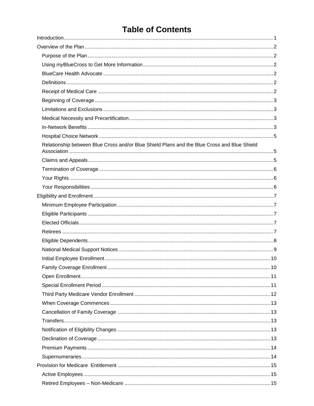# **Table of Contents**

| Relationship between Blue Cross and/or Blue Shield Plans and the Blue Cross and Blue Shield |  |
|---------------------------------------------------------------------------------------------|--|
|                                                                                             |  |
|                                                                                             |  |
|                                                                                             |  |
|                                                                                             |  |
|                                                                                             |  |
|                                                                                             |  |
|                                                                                             |  |
|                                                                                             |  |
|                                                                                             |  |
|                                                                                             |  |
|                                                                                             |  |
|                                                                                             |  |
|                                                                                             |  |
|                                                                                             |  |
|                                                                                             |  |
|                                                                                             |  |
|                                                                                             |  |
|                                                                                             |  |
|                                                                                             |  |
|                                                                                             |  |
|                                                                                             |  |
|                                                                                             |  |
|                                                                                             |  |
|                                                                                             |  |
|                                                                                             |  |
|                                                                                             |  |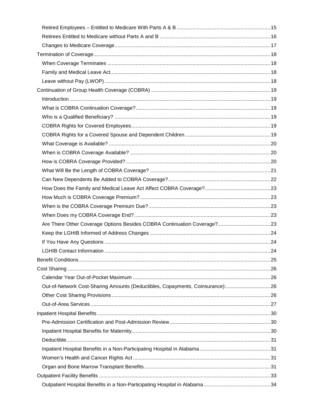| Out-of-Network Cost-Sharing Amounts (Deductibles, Copayments, Coinsurance):26 |  |
|-------------------------------------------------------------------------------|--|
|                                                                               |  |
|                                                                               |  |
|                                                                               |  |
|                                                                               |  |
|                                                                               |  |
|                                                                               |  |
|                                                                               |  |
|                                                                               |  |
|                                                                               |  |
|                                                                               |  |
|                                                                               |  |
|                                                                               |  |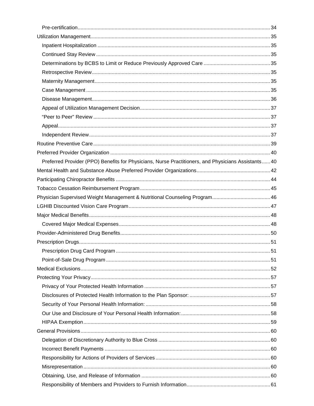| Preferred Provider (PPO) Benefits for Physicians, Nurse Practitioners, and Physicians Assistants 40 |  |
|-----------------------------------------------------------------------------------------------------|--|
|                                                                                                     |  |
|                                                                                                     |  |
|                                                                                                     |  |
|                                                                                                     |  |
|                                                                                                     |  |
|                                                                                                     |  |
|                                                                                                     |  |
|                                                                                                     |  |
|                                                                                                     |  |
|                                                                                                     |  |
|                                                                                                     |  |
|                                                                                                     |  |
|                                                                                                     |  |
|                                                                                                     |  |
|                                                                                                     |  |
|                                                                                                     |  |
|                                                                                                     |  |
|                                                                                                     |  |
|                                                                                                     |  |
|                                                                                                     |  |
|                                                                                                     |  |
|                                                                                                     |  |
|                                                                                                     |  |
|                                                                                                     |  |
|                                                                                                     |  |
|                                                                                                     |  |
|                                                                                                     |  |
|                                                                                                     |  |
|                                                                                                     |  |
|                                                                                                     |  |
|                                                                                                     |  |
|                                                                                                     |  |
|                                                                                                     |  |
|                                                                                                     |  |
|                                                                                                     |  |
|                                                                                                     |  |
|                                                                                                     |  |
|                                                                                                     |  |
|                                                                                                     |  |
|                                                                                                     |  |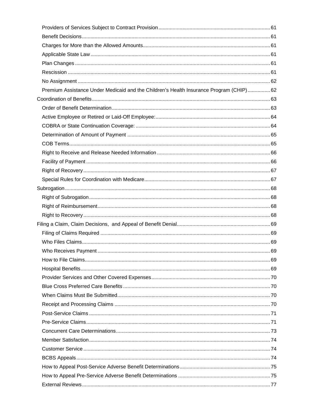| Premium Assistance Under Medicaid and the Children's Health Insurance Program (CHIP) 62 |  |
|-----------------------------------------------------------------------------------------|--|
|                                                                                         |  |
|                                                                                         |  |
|                                                                                         |  |
|                                                                                         |  |
|                                                                                         |  |
|                                                                                         |  |
|                                                                                         |  |
|                                                                                         |  |
|                                                                                         |  |
|                                                                                         |  |
|                                                                                         |  |
|                                                                                         |  |
|                                                                                         |  |
|                                                                                         |  |
|                                                                                         |  |
|                                                                                         |  |
|                                                                                         |  |
|                                                                                         |  |
|                                                                                         |  |
|                                                                                         |  |
|                                                                                         |  |
|                                                                                         |  |
|                                                                                         |  |
|                                                                                         |  |
|                                                                                         |  |
|                                                                                         |  |
|                                                                                         |  |
|                                                                                         |  |
|                                                                                         |  |
|                                                                                         |  |
|                                                                                         |  |
|                                                                                         |  |
|                                                                                         |  |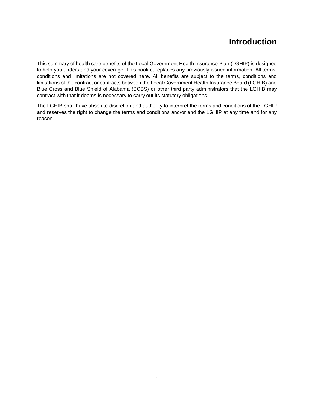# **Introduction**

<span id="page-18-0"></span>This summary of health care benefits of the Local Government Health Insurance Plan (LGHIP) is designed to help you understand your coverage. This booklet replaces any previously issued information. All terms, conditions and limitations are not covered here. All benefits are subject to the terms, conditions and limitations of the contract or contracts between the Local Government Health Insurance Board (LGHIB) and Blue Cross and Blue Shield of Alabama (BCBS) or other third party administrators that the LGHIB may contract with that it deems is necessary to carry out its statutory obligations.

The LGHIB shall have absolute discretion and authority to interpret the terms and conditions of the LGHIP and reserves the right to change the terms and conditions and/or end the LGHIP at any time and for any reason.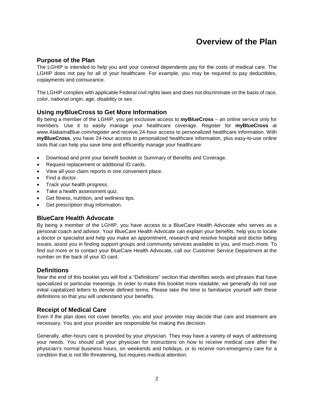# **Overview of the Plan**

## <span id="page-19-1"></span><span id="page-19-0"></span>**Purpose of the Plan**

The LGHIP is intended to help you and your covered dependents pay for the costs of medical care. The LGHIP does not pay for all of your healthcare. For example, you may be required to pay deductibles, copayments and coinsurance.

The LGHIP complies with applicable Federal civil rights laws and does not discriminate on the basis of race, color, national origin, age, disability or sex.

# <span id="page-19-2"></span>**Using** *my***BlueCross to Get More Information**

By being a member of the LGHIP, you get exclusive access to *my***BlueCross** – an online service only for members. Use it to easily manage your healthcare coverage. Register for **myBlueCross** at www.AlabamaBlue.com/register and receive 24-hour access to personalized healthcare information. With *my***BlueCross**, you have 24-hour access to personalized healthcare information, plus easy-to-use online tools that can help you save time and efficiently manage your healthcare:

- Download and print your benefit booklet or Summary of Benefits and Coverage.
- Request replacement or additional ID cards.
- View all your claim reports in one convenient place.
- Find a doctor.
- Track your health progress.
- Take a health assessment quiz.
- Get fitness, nutrition, and wellness tips.
- Get prescription drug information.

# <span id="page-19-3"></span>**BlueCare Health Advocate**

By being a member of the LGHIP, you have access to a BlueCare Health Advocate who serves as a personal coach and advisor. Your BlueCare Health Advocate can explain your benefits, help you to locate a doctor or specialist and help you make an appointment, research and resolve hospital and doctor billing issues, assist you in finding support groups and community services available to you, and much more. To find out more or to contact your BlueCare Health Advocate, call our Customer Service Department at the number on the back of your ID card.

# <span id="page-19-4"></span>**Definitions**

Near the end of this booklet you will find a "Definitions" section that identifies words and phrases that have specialized or particular meanings. In order to make this booklet more readable, we generally do not use initial capitalized letters to denote defined terms. Please take the time to familiarize yourself with these definitions so that you will understand your benefits.

# <span id="page-19-5"></span>**Receipt of Medical Care**

Even if the plan does not cover benefits, you and your provider may decide that care and treatment are necessary. You and your provider are responsible for making this decision.

Generally, after-hours care is provided by your physician. They may have a variety of ways of addressing your needs. You should call your physician for instructions on how to receive medical care after the physician's normal business hours, on weekends and holidays, or to receive non-emergency care for a condition that is not life threatening, but requires medical attention.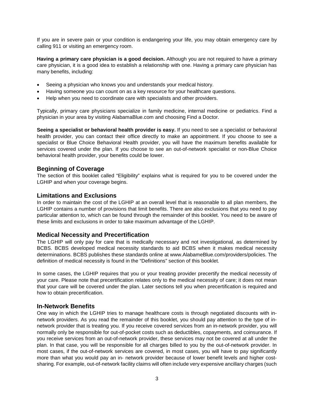If you are in severe pain or your condition is endangering your life, you may obtain emergency care by calling 911 or visiting an emergency room.

**Having a primary care physician is a good decision.** Although you are not required to have a primary care physician, it is a good idea to establish a relationship with one. Having a primary care physician has many benefits, including:

- Seeing a physician who knows you and understands your medical history.
- Having someone you can count on as a key resource for your healthcare questions.
- Help when you need to coordinate care with specialists and other providers.

Typically, primary care physicians specialize in family medicine, internal medicine or pediatrics. Find a physician in your area by visiting AlabamaBlue.com and choosing Find a Doctor.

**Seeing a specialist or behavioral health provider is easy.** If you need to see a specialist or behavioral health provider, you can contact their office directly to make an appointment. If you choose to see a specialist or Blue Choice Behavioral Health provider, you will have the maximum benefits available for services covered under the plan. If you choose to see an out-of-network specialist or non-Blue Choice behavioral health provider, your benefits could be lower.

## <span id="page-20-0"></span>**Beginning of Coverage**

The section of this booklet called "Eligibility" explains what is required for you to be covered under the LGHIP and when your coverage begins.

#### <span id="page-20-1"></span>**Limitations and Exclusions**

In order to maintain the cost of the LGHIP at an overall level that is reasonable to all plan members, the LGHIP contains a number of provisions that limit benefits. There are also exclusions that you need to pay particular attention to, which can be found through the remainder of this booklet. You need to be aware of these limits and exclusions in order to take maximum advantage of the LGHIP.

#### <span id="page-20-2"></span>**Medical Necessity and Precertification**

The LGHIP will only pay for care that is medically necessary and not investigational, as determined by BCBS. BCBS developed medical necessity standards to aid BCBS when it makes medical necessity determinations. BCBS publishes these standards online at www.AlabameBlue.com/providers/policies. The definition of medical necessity is found in the "Definitions" section of this booklet.

In some cases, the LGHIP requires that you or your treating provider precertify the medical necessity of your care. Please note that precertification relates only to the medical necessity of care; it does not mean that your care will be covered under the plan. Later sections tell you when precertification is required and how to obtain precertification.

#### <span id="page-20-3"></span>**In-Network Benefits**

One way in which the LGHIP tries to manage healthcare costs is through negotiated discounts with innetwork providers. As you read the remainder of this booklet, you should pay attention to the type of innetwork provider that is treating you. If you receive covered services from an in-network provider, you will normally only be responsible for out-of-pocket costs such as deductibles, copayments, and coinsurance. If you receive services from an out-of-network provider, these services may not be covered at all under the plan. In that case, you will be responsible for all charges billed to you by the out-of-network provider. In most cases, if the out-of-network services are covered, in most cases, you will have to pay significantly more than what you would pay an in- network provider because of lower benefit levels and higher costsharing. For example, out-of-network facility claims will often include very expensive ancillary charges (such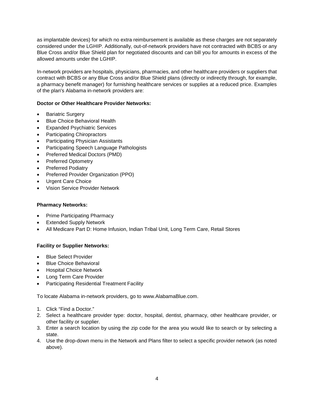as implantable devices) for which no extra reimbursement is available as these charges are not separately considered under the LGHIP. Additionally, out-of-network providers have not contracted with BCBS or any Blue Cross and/or Blue Shield plan for negotiated discounts and can bill you for amounts in excess of the allowed amounts under the LGHIP.

In-network providers are hospitals, physicians, pharmacies, and other healthcare providers or suppliers that contract with BCBS or any Blue Cross and/or Blue Shield plans (directly or indirectly through, for example, a pharmacy benefit manager) for furnishing healthcare services or supplies at a reduced price. Examples of the plan's Alabama in-network providers are:

## **Doctor or Other Healthcare Provider Networks:**

- **Bariatric Surgery**
- Blue Choice Behavioral Health
- Expanded Psychiatric Services
- Participating Chiropractors
- Participating Physician Assistants
- Participating Speech Language Pathologists
- Preferred Medical Doctors (PMD)
- Preferred Optometry
- Preferred Podiatry
- Preferred Provider Organization (PPO)
- Urgent Care Choice
- Vision Service Provider Network

#### **Pharmacy Networks:**

- **Prime Participating Pharmacy**
- **Extended Supply Network**
- All Medicare Part D: Home Infusion, Indian Tribal Unit, Long Term Care, Retail Stores

#### **Facility or Supplier Networks:**

- Blue Select Provider
- Blue Choice Behavioral
- Hospital Choice Network
- Long Term Care Provider
- Participating Residential Treatment Facility

To locate Alabama in-network providers, go to www.AlabamaBlue.com.

- 1. Click "Find a Doctor."
- 2. Select a healthcare provider type: doctor, hospital, dentist, pharmacy, other healthcare provider, or other facility or supplier.
- 3. Enter a search location by using the zip code for the area you would like to search or by selecting a state.
- 4. Use the drop-down menu in the Network and Plans filter to select a specific provider network (as noted above).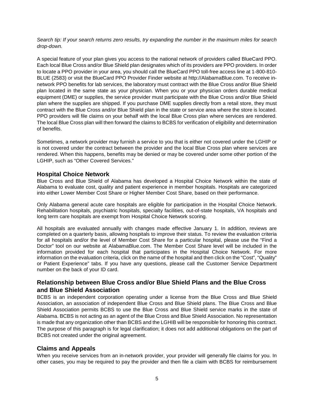*Search tip: If your search returns zero results, try expanding the number in the maximum miles for search drop-down.*

A special feature of your plan gives you access to the national network of providers called BlueCard PPO. Each local Blue Cross and/or Blue Shield plan designates which of its providers are PPO providers. In order to locate a PPO provider in your area, you should call the BlueCard PPO toll-free access line at 1-800-810- BLUE (2583) or visit the BlueCard PPO Provider Finder website at http://AlabamaBlue.com. To receive innetwork PPO benefits for lab services, the laboratory must contract with the Blue Cross and/or Blue Shield plan located in the same state as your physician. When you or your physician orders durable medical equipment (DME) or supplies, the service provider must participate with the Blue Cross and/or Blue Shield plan where the supplies are shipped. If you purchase DME supplies directly from a retail store, they must contract with the Blue Cross and/or Blue Shield plan in the state or service area where the store is located. PPO providers will file claims on your behalf with the local Blue Cross plan where services are rendered. The local Blue Cross plan will then forward the claims to BCBS for verification of eligibility and determination of benefits.

Sometimes, a network provider may furnish a service to you that is either not covered under the LGHIP or is not covered under the contract between the provider and the local Blue Cross plan where services are rendered. When this happens, benefits may be denied or may be covered under some other portion of the LGHIP, such as "Other Covered Services."

# <span id="page-22-0"></span>**Hospital Choice Network**

Blue Cross and Blue Shield of Alabama has developed a Hospital Choice Network within the state of Alabama to evaluate cost, quality and patient experience in member hospitals. Hospitals are categorized into either Lower Member Cost Share or Higher Member Cost Share, based on their performance.

Only Alabama general acute care hospitals are eligible for participation in the Hospital Choice Network. Rehabilitation hospitals, psychiatric hospitals, specialty facilities, out-of-state hospitals, VA hospitals and long term care hospitals are exempt from Hospital Choice Network scoring.

All hospitals are evaluated annually with changes made effective January 1. In addition, reviews are completed on a quarterly basis, allowing hospitals to improve their status. To review the evaluation criteria for all hospitals and/or the level of Member Cost Share for a particular hospital, please use the "Find a Doctor" tool on our website at AlabamaBlue.com. The Member Cost Share level will be included in the information provided for each hospital that participates in the Hospital Choice Network. For more information on the evaluation criteria, click on the name of the hospital and then click on the "Cost", "Quality" or Patient Experience" tabs. If you have any questions, please call the Customer Service Department number on the back of your ID card.

# <span id="page-22-1"></span>**Relationship between Blue Cross and/or Blue Shield Plans and the Blue Cross and Blue Shield Association**

BCBS is an independent corporation operating under a license from the Blue Cross and Blue Shield Association, an association of independent Blue Cross and Blue Shield plans. The Blue Cross and Blue Shield Association permits BCBS to use the Blue Cross and Blue Shield service marks in the state of Alabama. BCBS is not acting as an agent of the Blue Cross and Blue Shield Association. No representation is made that any organization other than BCBS and the LGHIB will be responsible for honoring this contract. The purpose of this paragraph is for legal clarification; it does not add additional obligations on the part of BCBS not created under the original agreement.

# <span id="page-22-2"></span>**Claims and Appeals**

When you receive services from an in-network provider, your provider will generally file claims for you. In other cases, you may be required to pay the provider and then file a claim with BCBS for reimbursement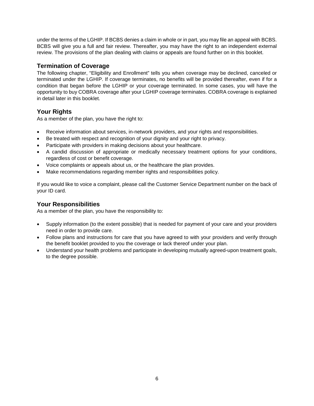under the terms of the LGHIP. If BCBS denies a claim in whole or in part, you may file an appeal with BCBS. BCBS will give you a full and fair review. Thereafter, you may have the right to an independent external review. The provisions of the plan dealing with claims or appeals are found further on in this booklet.

# <span id="page-23-0"></span>**Termination of Coverage**

The following chapter, "Eligibility and Enrollment" tells you when coverage may be declined, canceled or terminated under the LGHIP. If coverage terminates, no benefits will be provided thereafter, even if for a condition that began before the LGHIP or your coverage terminated. In some cases, you will have the opportunity to buy COBRA coverage after your LGHIP coverage terminates. COBRA coverage is explained in detail later in this booklet.

# <span id="page-23-1"></span>**Your Rights**

As a member of the plan, you have the right to:

- Receive information about services, in-network providers, and your rights and responsibilities.
- Be treated with respect and recognition of your dignity and your right to privacy.
- Participate with providers in making decisions about your healthcare.
- A candid discussion of appropriate or medically necessary treatment options for your conditions, regardless of cost or benefit coverage.
- Voice complaints or appeals about us, or the healthcare the plan provides.
- Make recommendations regarding member rights and responsibilities policy.

If you would like to voice a complaint, please call the Customer Service Department number on the back of your ID card.

# <span id="page-23-2"></span>**Your Responsibilities**

As a member of the plan, you have the responsibility to:

- Supply information (to the extent possible) that is needed for payment of your care and your providers need in order to provide care.
- Follow plans and instructions for care that you have agreed to with your providers and verify through the benefit booklet provided to you the coverage or lack thereof under your plan.
- Understand your health problems and participate in developing mutually agreed-upon treatment goals, to the degree possible.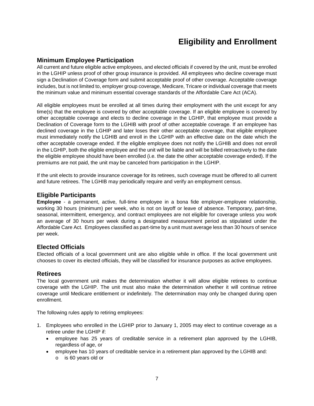# **Eligibility and Enrollment**

# <span id="page-24-1"></span><span id="page-24-0"></span>**Minimum Employee Participation**

All current and future eligible active employees, and elected officials if covered by the unit, must be enrolled in the LGHIP unless proof of other group insurance is provided. All employees who decline coverage must sign a Declination of Coverage form and submit acceptable proof of other coverage. Acceptable coverage includes, but is not limited to, employer group coverage, Medicare, Tricare or individual coverage that meets the minimum value and minimum essential coverage standards of the Affordable Care Act (ACA).

All eligible employees must be enrolled at all times during their employment with the unit except for any time(s) that the employee is covered by other acceptable coverage. If an eligible employee is covered by other acceptable coverage and elects to decline coverage in the LGHIP, that employee must provide a Declination of Coverage form to the LGHIB with proof of other acceptable coverage. If an employee has declined coverage in the LGHIP and later loses their other acceptable coverage, that eligible employee must immediately notify the LGHIB and enroll in the LGHIP with an effective date on the date which the other acceptable coverage ended. If the eligible employee does not notify the LGHIB and does not enroll in the LGHIP, both the eligible employee and the unit will be liable and will be billed retroactively to the date the eligible employee should have been enrolled (i.e. the date the other acceptable coverage ended). If the premiums are not paid, the unit may be canceled from participation in the LGHIP.

If the unit elects to provide insurance coverage for its retirees, such coverage must be offered to all current and future retirees. The LGHIB may periodically require and verify an employment census.

# <span id="page-24-2"></span>**Eligible Participants**

**Employee** - a permanent, active, full-time employee in a bona fide employer-employee relationship, working 30 hours (minimum) per week, who is not on layoff or leave of absence. Temporary, part-time, seasonal, intermittent, emergency, and contract employees are not eligible for coverage unless you work an average of 30 hours per week during a designated measurement period as stipulated under the Affordable Care Act. Employees classified as part-time by a unit must average less than 30 hours of service per week.

# <span id="page-24-3"></span>**Elected Officials**

Elected officials of a local government unit are also eligible while in office. If the local government unit chooses to cover its elected officials, they will be classified for insurance purposes as active employees.

# <span id="page-24-4"></span>**Retirees**

The local government unit makes the determination whether it will allow eligible retirees to continue coverage with the LGHIP. The unit must also make the determination whether it will continue retiree coverage until Medicare entitlement or indefinitely. The determination may only be changed during open enrollment.

The following rules apply to retiring employees:

- 1. Employees who enrolled in the LGHIP prior to January 1, 2005 may elect to continue coverage as a retiree under the LGHIP if:
	- employee has 25 years of creditable service in a retirement plan approved by the LGHIB, regardless of age, or
	- employee has 10 years of creditable service in a retirement plan approved by the LGHIB and:
		- o is 60 years old or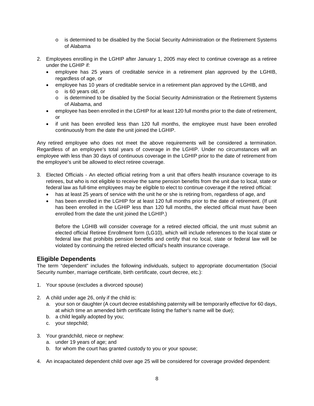- o is determined to be disabled by the Social Security Administration or the Retirement Systems of Alabama
- 2. Employees enrolling in the LGHIP after January 1, 2005 may elect to continue coverage as a retiree under the LGHIP if:
	- employee has 25 years of creditable service in a retirement plan approved by the LGHIB, regardless of age, or
	- employee has 10 years of creditable service in a retirement plan approved by the LGHIB, and
		- o is 60 years old, or
		- o is determined to be disabled by the Social Security Administration or the Retirement Systems of Alabama, and
	- employee has been enrolled in the LGHIP for at least 120 full months prior to the date of retirement, or
	- if unit has been enrolled less than 120 full months, the employee must have been enrolled continuously from the date the unit joined the LGHIP.

Any retired employee who does not meet the above requirements will be considered a termination. Regardless of an employee's total years of coverage in the LGHIP. Under no circumstances will an employee with less than 30 days of continuous coverage in the LGHIP prior to the date of retirement from the employee's unit be allowed to elect retiree coverage.

- 3. Elected Officials An elected official retiring from a unit that offers health insurance coverage to its retirees, but who is not eligible to receive the same pension benefits from the unit due to local, state or federal law as full-time employees may be eligible to elect to continue coverage if the retired official:
	- has at least 25 years of service with the unit he or she is retiring from, regardless of age, and
	- has been enrolled in the LGHIP for at least 120 full months prior to the date of retirement. (If unit has been enrolled in the LGHIP less than 120 full months, the elected official must have been enrolled from the date the unit joined the LGHIP.)

Before the LGHIB will consider coverage for a retired elected official, the unit must submit an elected official Retiree Enrollment form (LG10), which will include references to the local state or federal law that prohibits pension benefits and certify that no local, state or federal law will be violated by continuing the retired elected official's health insurance coverage.

# <span id="page-25-0"></span>**Eligible Dependents**

The term "dependent" includes the following individuals, subject to appropriate documentation (Social Security number, marriage certificate, birth certificate, court decree, etc.):

- 1. Your spouse (excludes a divorced spouse)
- 2. A child under age 26, only if the child is:
	- a. your son or daughter (A court decree establishing paternity will be temporarily effective for 60 days, at which time an amended birth certificate listing the father's name will be due);
	- b. a child legally adopted by you;
	- c. your stepchild;
- 3. Your grandchild, niece or nephew:
	- a. under 19 years of age; and
	- b. for whom the court has granted custody to you or your spouse;
- 4. An incapacitated dependent child over age 25 will be considered for coverage provided dependent: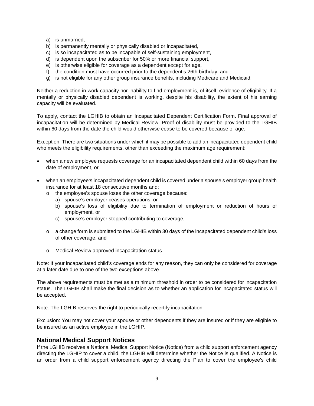- a) is unmarried,
- b) is permanently mentally or physically disabled or incapacitated,
- c) is so incapacitated as to be incapable of self-sustaining employment,
- d) is dependent upon the subscriber for 50% or more financial support,
- e) is otherwise eligible for coverage as a dependent except for age,
- f) the condition must have occurred prior to the dependent's 26th birthday, and
- g) is not eligible for any other group insurance benefits, including Medicare and Medicaid.

Neither a reduction in work capacity nor inability to find employment is, of itself, evidence of eligibility. If a mentally or physically disabled dependent is working, despite his disability, the extent of his earning capacity will be evaluated.

To apply, contact the LGHIB to obtain an Incapacitated Dependent Certification Form. Final approval of incapacitation will be determined by Medical Review. Proof of disability must be provided to the LGHIB within 60 days from the date the child would otherwise cease to be covered because of age.

Exception: There are two situations under which it may be possible to add an incapacitated dependent child who meets the eligibility requirements, other than exceeding the maximum age requirement:

- when a new employee requests coverage for an incapacitated dependent child within 60 days from the date of employment, or
- when an employee's incapacitated dependent child is covered under a spouse's employer group health insurance for at least 18 consecutive months and:
	- o the employee's spouse loses the other coverage because:
		- a) spouse's employer ceases operations, or
		- b) spouse's loss of eligibility due to termination of employment or reduction of hours of employment, or
		- c) spouse's employer stopped contributing to coverage,
	- o a change form is submitted to the LGHIB within 30 days of the incapacitated dependent child's loss of other coverage, and
	- o Medical Review approved incapacitation status.

Note: If your incapacitated child's coverage ends for any reason, they can only be considered for coverage at a later date due to one of the two exceptions above.

The above requirements must be met as a minimum threshold in order to be considered for incapacitation status. The LGHIB shall make the final decision as to whether an application for incapacitated status will be accepted.

Note: The LGHIB reserves the right to periodically recertify incapacitation.

Exclusion: You may not cover your spouse or other dependents if they are insured or if they are eligible to be insured as an active employee in the LGHIP.

#### <span id="page-26-0"></span>**National Medical Support Notices**

If the LGHIB receives a National Medical Support Notice (Notice) from a child support enforcement agency directing the LGHIP to cover a child, the LGHIB will determine whether the Notice is qualified. A Notice is an order from a child support enforcement agency directing the Plan to cover the employee's child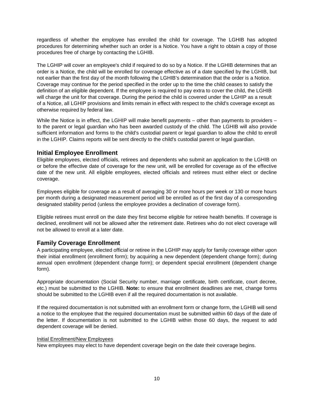regardless of whether the employee has enrolled the child for coverage. The LGHIB has adopted procedures for determining whether such an order is a Notice. You have a right to obtain a copy of those procedures free of charge by contacting the LGHIB.

The LGHIP will cover an employee's child if required to do so by a Notice. If the LGHIB determines that an order is a Notice, the child will be enrolled for coverage effective as of a date specified by the LGHIB, but not earlier than the first day of the month following the LGHIB's determination that the order is a Notice. Coverage may continue for the period specified in the order up to the time the child ceases to satisfy the definition of an eligible dependent. If the employee is required to pay extra to cover the child, the LGHIB will charge the unit for that coverage. During the period the child is covered under the LGHIP as a result of a Notice, all LGHIP provisions and limits remain in effect with respect to the child's coverage except as otherwise required by federal law.

While the Notice is in effect, the LGHIP will make benefit payments – other than payments to providers – to the parent or legal guardian who has been awarded custody of the child. The LGHIB will also provide sufficient information and forms to the child's custodial parent or legal guardian to allow the child to enroll in the LGHIP. Claims reports will be sent directly to the child's custodial parent or legal guardian.

# <span id="page-27-0"></span>**Initial Employee Enrollment**

Eligible employees, elected officials, retirees and dependents who submit an application to the LGHIB on or before the effective date of coverage for the new unit, will be enrolled for coverage as of the effective date of the new unit. All eligible employees, elected officials and retirees must either elect or decline coverage.

Employees eligible for coverage as a result of averaging 30 or more hours per week or 130 or more hours per month during a designated measurement period will be enrolled as of the first day of a corresponding designated stability period (unless the employee provides a declination of coverage form).

Eligible retirees must enroll on the date they first become eligible for retiree health benefits. If coverage is declined, enrollment will not be allowed after the retirement date. Retirees who do not elect coverage will not be allowed to enroll at a later date.

# <span id="page-27-1"></span>**Family Coverage Enrollment**

A participating employee, elected official or retiree in the LGHIP may apply for family coverage either upon their initial enrollment (enrollment form); by acquiring a new dependent (dependent change form); during annual open enrollment (dependent change form); or dependent special enrollment (dependent change form).

Appropriate documentation (Social Security number, marriage certificate, birth certificate, court decree, etc.) must be submitted to the LGHIB. **Note:** to ensure that enrollment deadlines are met, change forms should be submitted to the LGHIB even if all the required documentation is not available.

If the required documentation is not submitted with an enrollment form or change form, the LGHIB will send a notice to the employee that the required documentation must be submitted within 60 days of the date of the letter. If documentation is not submitted to the LGHIB within those 60 days, the request to add dependent coverage will be denied.

#### Initial Enrollment/New Employees

New employees may elect to have dependent coverage begin on the date their coverage begins.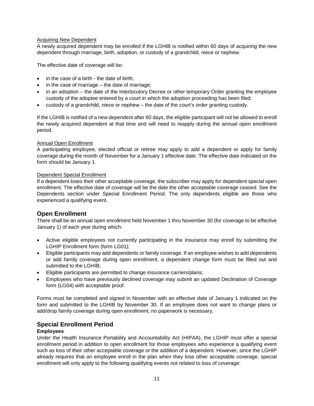#### Acquiring New Dependent

A newly acquired dependent may be enrolled if the LGHIB is notified within 60 days of acquiring the new dependent through marriage, birth, adoption, or custody of a grandchild, niece or nephew.

The effective date of coverage will be:

- in the case of a birth the date of birth;
- in the case of marriage the date of marriage;
- in an adoption the date of the Interlocutory Decree or other temporary Order granting the employee custody of the adoptee entered by a court in which the adoption proceeding has been filed;
- custody of a grandchild, niece or nephew the date of the court's order granting custody.

If the LGHIB is notified of a new dependent after 60 days, the eligible participant will not be allowed to enroll the newly acquired dependent at that time and will need to reapply during the annual open enrollment period.

#### Annual Open Enrollment

A participating employee, elected official or retiree may apply to add a dependent or apply for family coverage during the month of November for a January 1 effective date. The effective date indicated on the form should be January 1.

#### Dependent Special Enrollment

If a dependent loses their other acceptable coverage, the subscriber may apply for dependent special open enrollment. The effective date of coverage will be the date the other acceptable coverage ceased. See the Dependents section under Special Enrollment Period. The only dependents eligible are those who experienced a qualifying event.

# <span id="page-28-0"></span>**Open Enrollment**

There shall be an annual open enrollment held November 1 thru November 30 (for coverage to be effective January 1) of each year during which:

- Active eligible employees not currently participating in the insurance may enroll by submitting the LGHIP Enrollment form (form LG01);
- Eligible participants may add dependents or family coverage. If an employee wishes to add dependents or add family coverage during open enrollment, a dependent change form must be filled out and submitted to the LGHIB;
- Eligible participants are permitted to change insurance carriers/plans;
- Employees who have previously declined coverage may submit an updated Declination of Coverage form (LG04) with acceptable proof.

Forms must be completed and signed in November with an effective date of January 1 indicated on the form and submitted to the LGHIB by November 30. If an employee does not want to change plans or add/drop family coverage during open enrollment, no paperwork is necessary.

# <span id="page-28-1"></span>**Special Enrollment Period**

#### **Employees**

Under the Health Insurance Portability and Accountability Act (HIPAA), the LGHIP must offer a special enrollment period in addition to open enrollment for those employees who experience a qualifying event such as loss of their other acceptable coverage or the addition of a dependent. However, since the LGHIP already requires that an employee enroll in the plan when they lose other acceptable coverage, special enrollment will only apply to the following qualifying events not related to loss of coverage: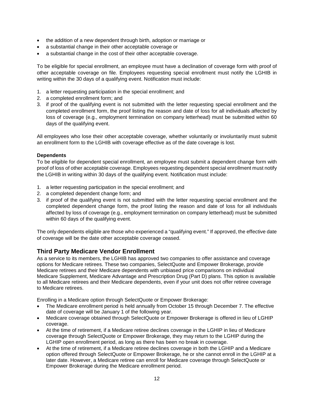- the addition of a new dependent through birth, adoption or marriage or
- a substantial change in their other acceptable coverage or
- a substantial change in the cost of their other acceptable coverage.

To be eligible for special enrollment, an employee must have a declination of coverage form with proof of other acceptable coverage on file. Employees requesting special enrollment must notify the LGHIB in writing within the 30 days of a qualifying event. Notification must include:

- 1. a letter requesting participation in the special enrollment; and
- 2. a completed enrollment form; and
- 3. if proof of the qualifying event is not submitted with the letter requesting special enrollment and the completed enrollment form, the proof listing the reason and date of loss for all individuals affected by loss of coverage (e.g., employment termination on company letterhead) must be submitted within 60 days of the qualifying event.

All employees who lose their other acceptable coverage, whether voluntarily or involuntarily must submit an enrollment form to the LGHIB with coverage effective as of the date coverage is lost.

#### **Dependents**

To be eligible for dependent special enrollment, an employee must submit a dependent change form with proof of loss of other acceptable coverage. Employees requesting dependent special enrollment must notify the LGHIB in writing within 30 days of the qualifying event. Notification must include:

- 1. a letter requesting participation in the special enrollment; and
- 2. a completed dependent change form; and
- 3. if proof of the qualifying event is not submitted with the letter requesting special enrollment and the completed dependent change form, the proof listing the reason and date of loss for all individuals affected by loss of coverage (e.g., employment termination on company letterhead) must be submitted within 60 days of the qualifying event.

The only dependents eligible are those who experienced a "qualifying event." If approved, the effective date of coverage will be the date other acceptable coverage ceased.

# <span id="page-29-0"></span>**Third Party Medicare Vendor Enrollment**

As a service to its members, the LGHIB has approved two companies to offer assistance and coverage options for Medicare retirees. These two companies, SelectQuote and Empower Brokerage, provide Medicare retirees and their Medicare dependents with unbiased price comparisons on individual Medicare Supplement, Medicare Advantage and Prescription Drug (Part D) plans. This option is available to all Medicare retirees and their Medicare dependents, even if your unit does not offer retiree coverage to Medicare retirees.

Enrolling in a Medicare option through SelectQuote or Empower Brokerage:

- The Medicare enrollment period is held annually from October 15 through December 7. The effective date of coverage will be January 1 of the following year.
- Medicare coverage obtained through SelectQuote or Empower Brokerage is offered in lieu of LGHIP coverage.
- At the time of retirement, if a Medicare retiree declines coverage in the LGHIP in lieu of Medicare coverage through SelectQuote or Empower Brokerage, they may return to the LGHIP during the LGHIP open enrollment period, as long as there has been no break in coverage.
- At the time of retirement, if a Medicare retiree declines coverage in both the LGHIP and a Medicare option offered through SelectQuote or Empower Brokerage, he or she cannot enroll in the LGHIP at a later date. However, a Medicare retiree can enroll for Medicare coverage through SelectQuote or Empower Brokerage during the Medicare enrollment period.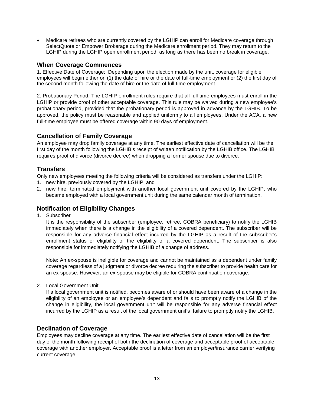• Medicare retirees who are currently covered by the LGHIP can enroll for Medicare coverage through SelectQuote or Empower Brokerage during the Medicare enrollment period. They may return to the LGHIP during the LGHIP open enrollment period, as long as there has been no break in coverage.

# <span id="page-30-0"></span>**When Coverage Commences**

1. Effective Date of Coverage: Depending upon the election made by the unit, coverage for eligible employees will begin either on (1) the date of hire or the date of full-time employment or (2) the first day of the second month following the date of hire or the date of full-time employment.

2. Probationary Period: The LGHIP enrollment rules require that all full-time employees must enroll in the LGHIP or provide proof of other acceptable coverage. This rule may be waived during a new employee's probationary period, provided that the probationary period is approved in advance by the LGHIB. To be approved, the policy must be reasonable and applied uniformly to all employees. Under the ACA, a new full-time employee must be offered coverage within 90 days of employment.

# <span id="page-30-1"></span>**Cancellation of Family Coverage**

An employee may drop family coverage at any time. The earliest effective date of cancellation will be the first day of the month following the LGHIB's receipt of written notification by the LGHIB office. The LGHIB requires proof of divorce (divorce decree) when dropping a former spouse due to divorce.

# <span id="page-30-2"></span>**Transfers**

Only new employees meeting the following criteria will be considered as transfers under the LGHIP:

- 1. new hire, previously covered by the LGHIP, and
- 2. new hire, terminated employment with another local government unit covered by the LGHIP, who became employed with a local government unit during the same calendar month of termination.

# <span id="page-30-3"></span>**Notification of Eligibility Changes**

1. Subscriber

It is the responsibility of the subscriber (employee, retiree, COBRA beneficiary) to notify the LGHIB immediately when there is a change in the eligibility of a covered dependent. The subscriber will be responsible for any adverse financial effect incurred by the LGHIP as a result of the subscriber's enrollment status or eligibility or the eligibility of a covered dependent. The subscriber is also responsible for immediately notifying the LGHIB of a change of address.

Note: An ex-spouse is ineligible for coverage and cannot be maintained as a dependent under family coverage regardless of a judgment or divorce decree requiring the subscriber to provide health care for an ex-spouse. However, an ex-spouse may be eligible for COBRA continuation coverage.

2. Local Government Unit

If a local government unit is notified, becomes aware of or should have been aware of a change in the eligibility of an employee or an employee's dependent and fails to promptly notify the LGHIB of the change in eligibility, the local government unit will be responsible for any adverse financial effect incurred by the LGHIP as a result of the local government unit's failure to promptly notify the LGHIB.

# <span id="page-30-4"></span>**Declination of Coverage**

Employees may decline coverage at any time. The earliest effective date of cancellation will be the first day of the month following receipt of both the declination of coverage and acceptable proof of acceptable coverage with another employer. Acceptable proof is a letter from an employer/insurance carrier verifying current coverage.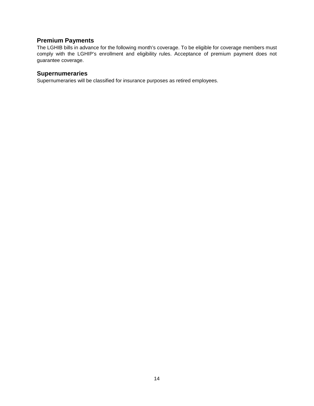# <span id="page-31-0"></span>**Premium Payments**

The LGHIB bills in advance for the following month's coverage. To be eligible for coverage members must comply with the LGHIP's enrollment and eligibility rules. Acceptance of premium payment does not guarantee coverage.

# <span id="page-31-1"></span>**Supernumeraries**

Supernumeraries will be classified for insurance purposes as retired employees.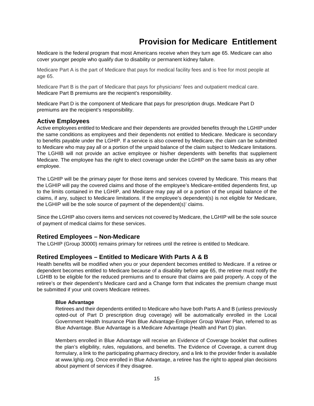# <span id="page-32-0"></span>**Provision for Medicare Entitlement**

Medicare is the federal program that most Americans receive when they turn age 65. Medicare can also cover younger people who qualify due to disability or permanent kidney failure.

Medicare Part A is the part of Medicare that pays for medical facility fees and is free for most people at age 65.

Medicare Part B is the part of Medicare that pays for physicians' fees and outpatient medical care. Medicare Part B premiums are the recipient's responsibility.

Medicare Part D is the component of Medicare that pays for prescription drugs. Medicare Part D premiums are the recipient's responsibility.

# <span id="page-32-1"></span>**Active Employees**

Active employees entitled to Medicare and their dependents are provided benefits through the LGHIP under the same conditions as employees and their dependents not entitled to Medicare. Medicare is secondary to benefits payable under the LGHIP. If a service is also covered by Medicare, the claim can be submitted to Medicare who may pay all or a portion of the unpaid balance of the claim subject to Medicare limitations. The LGHIB will not provide an active employee or his/her dependents with benefits that supplement Medicare. The employee has the right to elect coverage under the LGHIP on the same basis as any other employee.

The LGHIP will be the primary payer for those items and services covered by Medicare. This means that the LGHIP will pay the covered claims and those of the employee's Medicare-entitled dependents first, up to the limits contained in the LGHIP, and Medicare may pay all or a portion of the unpaid balance of the claims, if any, subject to Medicare limitations. If the employee's dependent(s) is not eligible for Medicare, the LGHIP will be the sole source of payment of the dependent(s)' claims.

Since the LGHIP also covers items and services not covered by Medicare, the LGHIP will be the sole source of payment of medical claims for these services.

# **Retired Employees – Non-Medicare**

The LGHIP (Group 30000) remains primary for retirees until the retiree is entitled to Medicare.

# <span id="page-32-2"></span>**Retired Employees – Entitled to Medicare With Parts A & B**

Health benefits will be modified when you or your dependent becomes entitled to Medicare. If a retiree or dependent becomes entitled to Medicare because of a disability before age 65, the retiree must notify the LGHIB to be eligible for the reduced premiums and to ensure that claims are paid properly. A copy of the retiree's or their dependent's Medicare card and a Change form that indicates the premium change must be submitted if your unit covers Medicare retirees.

#### **Blue Advantage**

Retirees and their dependents entitled to Medicare who have both Parts A and B (unless previously opted-out of Part D prescription drug coverage) will be automatically enrolled in the Local Government Health Insurance Plan Blue Advantage-Employer Group Waiver Plan, referred to as Blue Advantage. Blue Advantage is a Medicare Advantage (Health and Part D) plan.

Members enrolled in Blue Advantage will receive an Evidence of Coverage booklet that outlines the plan's eligibility, rules, regulations, and benefits. The Evidence of Coverage, a current drug formulary, a link to the participating pharmacy directory, and a link to the provider finder is available at www.lghip.org. Once enrolled in Blue Advantage, a retiree has the right to appeal plan decisions about payment of services if they disagree.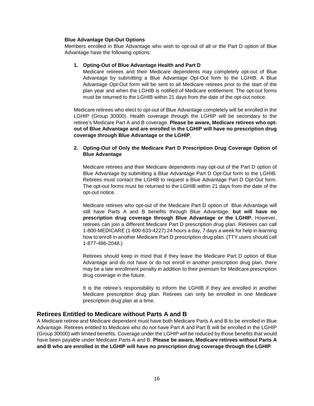#### **Blue Advantage Opt-Out Options**

Members enrolled in Blue Advantage who wish to opt-out of all or the Part D option of Blue Advantage have the following options:

#### **1. Opting-Out of Blue Advantage Health and Part D**

Medicare retirees and their Medicare dependents may completely opt-out of Blue Advantage by submitting a Blue Advantage Opt-Out form to the LGHIB. A Blue Advantage Opt-Out form will be sent to all Medicare retirees prior to the start of the plan year and when the LGHIB is notified of Medicare entitlement. The opt-out forms must be returned to the LGHIB within 21 days from the date of the opt-out notice.

Medicare retirees who elect to opt-out of Blue Advantage completely will be enrolled in the LGHIP (Group 30000). Health coverage through the LGHIP will be secondary to the retiree's Medicare Part A and B coverage. **Please be aware, Medicare retirees who optout of Blue Advantage and are enrolled in the LGHIP will have no prescription drug coverage through Blue Advantage or the LGHIP**.

#### **2. Opting-Out of Only the Medicare Part D Prescription Drug Coverage Option of Blue Advantage**

Medicare retirees and their Medicare dependents may opt-out of the Part D option of Blue Advantage by submitting a Blue Advantage Part D Opt-Out form to the LGHIB. Retirees must contact the LGHIB to request a Blue Advantage Part D Opt-Out form. The opt-out forms must be returned to the LGHIB within 21 days from the date of the opt-out notice.

Medicare retirees who opt-out of the Medicare Part D option of Blue Advantage will still have Parts A and B benefits through Blue Advantage, **but will have no prescription drug coverage through Blue Advantage or the LGHIP.** However, retirees can join a different Medicare Part D prescription drug plan. Retirees can call 1-800-MEDICARE (1-800-633-4227) 24 hours a day, 7 days a week for help in learning how to enroll in another Medicare Part D prescription drug plan. (TTY users should call 1-877-486-2048.)

Retirees should keep in mind that if they leave the Medicare Part D option of Blue Advantage and do not have or do not enroll in another prescription drug plan, there may be a late enrollment penalty in addition to their premium for Medicare prescription drug coverage in the future.

It is the retiree's responsibility to inform the LGHIB if they are enrolled in another Medicare prescription drug plan. Retirees can only be enrolled in one Medicare prescription drug plan at a time.

#### <span id="page-33-0"></span>**Retirees Entitled to Medicare without Parts A and B**

A Medicare retiree and Medicare dependent must have both Medicare Parts A and B to be enrolled in Blue Advantage. Retirees entitled to Medicare who do not have Part A and Part B will be enrolled in the LGHIP (Group 30000) with limited benefits. Coverage under the LGHIP will be reduced by those benefits that would have been payable under Medicare Parts A and B. **Please be aware, Medicare retirees without Parts A and B who are enrolled in the LGHIP will have no prescription drug coverage through the LGHIP**.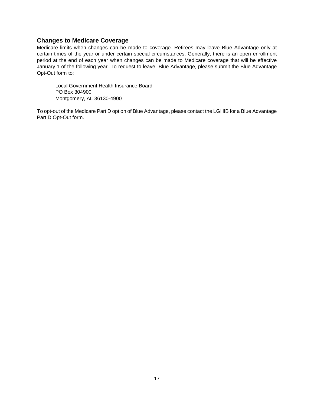## <span id="page-34-0"></span>**Changes to Medicare Coverage**

Medicare limits when changes can be made to coverage. Retirees may leave Blue Advantage only at certain times of the year or under certain special circumstances. Generally, there is an open enrollment period at the end of each year when changes can be made to Medicare coverage that will be effective January 1 of the following year. To request to leave Blue Advantage, please submit the Blue Advantage Opt-Out form to:

Local Government Health Insurance Board PO Box 304900 Montgomery, AL 36130-4900

To opt-out of the Medicare Part D option of Blue Advantage, please contact the LGHIB for a Blue Advantage Part D Opt-Out form.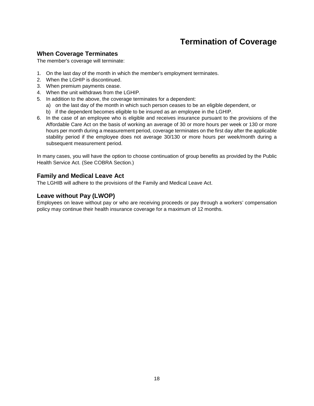# **Termination of Coverage**

# <span id="page-35-1"></span><span id="page-35-0"></span>**When Coverage Terminates**

The member's coverage will terminate:

- 1. On the last day of the month in which the member's employment terminates.
- 2. When the LGHIP is discontinued.
- 3. When premium payments cease.
- 4. When the unit withdraws from the LGHIP.
- 5. In addition to the above, the coverage terminates for a dependent:
	- a) on the last day of the month in which such person ceases to be an eligible dependent, or
	- b) if the dependent becomes eligible to be insured as an employee in the LGHIP.
- 6. In the case of an employee who is eligible and receives insurance pursuant to the provisions of the Affordable Care Act on the basis of working an average of 30 or more hours per week or 130 or more hours per month during a measurement period, coverage terminates on the first day after the applicable stability period if the employee does not average 30/130 or more hours per week/month during a subsequent measurement period.

In many cases, you will have the option to choose continuation of group benefits as provided by the Public Health Service Act. (See COBRA Section.)

## <span id="page-35-2"></span>**Family and Medical Leave Act**

The LGHIB will adhere to the provisions of the Family and Medical Leave Act.

# <span id="page-35-3"></span>**Leave without Pay (LWOP)**

Employees on leave without pay or who are receiving proceeds or pay through a workers' compensation policy may continue their health insurance coverage for a maximum of 12 months.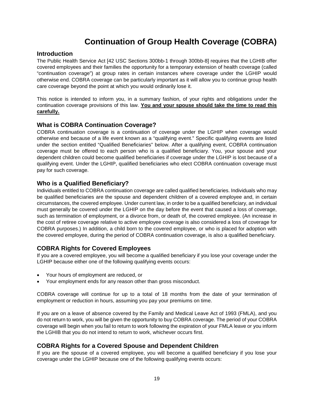# **Continuation of Group Health Coverage (COBRA)**

### **Introduction**

The Public Health Service Act [42 USC Sections 300bb-1 through 300bb-8] requires that the LGHIB offer covered employees and their families the opportunity for a temporary extension of health coverage (called "continuation coverage") at group rates in certain instances where coverage under the LGHIP would otherwise end. COBRA coverage can be particularly important as it will allow you to continue group health care coverage beyond the point at which you would ordinarily lose it.

This notice is intended to inform you, in a summary fashion, of your rights and obligations under the continuation coverage provisions of this law. **You and your spouse should take the time to read this carefully.**

## **What is COBRA Continuation Coverage?**

COBRA continuation coverage is a continuation of coverage under the LGHIP when coverage would otherwise end because of a life event known as a "qualifying event." Specific qualifying events are listed under the section entitled "Qualified Beneficiaries" below. After a qualifying event, COBRA continuation coverage must be offered to each person who is a qualified beneficiary. You, your spouse and your dependent children could become qualified beneficiaries if coverage under the LGHIP is lost because of a qualifying event. Under the LGHIP, qualified beneficiaries who elect COBRA continuation coverage must pay for such coverage.

# **Who is a Qualified Beneficiary?**

Individuals entitled to COBRA continuation coverage are called qualified beneficiaries. Individuals who may be qualified beneficiaries are the spouse and dependent children of a covered employee and, in certain circumstances, the covered employee. Under current law, in order to be a qualified beneficiary, an individual must generally be covered under the LGHIP on the day before the event that caused a loss of coverage, such as termination of employment, or a divorce from, or death of, the covered employee. (An increase in the cost of retiree coverage relative to active employee coverage is also considered a loss of coverage for COBRA purposes.) In addition, a child born to the covered employee, or who is placed for adoption with the covered employee, during the period of COBRA continuation coverage, is also a qualified beneficiary.

# **COBRA Rights for Covered Employees**

If you are a covered employee, you will become a qualified beneficiary if you lose your coverage under the LGHIP because either one of the following qualifying events occurs:

- Your hours of employment are reduced, or
- Your employment ends for any reason other than gross misconduct.

COBRA coverage will continue for up to a total of 18 months from the date of your termination of employment or reduction in hours, assuming you pay your premiums on time.

If you are on a leave of absence covered by the Family and Medical Leave Act of 1993 (FMLA), and you do not return to work, you will be given the opportunity to buy COBRA coverage. The period of your COBRA coverage will begin when you fail to return to work following the expiration of your FMLA leave or you inform the LGHIB that you do not intend to return to work, whichever occurs first.

## **COBRA Rights for a Covered Spouse and Dependent Children**

If you are the spouse of a covered employee, you will become a qualified beneficiary if you lose your coverage under the LGHIP because one of the following qualifying events occurs: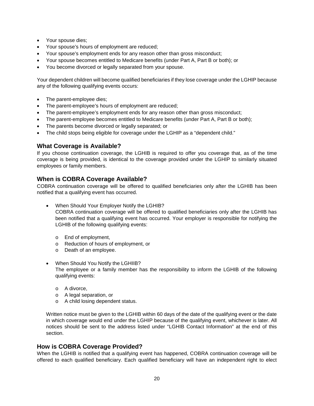- Your spouse dies;
- Your spouse's hours of employment are reduced;
- Your spouse's employment ends for any reason other than gross misconduct;
- Your spouse becomes entitled to Medicare benefits (under Part A, Part B or both); or
- You become divorced or legally separated from your spouse.

Your dependent children will become qualified beneficiaries if they lose coverage under the LGHIP because any of the following qualifying events occurs:

- The parent-employee dies;
- The parent-employee's hours of employment are reduced;
- The parent-employee's employment ends for any reason other than gross misconduct;
- The parent-employee becomes entitled to Medicare benefits (under Part A, Part B or both);
- The parents become divorced or legally separated; or
- The child stops being eligible for coverage under the LGHIP as a "dependent child."

# **What Coverage is Available?**

If you choose continuation coverage, the LGHIB is required to offer you coverage that, as of the time coverage is being provided, is identical to the coverage provided under the LGHIP to similarly situated employees or family members.

# **When is COBRA Coverage Available?**

COBRA continuation coverage will be offered to qualified beneficiaries only after the LGHIB has been notified that a qualifying event has occurred.

- When Should Your Employer Notify the LGHIB? COBRA continuation coverage will be offered to qualified beneficiaries only after the LGHIB has been notified that a qualifying event has occurred. Your employer is responsible for notifying the LGHIB of the following qualifying events:
	- o End of employment,
	- o Reduction of hours of employment, or
	- o Death of an employee.
- When Should You Notify the LGHIIB? The employee or a family member has the responsibility to inform the LGHIB of the following qualifying events:
	- o A divorce,
	- o A legal separation, or
	- o A child losing dependent status.

Written notice must be given to the LGHIB within 60 days of the date of the qualifying event or the date in which coverage would end under the LGHIP because of the qualifying event, whichever is later. All notices should be sent to the address listed under "LGHIB Contact Information" at the end of this section.

## **How is COBRA Coverage Provided?**

When the LGHIB is notified that a qualifying event has happened, COBRA continuation coverage will be offered to each qualified beneficiary. Each qualified beneficiary will have an independent right to elect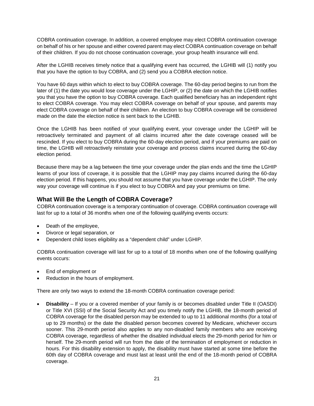COBRA continuation coverage. In addition, a covered employee may elect COBRA continuation coverage on behalf of his or her spouse and either covered parent may elect COBRA continuation coverage on behalf of their children. If you do not choose continuation coverage, your group health insurance will end.

After the LGHIB receives timely notice that a qualifying event has occurred, the LGHIB will (1) notify you that you have the option to buy COBRA, and (2) send you a COBRA election notice.

You have 60 days within which to elect to buy COBRA coverage. The 60-day period begins to run from the later of (1) the date you would lose coverage under the LGHIP, or (2) the date on which the LGHIB notifies you that you have the option to buy COBRA coverage. Each qualified beneficiary has an independent right to elect COBRA coverage. You may elect COBRA coverage on behalf of your spouse, and parents may elect COBRA coverage on behalf of their children. An election to buy COBRA coverage will be considered made on the date the election notice is sent back to the LGHIB.

Once the LGHIB has been notified of your qualifying event, your coverage under the LGHIP will be retroactively terminated and payment of all claims incurred after the date coverage ceased will be rescinded. If you elect to buy COBRA during the 60-day election period, and if your premiums are paid on time, the LGHIB will retroactively reinstate your coverage and process claims incurred during the 60-day election period.

Because there may be a lag between the time your coverage under the plan ends and the time the LGHIP learns of your loss of coverage, it is possible that the LGHIP may pay claims incurred during the 60-day election period. If this happens, you should not assume that you have coverage under the LGHIP. The only way your coverage will continue is if you elect to buy COBRA and pay your premiums on time.

# **What Will Be the Length of COBRA Coverage?**

COBRA continuation coverage is a temporary continuation of coverage. COBRA continuation coverage will last for up to a total of 36 months when one of the following qualifying events occurs:

- Death of the employee,
- Divorce or legal separation, or
- Dependent child loses eligibility as a "dependent child" under LGHIP.

COBRA continuation coverage will last for up to a total of 18 months when one of the following qualifying events occurs:

- End of employment or
- Reduction in the hours of employment.

There are only two ways to extend the 18-month COBRA continuation coverage period:

• **Disability** – If you or a covered member of your family is or becomes disabled under Title II (OASDI) or Title XVI (SSI) of the Social Security Act and you timely notify the LGHIB, the 18-month period of COBRA coverage for the disabled person may be extended to up to 11 additional months (for a total of up to 29 months) or the date the disabled person becomes covered by Medicare, whichever occurs sooner. This 29-month period also applies to any non-disabled family members who are receiving COBRA coverage, regardless of whether the disabled individual elects the 29-month period for him or herself. The 29-month period will run from the date of the termination of employment or reduction in hours. For this disability extension to apply, the disability must have started at some time before the 60th day of COBRA coverage and must last at least until the end of the 18-month period of COBRA coverage.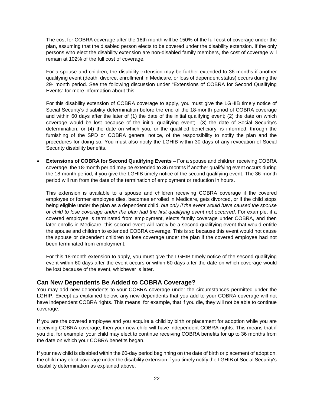The cost for COBRA coverage after the 18th month will be 150% of the full cost of coverage under the plan, assuming that the disabled person elects to be covered under the disability extension. If the only persons who elect the disability extension are non-disabled family members, the cost of coverage will remain at 102% of the full cost of coverage.

For a spouse and children, the disability extension may be further extended to 36 months if another qualifying event (death, divorce, enrollment in Medicare, or loss of dependent status) occurs during the 29- month period. See the following discussion under "Extensions of COBRA for Second Qualifying Events" for more information about this.

For this disability extension of COBRA coverage to apply, you must give the LGHIB timely notice of Social Security's disability determination before the end of the 18-month period of COBRA coverage and within 60 days after the later of (1) the date of the initial qualifying event; (2) the date on which coverage would be lost because of the initial qualifying event; (3) the date of Social Security's determination; or (4) the date on which you, or the qualified beneficiary, is informed, through the furnishing of the SPD or COBRA general notice, of the responsibility to notify the plan and the procedures for doing so. You must also notify the LGHIB within 30 days of any revocation of Social Security disability benefits.

• **Extensions of COBRA for Second Qualifying Events** – For a spouse and children receiving COBRA coverage, the 18-month period may be extended to 36 months if another qualifying event occurs during the 18-month period, if you give the LGHIB timely notice of the second qualifying event. The 36-month period will run from the date of the termination of employment or reduction in hours.

This extension is available to a spouse and children receiving COBRA coverage if the covered employee or former employee dies, becomes enrolled in Medicare, gets divorced, or if the child stops being eligible under the plan as a dependent child, *but only if the event would have caused the spouse or child to lose coverage under the plan had the first qualifying event not occurred*. For example, if a covered employee is terminated from employment, elects family coverage under COBRA, and then later enrolls in Medicare, this second event will rarely be a second qualifying event that would entitle the spouse and children to extended COBRA coverage. This is so because this event would not cause the spouse or dependent children to lose coverage under the plan if the covered employee had not been terminated from employment.

For this 18-month extension to apply, you must give the LGHIB timely notice of the second qualifying event within 60 days after the event occurs or within 60 days after the date on which coverage would be lost because of the event, whichever is later.

## **Can New Dependents Be Added to COBRA Coverage?**

You may add new dependents to your COBRA coverage under the circumstances permitted under the LGHIP. Except as explained below, any new dependents that you add to your COBRA coverage will not have independent COBRA rights. This means, for example, that if you die, they will not be able to continue coverage.

If you are the covered employee and you acquire a child by birth or placement for adoption while you are receiving COBRA coverage, then your new child will have independent COBRA rights. This means that if you die, for example, your child may elect to continue receiving COBRA benefits for up to 36 months from the date on which your COBRA benefits began.

If your new child is disabled within the 60-day period beginning on the date of birth or placement of adoption, the child may elect coverage under the disability extension if you timely notify the LGHIB of Social Security's disability determination as explained above.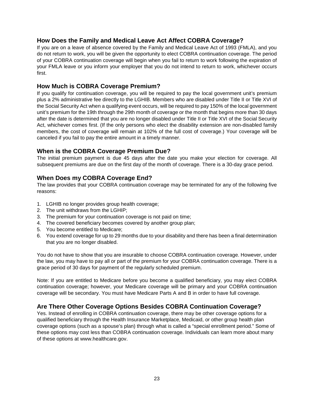# **How Does the Family and Medical Leave Act Affect COBRA Coverage?**

If you are on a leave of absence covered by the Family and Medical Leave Act of 1993 (FMLA), and you do not return to work, you will be given the opportunity to elect COBRA continuation coverage. The period of your COBRA continuation coverage will begin when you fail to return to work following the expiration of your FMLA leave or you inform your employer that you do not intend to return to work, whichever occurs first.

### **How Much is COBRA Coverage Premium?**

If you qualify for continuation coverage, you will be required to pay the local government unit's premium plus a 2% administrative fee directly to the LGHIB. Members who are disabled under Title II or Title XVI of the Social Security Act when a qualifying event occurs, will be required to pay 150% of the local government unit's premium for the 19th through the 29th month of coverage or the month that begins more than 30 days after the date is determined that you are no longer disabled under Title II or Title XVI of the Social Security Act, whichever comes first. (If the only persons who elect the disability extension are non-disabled family members, the cost of coverage will remain at 102% of the full cost of coverage.) Your coverage will be canceled if you fail to pay the entire amount in a timely manner.

## **When is the COBRA Coverage Premium Due?**

The initial premium payment is due 45 days after the date you make your election for coverage. All subsequent premiums are due on the first day of the month of coverage. There is a 30-day grace period.

# **When Does my COBRA Coverage End?**

The law provides that your COBRA continuation coverage may be terminated for any of the following five reasons:

- 1. LGHIB no longer provides group health coverage;
- 2. The unit withdraws from the LGHIP;
- 3. The premium for your continuation coverage is not paid on time;
- 4. The covered beneficiary becomes covered by another group plan;
- 5. You become entitled to Medicare;
- 6. You extend coverage for up to 29 months due to your disability and there has been a final determination that you are no longer disabled.

You do not have to show that you are insurable to choose COBRA continuation coverage. However, under the law, you may have to pay all or part of the premium for your COBRA continuation coverage. There is a grace period of 30 days for payment of the regularly scheduled premium.

Note: If you are entitled to Medicare before you become a qualified beneficiary, you may elect COBRA continuation coverage; however, your Medicare coverage will be primary and your COBRA continuation coverage will be secondary. You must have Medicare Parts A and B in order to have full coverage.

## **Are There Other Coverage Options Besides COBRA Continuation Coverage?**

Yes. Instead of enrolling in COBRA continuation coverage, there may be other coverage options for a qualified beneficiary through the Health Insurance Marketplace, Medicaid, or other group health plan coverage options (such as a spouse's plan) through what is called a "special enrollment period." Some of these options may cost less than COBRA continuation coverage. Individuals can learn more about many of these options at www.healthcare.gov.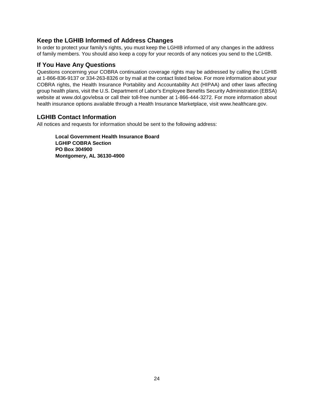# **Keep the LGHIB Informed of Address Changes**

In order to protect your family's rights, you must keep the LGHIB informed of any changes in the address of family members. You should also keep a copy for your records of any notices you send to the LGHIB.

### **If You Have Any Questions**

Questions concerning your COBRA continuation coverage rights may be addressed by calling the LGHIB at 1-866-836-9137 or 334-263-8326 or by mail at the contact listed below. For more information about your COBRA rights, the Health Insurance Portability and Accountability Act (HIPAA) and other laws affecting group health plans, visit the U.S. Department of Labor's Employee Benefits Security Administration (EBSA) website at www.dol.gov/ebsa or call their toll-free number at 1-866-444-3272. For more information about health insurance options available through a Health Insurance Marketplace, visit www.healthcare.gov.

## **LGHIB Contact Information**

All notices and requests for information should be sent to the following address:

**Local Government Health Insurance Board LGHIP COBRA Section PO Box 304900 Montgomery, AL 36130-4900**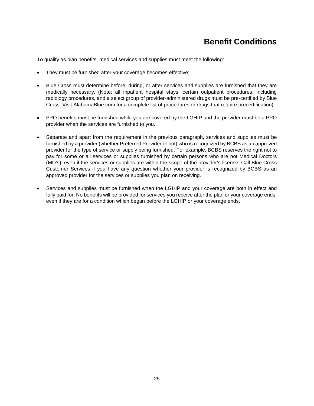# **Benefit Conditions**

To qualify as plan benefits, medical services and supplies must meet the following:

- They must be furnished after your coverage becomes effective;
- Blue Cross must determine before, during, or after services and supplies are furnished that they are medically necessary. (Note: all inpatient hospital stays, certain outpatient procedures, including radiology procedures, and a select group of provider-administered drugs must be pre-certified by Blue Cross. Visit AlabamaBlue.com for a complete list of procedures or drugs that require precertification).
- PPO benefits must be furnished while you are covered by the LGHIP and the provider must be a PPO provider when the services are furnished to you.
- Separate and apart from the requirement in the previous paragraph, services and supplies must be furnished by a provider (whether Preferred Provider or not) who is recognized by BCBS as an approved provider for the type of service or supply being furnished. For example, BCBS reserves the right not to pay for some or all services or supplies furnished by certain persons who are not Medical Doctors (MD's), even if the services or supplies are within the scope of the provider's license. Call Blue Cross Customer Services if you have any question whether your provider is recognized by BCBS as an approved provider for the services or supplies you plan on receiving.
- Services and supplies must be furnished when the LGHIP and your coverage are both in effect and fully paid for. No benefits will be provided for services you receive after the plan or your coverage ends, even if they are for a condition which began before the LGHIP or your coverage ends.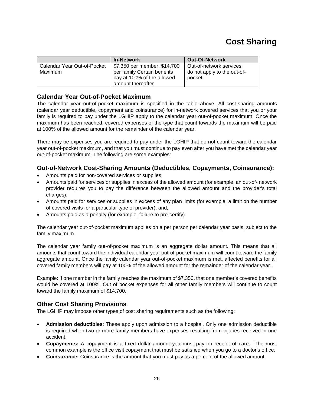# **Cost Sharing**

|                                        | <b>In-Network</b>                                                                                              | <b>Out-Of-Network</b>                                            |
|----------------------------------------|----------------------------------------------------------------------------------------------------------------|------------------------------------------------------------------|
| Calendar Year Out-of-Pocket<br>Maximum | \$7,350 per member, \$14,700<br>per family Certain benefits<br>pay at 100% of the allowed<br>amount thereafter | Out-of-network services<br>do not apply to the out-of-<br>pocket |

# **Calendar Year Out-of-Pocket Maximum**

The calendar year out-of-pocket maximum is specified in the table above. All cost-sharing amounts (calendar year deductible, copayment and coinsurance) for in-network covered services that you or your family is required to pay under the LGHIP apply to the calendar year out-of-pocket maximum. Once the maximum has been reached, covered expenses of the type that count towards the maximum will be paid at 100% of the allowed amount for the remainder of the calendar year.

There may be expenses you are required to pay under the LGHIP that do not count toward the calendar year out-of-pocket maximum, and that you must continue to pay even after you have met the calendar year out-of-pocket maximum. The following are some examples:

# **Out-of-Network Cost-Sharing Amounts (Deductibles, Copayments, Coinsurance):**

- Amounts paid for non-covered services or supplies;
- Amounts paid for services or supplies in excess of the allowed amount (for example, an out-of- network provider requires you to pay the difference between the allowed amount and the provider's total charges);
- Amounts paid for services or supplies in excess of any plan limits (for example, a limit on the number of covered visits for a particular type of provider); and,
- Amounts paid as a penalty (for example, failure to pre-certify).

The calendar year out-of-pocket maximum applies on a per person per calendar year basis, subject to the family maximum.

The calendar year family out-of-pocket maximum is an aggregate dollar amount. This means that all amounts that count toward the individual calendar year out-of-pocket maximum will count toward the family aggregate amount. Once the family calendar year out-of-pocket maximum is met, affected benefits for all covered family members will pay at 100% of the allowed amount for the remainder of the calendar year.

Example: If one member in the family reaches the maximum of \$7,350, that one member's covered benefits would be covered at 100%. Out of pocket expenses for all other family members will continue to count toward the family maximum of \$14,700.

## **Other Cost Sharing Provisions**

The LGHIP may impose other types of cost sharing requirements such as the following:

- **Admission deductibles**: These apply upon admission to a hospital. Only one admission deductible is required when two or more family members have expenses resulting from injuries received in one accident.
- **Copayments:** A copayment is a fixed dollar amount you must pay on receipt of care. The most common example is the office visit copayment that must be satisfied when you go to a doctor's office.
- **Coinsurance:** Coinsurance is the amount that you must pay as a percent of the allowed amount.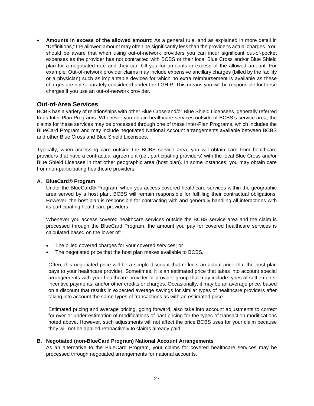• **Amounts in excess of the allowed amount**: As a general rule, and as explained in more detail in "Definitions," the allowed amount may often be significantly less than the provider's actual charges. You should be aware that when using out-of-network providers you can incur significant out-of-pocket expenses as the provider has not contracted with BCBS or their local Blue Cross and/or Blue Shield plan for a negotiated rate and they can bill you for amounts in excess of the allowed amount. For example: Out-of-network provider claims may include expensive ancillary charges (billed by the facility or a physician) such as implantable devices for which no extra reimbursement is available as these charges are not separately considered under the LGHIP. This means you will be responsible for these charges if you use an out-of-network provider.

## **Out-of-Area Services**

BCBS has a variety of relationships with other Blue Cross and/or Blue Shield Licensees, generally referred to as Inter-Plan Programs. Whenever you obtain healthcare services outside of BCBS's service area, the claims for these services may be processed through one of these Inter-Plan Programs, which includes the BlueCard Program and may include negotiated National Account arrangements available between BCBS and other Blue Cross and Blue Shield Licensees.

Typically, when accessing care outside the BCBS service area, you will obtain care from healthcare providers that have a contractual agreement (i.e., participating providers) with the local Blue Cross and/or Blue Shield Licensee in that other geographic area (host plan). In some instances, you may obtain care from non-participating healthcare providers.

#### **A. BlueCard® Program**

Under the BlueCard® Program, when you access covered healthcare services within the geographic area served by a host plan, BCBS will remain responsible for fulfilling their contractual obligations. However, the host plan is responsible for contracting with and generally handling all interactions with its participating healthcare providers.

Whenever you access covered healthcare services outside the BCBS service area and the claim is processed through the BlueCard Program, the amount you pay for covered healthcare services is calculated based on the lower of:

- The billed covered charges for your covered services; or
- The negotiated price that the host plan makes available to BCBS.

Often, this negotiated price will be a simple discount that reflects an actual price that the host plan pays to your healthcare provider. Sometimes, it is an estimated price that takes into account special arrangements with your healthcare provider or provider group that may include types of settlements, incentive payments, and/or other credits or charges. Occasionally, it may be an average price, based on a discount that results in expected average savings for similar types of healthcare providers after taking into account the same types of transactions as with an estimated price.

Estimated pricing and average pricing, going forward, also take into account adjustments to correct for over or under estimation of modifications of past pricing for the types of transaction modifications noted above. However, such adjustments will not affect the price BCBS uses for your claim because they will not be applied retroactively to claims already paid.

#### **B. Negotiated (non-BlueCard Program) National Account Arrangements**

As an alternative to the BlueCard Program, your claims for covered healthcare services may be processed through negotiated arrangements for national accounts.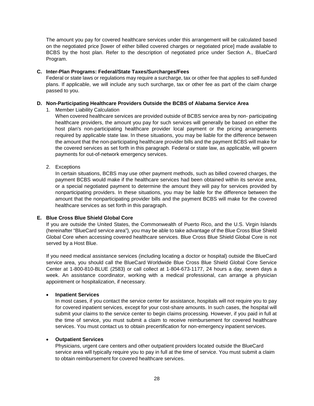The amount you pay for covered healthcare services under this arrangement will be calculated based on the negotiated price [lower of either billed covered charges or negotiated price] made available to BCBS by the host plan. Refer to the description of negotiated price under Section A., BlueCard Program.

#### **C. Inter-Plan Programs: Federal/State Taxes/Surcharges/Fees**

Federal or state laws or regulations may require a surcharge, tax or other fee that applies to self-funded plans. If applicable, we will include any such surcharge, tax or other fee as part of the claim charge passed to you.

#### **D. Non-Participating Healthcare Providers Outside the BCBS of Alabama Service Area**

1. Member Liability Calculation

When covered healthcare services are provided outside of BCBS service area by non- participating healthcare providers, the amount you pay for such services will generally be based on either the host plan's non-participating healthcare provider local payment or the pricing arrangements required by applicable state law. In these situations, you may be liable for the difference between the amount that the non-participating healthcare provider bills and the payment BCBS will make for the covered services as set forth in this paragraph. Federal or state law, as applicable, will govern payments for out-of-network emergency services.

2. Exceptions

In certain situations, BCBS may use other payment methods, such as billed covered charges, the payment BCBS would make if the healthcare services had been obtained within its service area, or a special negotiated payment to determine the amount they will pay for services provided by nonparticipating providers. In these situations, you may be liable for the difference between the amount that the nonparticipating provider bills and the payment BCBS will make for the covered healthcare services as set forth in this paragraph.

#### **E. Blue Cross Blue Shield Global Core**

If you are outside the United States, the Commonwealth of Puerto Rico, and the U.S. Virgin Islands (hereinafter "BlueCard service area"), you may be able to take advantage of the Blue Cross Blue Shield Global Core when accessing covered healthcare services. Blue Cross Blue Shield Global Core is not served by a Host Blue.

If you need medical assistance services (including locating a doctor or hospital) outside the BlueCard service area, you should call the BlueCard Worldwide Blue Cross Blue Shield Global Core Service Center at 1-800-810-BLUE (2583) or call collect at 1-804-673-1177, 24 hours a day, seven days a week. An assistance coordinator, working with a medical professional, can arrange a physician appointment or hospitalization, if necessary.

#### • **Inpatient Services**

In most cases, if you contact the service center for assistance, hospitals will not require you to pay for covered inpatient services, except for your cost-share amounts. In such cases, the hospital will submit your claims to the service center to begin claims processing. However, if you paid in full at the time of service, you must submit a claim to receive reimbursement for covered healthcare services. You must contact us to obtain precertification for non-emergency inpatient services.

#### • **Outpatient Services**

Physicians, urgent care centers and other outpatient providers located outside the BlueCard service area will typically require you to pay in full at the time of service. You must submit a claim to obtain reimbursement for covered healthcare services.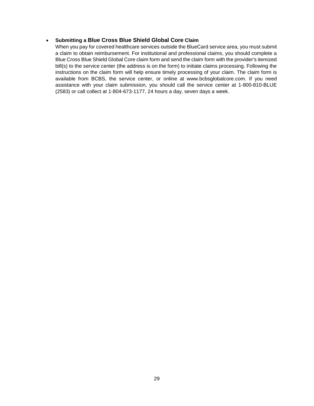#### • **Submitting a Blue Cross Blue Shield Global Core Claim**

When you pay for covered healthcare services outside the BlueCard service area, you must submit a claim to obtain reimbursement. For institutional and professional claims, you should complete a Blue Cross Blue Shield Global Core claim form and send the claim form with the provider's itemized bill(s) to the service center (the address is on the form) to initiate claims processing. Following the instructions on the claim form will help ensure timely processing of your claim. The claim form is available from BCBS, the service center, or online at www.bcbsglobalcore.com. If you need assistance with your claim submission, you should call the service center at 1-800-810-BLUE (2583) or call collect at 1-804-673-1177, 24 hours a day, seven days a week.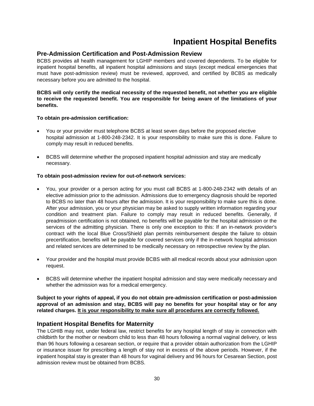# **Inpatient Hospital Benefits**

# **Pre-Admission Certification and Post-Admission Review**

BCBS provides all health management for LGHIP members and covered dependents. To be eligible for inpatient hospital benefits, all inpatient hospital admissions and stays (except medical emergencies that must have post-admission review) must be reviewed, approved, and certified by BCBS as medically necessary before you are admitted to the hospital.

#### **BCBS will only certify the medical necessity of the requested benefit, not whether you are eligible to receive the requested benefit. You are responsible for being aware of the limitations of your benefits.**

#### **To obtain pre-admission certification:**

- You or your provider must telephone BCBS at least seven days before the proposed elective hospital admission at 1-800-248-2342. It is your responsibility to make sure this is done. Failure to comply may result in reduced benefits.
- BCBS will determine whether the proposed inpatient hospital admission and stay are medically necessary.

#### **To obtain post-admission review for out-of-network services:**

- You, your provider or a person acting for you must call BCBS at 1-800-248-2342 with details of an elective admission prior to the admission. Admissions due to emergency diagnosis should be reported to BCBS no later than 48 hours after the admission. It is your responsibility to make sure this is done. After your admission, you or your physician may be asked to supply written information regarding your condition and treatment plan. Failure to comply may result in reduced benefits. Generally, if preadmission certification is not obtained, no benefits will be payable for the hospital admission or the services of the admitting physician. There is only one exception to this: If an in-network provider's contract with the local Blue Cross/Shield plan permits reimbursement despite the failure to obtain precertification, benefits will be payable for covered services only if the in-network hospital admission and related services are determined to be medically necessary on retrospective review by the plan.
- Your provider and the hospital must provide BCBS with all medical records about your admission upon request.
- BCBS will determine whether the inpatient hospital admission and stay were medically necessary and whether the admission was for a medical emergency.

**Subject to your rights of appeal, if you do not obtain pre-admission certification or post-admission approval of an admission and stay, BCBS will pay no benefits for your hospital stay or for any related charges. It is your responsibility to make sure all procedures are correctly followed.**

## **Inpatient Hospital Benefits for Maternity**

The LGHIB may not, under federal law, restrict benefits for any hospital length of stay in connection with childbirth for the mother or newborn child to less than 48 hours following a normal vaginal delivery, or less than 96 hours following a cesarean section, or require that a provider obtain authorization from the LGHIP or insurance issuer for prescribing a length of stay not in excess of the above periods. However, if the inpatient hospital stay is greater than 48 hours for vaginal delivery and 96 hours for Cesarean Section, post admission review must be obtained from BCBS.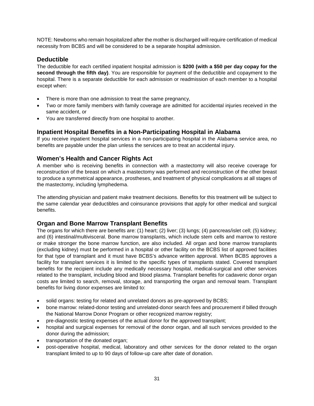NOTE: Newborns who remain hospitalized after the mother is discharged will require certification of medical necessity from BCBS and will be considered to be a separate hospital admission.

# **Deductible**

The deductible for each certified inpatient hospital admission is **\$200 (with a \$50 per day copay for the second through the fifth day)**. You are responsible for payment of the deductible and copayment to the hospital. There is a separate deductible for each admission or readmission of each member to a hospital except when:

- There is more than one admission to treat the same pregnancy,
- Two or more family members with family coverage are admitted for accidental injuries received in the same accident, or
- You are transferred directly from one hospital to another.

## **Inpatient Hospital Benefits in a Non-Participating Hospital in Alabama**

If you receive inpatient hospital services in a non-participating hospital in the Alabama service area, no benefits are payable under the plan unless the services are to treat an accidental injury.

# **Women's Health and Cancer Rights Act**

A member who is receiving benefits in connection with a mastectomy will also receive coverage for reconstruction of the breast on which a mastectomy was performed and reconstruction of the other breast to produce a symmetrical appearance, prostheses, and treatment of physical complications at all stages of the mastectomy, including lymphedema.

The attending physician and patient make treatment decisions. Benefits for this treatment will be subject to the same calendar year deductibles and coinsurance provisions that apply for other medical and surgical benefits.

## **Organ and Bone Marrow Transplant Benefits**

The organs for which there are benefits are: (1) heart; (2) liver; (3) lungs; (4) pancreas/islet cell; (5) kidney; and (6) intestinal/multivisceral. Bone marrow transplants, which include stem cells and marrow to restore or make stronger the bone marrow function, are also included. All organ and bone marrow transplants (excluding kidney) must be performed in a hospital or other facility on the BCBS list of approved facilities for that type of transplant and it must have BCBS's advance written approval. When BCBS approves a facility for transplant services it is limited to the specific types of transplants stated. Covered transplant benefits for the recipient include any medically necessary hospital, medical-surgical and other services related to the transplant, including blood and blood plasma. Transplant benefits for cadaveric donor organ costs are limited to search, removal, storage, and transporting the organ and removal team. Transplant benefits for living donor expenses are limited to:

- solid organs: testing for related and unrelated donors as pre-approved by BCBS;
- bone marrow: related-donor testing and unrelated-donor search fees and procurement if billed through the National Marrow Donor Program or other recognized marrow registry;
- pre-diagnostic testing expenses of the actual donor for the approved transplant;
- hospital and surgical expenses for removal of the donor organ, and all such services provided to the donor during the admission;
- transportation of the donated organ;
- post-operative hospital, medical, laboratory and other services for the donor related to the organ transplant limited to up to 90 days of follow-up care after date of donation.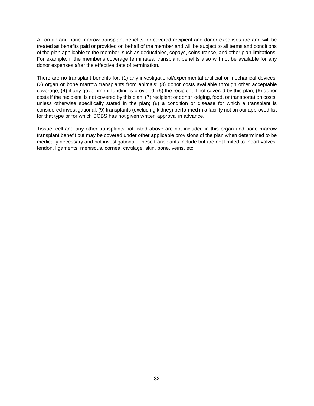All organ and bone marrow transplant benefits for covered recipient and donor expenses are and will be treated as benefits paid or provided on behalf of the member and will be subject to all terms and conditions of the plan applicable to the member, such as deductibles, copays, coinsurance, and other plan limitations. For example, if the member's coverage terminates, transplant benefits also will not be available for any donor expenses after the effective date of termination.

There are no transplant benefits for: (1) any investigational/experimental artificial or mechanical devices; (2) organ or bone marrow transplants from animals; (3) donor costs available through other acceptable coverage; (4) if any government funding is provided; (5) the recipient if not covered by this plan; (6) donor costs if the recipient is not covered by this plan; (7) recipient or donor lodging, food, or transportation costs, unless otherwise specifically stated in the plan; (8) a condition or disease for which a transplant is considered investigational; (9) transplants (excluding kidney) performed in a facility not on our approved list for that type or for which BCBS has not given written approval in advance.

Tissue, cell and any other transplants not listed above are not included in this organ and bone marrow transplant benefit but may be covered under other applicable provisions of the plan when determined to be medically necessary and not investigational. These transplants include but are not limited to: heart valves, tendon, ligaments, meniscus, cornea, cartilage, skin, bone, veins, etc.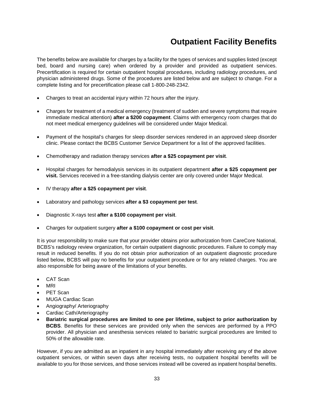# **Outpatient Facility Benefits**

The benefits below are available for charges by a facility for the types of services and supplies listed (except bed, board and nursing care) when ordered by a provider and provided as outpatient services. Precertification is required for certain outpatient hospital procedures, including radiology procedures, and physician administered drugs. Some of the procedures are listed below and are subject to change. For a complete listing and for precertification please call 1-800-248-2342.

- Charges to treat an accidental injury within 72 hours after the injury.
- Charges for treatment of a medical emergency (treatment of sudden and severe symptoms that require immediate medical attention) **after a \$200 copayment**. Claims with emergency room charges that do not meet medical emergency guidelines will be considered under Major Medical.
- Payment of the hospital's charges for sleep disorder services rendered in an approved sleep disorder clinic. Please contact the BCBS Customer Service Department for a list of the approved facilities.
- Chemotherapy and radiation therapy services **after a \$25 copayment per visit**.
- Hospital charges for hemodialysis services in its outpatient department **after a \$25 copayment per visit.** Services received in a free-standing dialysis center are only covered under Major Medical.
- IV therapy **after a \$25 copayment per visit**.
- Laboratory and pathology services **after a \$3 copayment per test**.
- Diagnostic X-rays test **after a \$100 copayment per visit**.
- Charges for outpatient surgery **after a \$100 copayment or cost per visit**.

It is your responsibility to make sure that your provider obtains prior authorization from CareCore National, BCBS's radiology review organization, for certain outpatient diagnostic procedures. Failure to comply may result in reduced benefits. If you do not obtain prior authorization of an outpatient diagnostic procedure listed below, BCBS will pay no benefits for your outpatient procedure or for any related charges. You are also responsible for being aware of the limitations of your benefits.

- CAT Scan
- MRI
- PET Scan
- MUGA Cardiac Scan
- Angiography/ Arteriography
- Cardiac Cath/Arteriography
- **Bariatric surgical procedures are limited to one per lifetime, subject to prior authorization by BCBS**. Benefits for these services are provided only when the services are performed by a PPO provider. All physician and anesthesia services related to bariatric surgical procedures are limited to 50% of the allowable rate.

However, if you are admitted as an inpatient in any hospital immediately after receiving any of the above outpatient services, or within seven days after receiving tests, no outpatient hospital benefits will be available to you for those services, and those services instead will be covered as inpatient hospital benefits.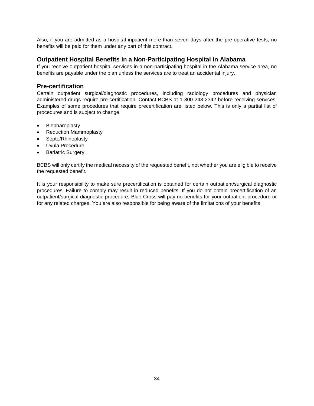Also, if you are admitted as a hospital inpatient more than seven days after the pre-operative tests, no benefits will be paid for them under any part of this contract.

# **Outpatient Hospital Benefits in a Non-Participating Hospital in Alabama**

If you receive outpatient hospital services in a non-participating hospital in the Alabama service area, no benefits are payable under the plan unless the services are to treat an accidental injury.

### **Pre-certification**

Certain outpatient surgical/diagnostic procedures, including radiology procedures and physician administered drugs require pre-certification. Contact BCBS at 1-800-248-2342 before receiving services. Examples of some procedures that require precertification are listed below. This is only a partial list of procedures and is subject to change.

- **Blepharoplasty**
- Reduction Mammoplasty
- Septo/Rhinoplasty
- Uvula Procedure
- Bariatric Surgery

BCBS will only certify the medical necessity of the requested benefit, not whether you are eligible to receive the requested benefit.

It is your responsibility to make sure precertification is obtained for certain outpatient/surgical diagnostic procedures. Failure to comply may result in reduced benefits. If you do not obtain precertification of an outpatient/surgical diagnostic procedure, Blue Cross will pay no benefits for your outpatient procedure or for any related charges. You are also responsible for being aware of the limitations of your benefits.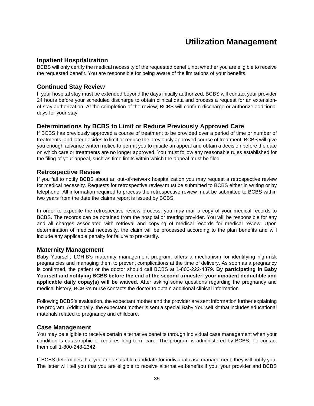# **Utilization Management**

### **Inpatient Hospitalization**

BCBS will only certify the medical necessity of the requested benefit, not whether you are eligible to receive the requested benefit. You are responsible for being aware of the limitations of your benefits.

### **Continued Stay Review**

If your hospital stay must be extended beyond the days initially authorized, BCBS will contact your provider 24 hours before your scheduled discharge to obtain clinical data and process a request for an extensionof-stay authorization. At the completion of the review, BCBS will confirm discharge or authorize additional days for your stay.

## **Determinations by BCBS to Limit or Reduce Previously Approved Care**

If BCBS has previously approved a course of treatment to be provided over a period of time or number of treatments, and later decides to limit or reduce the previously approved course of treatment, BCBS will give you enough advance written notice to permit you to initiate an appeal and obtain a decision before the date on which care or treatments are no longer approved. You must follow any reasonable rules established for the filing of your appeal, such as time limits within which the appeal must be filed.

#### **Retrospective Review**

If you fail to notify BCBS about an out-of-network hospitalization you may request a retrospective review for medical necessity. Requests for retrospective review must be submitted to BCBS either in writing or by telephone. All information required to process the retrospective review must be submitted to BCBS within two years from the date the claims report is issued by BCBS.

In order to expedite the retrospective review process, you may mail a copy of your medical records to BCBS. The records can be obtained from the hospital or treating provider. You will be responsible for any and all charges associated with retrieval and copying of medical records for medical review. Upon determination of medical necessity, the claim will be processed according to the plan benefits and will include any applicable penalty for failure to pre-certify.

## **Maternity Management**

Baby Yourself, LGHIB's maternity management program, offers a mechanism for identifying high-risk pregnancies and managing them to prevent complications at the time of delivery. As soon as a pregnancy is confirmed, the patient or the doctor should call BCBS at 1-800-222-4379. **By participating in Baby Yourself and notifying BCBS before the end of the second trimester, your inpatient deductible and applicable daily copay(s) will be waived.** After asking some questions regarding the pregnancy and medical history, BCBS's nurse contacts the doctor to obtain additional clinical information.

Following BCBS's evaluation, the expectant mother and the provider are sent information further explaining the program. Additionally, the expectant mother is sent a special Baby Yourself kit that includes educational materials related to pregnancy and childcare.

## **Case Management**

You may be eligible to receive certain alternative benefits through individual case management when your condition is catastrophic or requires long term care. The program is administered by BCBS. To contact them call 1-800-248-2342.

If BCBS determines that you are a suitable candidate for individual case management, they will notify you. The letter will tell you that you are eligible to receive alternative benefits if you, your provider and BCBS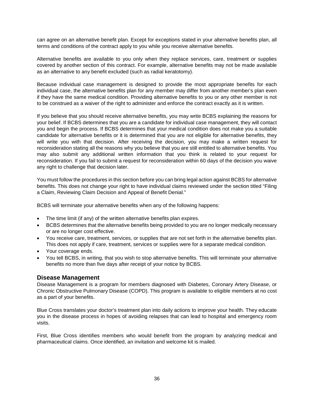can agree on an alternative benefit plan. Except for exceptions stated in your alternative benefits plan, all terms and conditions of the contract apply to you while you receive alternative benefits.

Alternative benefits are available to you only when they replace services, care, treatment or supplies covered by another section of this contract. For example, alternative benefits may not be made available as an alternative to any benefit excluded (such as radial keratotomy).

Because individual case management is designed to provide the most appropriate benefits for each individual case, the alternative benefits plan for any member may differ from another member's plan even if they have the same medical condition. Providing alternative benefits to you or any other member is not to be construed as a waiver of the right to administer and enforce the contract exactly as it is written.

If you believe that you should receive alternative benefits, you may write BCBS explaining the reasons for your belief. If BCBS determines that you are a candidate for individual case management, they will contact you and begin the process. If BCBS determines that your medical condition does not make you a suitable candidate for alternative benefits or it is determined that you are not eligible for alternative benefits, they will write you with that decision. After receiving the decision, you may make a written request for reconsideration stating all the reasons why you believe that you are still entitled to alternative benefits. You may also submit any additional written information that you think is related to your request for reconsideration. If you fail to submit a request for reconsideration within 60 days of the decision you waive any right to challenge that decision later.

You must follow the procedures in this section before you can bring legal action against BCBS for alternative benefits. This does not change your right to have individual claims reviewed under the section titled "Filing a Claim, Reviewing Claim Decision and Appeal of Benefit Denial."

BCBS will terminate your alternative benefits when any of the following happens:

- The time limit (if any) of the written alternative benefits plan expires.
- BCBS determines that the alternative benefits being provided to you are no longer medically necessary or are no longer cost effective.
- You receive care, treatment, services, or supplies that are not set forth in the alternative benefits plan. This does not apply if care, treatment, services or supplies were for a separate medical condition.
- Your coverage ends.
- You tell BCBS, in writing, that you wish to stop alternative benefits. This will terminate your alternative benefits no more than five days after receipt of your notice by BCBS.

#### **Disease Management**

Disease Management is a program for members diagnosed with Diabetes, Coronary Artery Disease, or Chronic Obstructive Pulmonary Disease (COPD). This program is available to eligible members at no cost as a part of your benefits.

Blue Cross translates your doctor's treatment plan into daily actions to improve your health. They educate you in the disease process in hopes of avoiding relapses that can lead to hospital and emergency room visits.

First, Blue Cross identifies members who would benefit from the program by analyzing medical and pharmaceutical claims. Once identified, an invitation and welcome kit is mailed.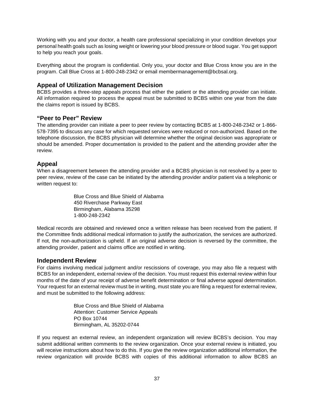Working with you and your doctor, a health care professional specializing in your condition develops your personal health goals such as losing weight or lowering your blood pressure or blood sugar. You get support to help you reach your goals.

Everything about the program is confidential. Only you, your doctor and Blue Cross know you are in the program. Call Blue Cross at 1-800-248-2342 or email membermanagement@bcbsal.org.

# **Appeal of Utilization Management Decision**

BCBS provides a three-step appeals process that either the patient or the attending provider can initiate. All information required to process the appeal must be submitted to BCBS within one year from the date the claims report is issued by BCBS.

## **"Peer to Peer" Review**

The attending provider can initiate a peer to peer review by contacting BCBS at 1-800-248-2342 or 1-866- 578-7395 to discuss any case for which requested services were reduced or non-authorized. Based on the telephone discussion, the BCBS physician will determine whether the original decision was appropriate or should be amended. Proper documentation is provided to the patient and the attending provider after the review.

## **Appeal**

When a disagreement between the attending provider and a BCBS physician is not resolved by a peer to peer review, review of the case can be initiated by the attending provider and/or patient via a telephonic or written request to:

> Blue Cross and Blue Shield of Alabama 450 Riverchase Parkway East Birmingham, Alabama 35298 1-800-248-2342

Medical records are obtained and reviewed once a written release has been received from the patient. If the Committee finds additional medical information to justify the authorization, the services are authorized. If not, the non-authorization is upheld. If an original adverse decision is reversed by the committee, the attending provider, patient and claims office are notified in writing.

## **Independent Review**

For claims involving medical judgment and/or rescissions of coverage, you may also file a request with BCBS for an independent, external review of the decision. You must request this external review within four months of the date of your receipt of adverse benefit determination or final adverse appeal determination. Your request for an external review must be in writing, must state you are filing a request for external review, and must be submitted to the following address:

> Blue Cross and Blue Shield of Alabama Attention: Customer Service Appeals PO Box 10744 Birmingham, AL 35202-0744

If you request an external review, an independent organization will review BCBS's decision. You may submit additional written comments to the review organization. Once your external review is initiated, you will receive instructions about how to do this. If you give the review organization additional information, the review organization will provide BCBS with copies of this additional information to allow BCBS an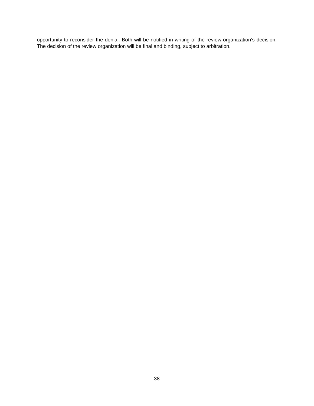opportunity to reconsider the denial. Both will be notified in writing of the review organization's decision. The decision of the review organization will be final and binding, subject to arbitration.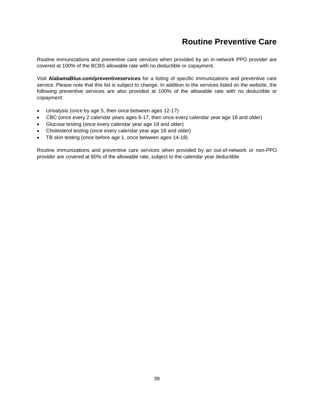# **Routine Preventive Care**

Routine immunizations and preventive care services when provided by an in-network PPO provider are covered at 100% of the BCBS allowable rate with no deductible or copayment.

Visit **AlabamaBlue.com/preventiveservices** for a listing of specific immunizations and preventive care service. Please note that this list is subject to change. In addition to the services listed on the website, the following preventive services are also provided at 100% of the allowable rate with no deductible or copayment:

- Urinalysis (once by age 5, then once between ages 12-17)
- CBC (once every 2 calendar years ages 6-17, then once every calendar year age 18 and older)
- Glucose testing (once every calendar year age 18 and older)
- Cholesterol testing (once every calendar year age 18 and older)
- TB skin testing (once before age 1, once between ages 14-18)

Routine immunizations and preventive care services when provided by an out-of-network or non-PPO provider are covered at 80% of the allowable rate, subject to the calendar year deductible.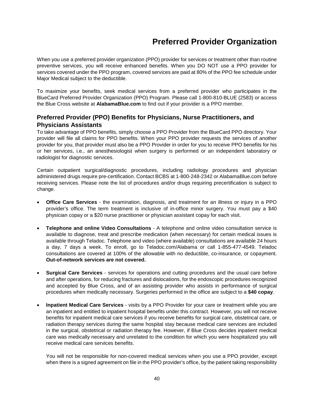# **Preferred Provider Organization**

When you use a preferred provider organization (PPO) provider for services or treatment other than routine preventive services, you will receive enhanced benefits. When you DO NOT use a PPO provider for services covered under the PPO program, covered services are paid at 80% of the PPO fee schedule under Major Medical subject to the deductible.

To maximize your benefits, seek medical services from a preferred provider who participates in the BlueCard Preferred Provider Organization (PPO) Program. Please call 1-800-810-BLUE (2583) or access the Blue Cross website at **AlabamaBlue.com** to find out if your provider is a PPO member.

# **Preferred Provider (PPO) Benefits for Physicians, Nurse Practitioners, and Physicians Assistants**

To take advantage of PPO benefits, simply choose a PPO Provider from the BlueCard PPO directory. Your provider will file all claims for PPO benefits. When your PPO provider requests the services of another provider for you, that provider must also be a PPO Provider in order for you to receive PPO benefits for his or her services, i.e., an anesthesiologist when surgery is performed or an independent laboratory or radiologist for diagnostic services.

Certain outpatient surgical/diagnostic procedures, including radiology procedures and physician administered drugs require pre-certification. Contact BCBS at 1-800-248-2342 or AlabamaBlue.com before receiving services. Please note the list of procedures and/or drugs requiring precertification is subject to change.

- **Office Care Services** the examination, diagnosis, and treatment for an illness or injury in a PPO provider's office. The term treatment is inclusive of in-office minor surgery. You must pay a \$40 physician copay or a \$20 nurse practitioner or physician assistant copay for each visit.
- **Telephone and online Video Consultations** A telephone and online video consultation service is available to diagnose, treat and prescribe medication (when necessary) for certain medical issues is available through Teladoc. Telephone and video (where available) consultations are available 24 hours a day, 7 days a week. To enroll, go to Teladoc.com/Alabama or call 1-855-477-4549. Teladoc consultations are covered at 100% of the allowable with no deductible, co-insurance, or copayment. **Out-of-network services are not covered.**
- **Surgical Care Services** services for operations and cutting procedures and the usual care before and after operations, for reducing fractures and dislocations, for the endoscopic procedures recognized and accepted by Blue Cross, and of an assisting provider who assists in performance of surgical procedures when medically necessary. Surgeries performed in the office are subject to a **\$40 copay**.
- **Inpatient Medical Care Services** visits by a PPO Provider for your care or treatment while you are an inpatient and entitled to inpatient hospital benefits under this contract. However, you will not receive benefits for inpatient medical care services if you receive benefits for surgical care, obstetrical care, or radiation therapy services during the same hospital stay because medical care services are included in the surgical, obstetrical or radiation therapy fee. However, if Blue Cross decides inpatient medical care was medically necessary and unrelated to the condition for which you were hospitalized you will receive medical care services benefits.

You will not be responsible for non-covered medical services when you use a PPO provider, except when there is a signed agreement on file in the PPO provider's office, by the patient taking responsibility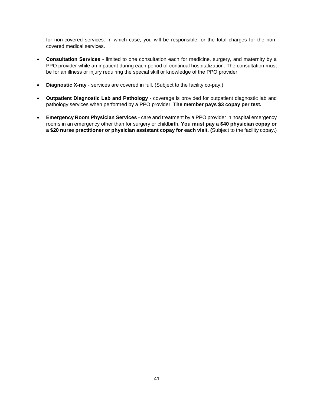for non-covered services. In which case, you will be responsible for the total charges for the noncovered medical services.

- **Consultation Services** limited to one consultation each for medicine, surgery, and maternity by a PPO provider while an inpatient during each period of continual hospitalization. The consultation must be for an illness or injury requiring the special skill or knowledge of the PPO provider.
- **Diagnostic X-ray** services are covered in full. (Subject to the facility co-pay.)
- **Outpatient Diagnostic Lab and Pathology** coverage is provided for outpatient diagnostic lab and pathology services when performed by a PPO provider. **The member pays \$3 copay per test.**
- **Emergency Room Physician Services** care and treatment by a PPO provider in hospital emergency rooms in an emergency other than for surgery or childbirth. **You must pay a \$40 physician copay or a \$20 nurse practitioner or physician assistant copay for each visit. (**Subject to the facility copay.)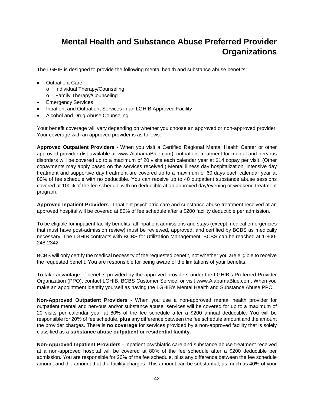# **Mental Health and Substance Abuse Preferred Provider Organizations**

The LGHIP is designed to provide the following mental health and substance abuse benefits:

- Outpatient Care
	- o Individual Therapy/Counseling
	- o Family Therapy/Counseling
- Emergency Services
- Inpatient and Outpatient Services in an LGHIB Approved Facility
- Alcohol and Drug Abuse Counseling

Your benefit coverage will vary depending on whether you choose an approved or non-approved provider. Your coverage with an approved provider is as follows:

**Approved Outpatient Providers** - When you visit a Certified Regional Mental Health Center or other approved provider (list available at www.AlabamaBlue.com), outpatient treatment for mental and nervous disorders will be covered up to a maximum of 20 visits each calendar year at \$14 copay per visit. (Other copayments may apply based on the services received.) Mental illness day hospitalization, intensive day treatment and supportive day treatment are covered up to a maximum of 60 days each calendar year at 80% of fee schedule with no deductible. You can receive up to 40 outpatient substance abuse sessions covered at 100% of the fee schedule with no deductible at an approved day/evening or weekend treatment program.

**Approved Inpatient Providers** - Inpatient psychiatric care and substance abuse treatment received at an approved hospital will be covered at 80% of fee schedule after a \$200 facility deductible per admission.

To be eligible for inpatient facility benefits, all inpatient admissions and stays (except medical emergencies that must have post-admission review) must be reviewed, approved, and certified by BCBS as medically necessary. The LGHIB contracts with BCBS for Utilization Management. BCBS can be reached at 1-800- 248-2342.

BCBS will only certify the medical necessity of the requested benefit, not whether you are eligible to receive the requested benefit. You are responsible for being aware of the limitations of your benefits.

To take advantage of benefits provided by the approved providers under the LGHIB's Preferred Provider Organization (PPO), contact LGHIB, BCBS Customer Service, or visit www.AlabamaBlue.com. When you make an appointment identify yourself as having the LGHIB's Mental Health and Substance Abuse PPO.

**Non-Approved Outpatient Providers** - When you use a non-approved mental health provider for outpatient mental and nervous and/or substance abuse, services will be covered for up to a maximum of 20 visits per calendar year at 80% of the fee schedule after a \$200 annual deductible. You will be responsible for 20% of fee schedule, **plus** any difference between the fee schedule amount and the amount the provider charges. There is **no coverage** for services provided by a non-approved facility that is solely classified as a **substance abuse outpatient or residential facility**.

**Non-Approved Inpatient Providers** - Inpatient psychiatric care and substance abuse treatment received at a non-approved hospital will be covered at 80% of the fee schedule after a \$200 deductible per admission. You are responsible for 20% of the fee schedule, plus any difference between the fee schedule amount and the amount that the facility charges. This amount can be substantial, as much as 40% of your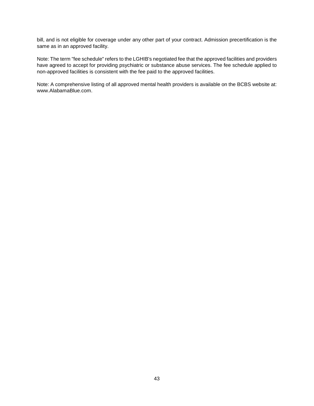bill, and is not eligible for coverage under any other part of your contract. Admission precertification is the same as in an approved facility.

Note: The term "fee schedule" refers to the LGHIB's negotiated fee that the approved facilities and providers have agreed to accept for providing psychiatric or substance abuse services. The fee schedule applied to non-approved facilities is consistent with the fee paid to the approved facilities.

Note: A comprehensive listing of all approved mental health providers is available on the BCBS website at: www.AlabamaBlue.com.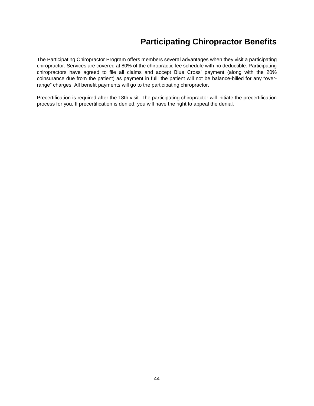# **Participating Chiropractor Benefits**

The Participating Chiropractor Program offers members several advantages when they visit a participating chiropractor. Services are covered at 80% of the chiropractic fee schedule with no deductible. Participating chiropractors have agreed to file all claims and accept Blue Cross' payment (along with the 20% coinsurance due from the patient) as payment in full; the patient will not be balance-billed for any "overrange" charges. All benefit payments will go to the participating chiropractor.

Precertification is required after the 18th visit. The participating chiropractor will initiate the precertification process for you. If precertification is denied, you will have the right to appeal the denial.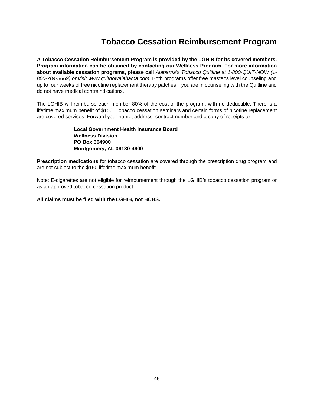# **Tobacco Cessation Reimbursement Program**

**A Tobacco Cessation Reimbursement Program is provided by the LGHIB for its covered members. Program information can be obtained by contacting our Wellness Program. For more information about available cessation programs, please call** *Alabama's Tobacco Quitline at 1-800-QUIT-NOW (1- 800-784-8669) or visit www.quitnowalabama.com.* Both programs offer free master's level counseling and up to four weeks of free nicotine replacement therapy patches if you are in counseling with the Quitline and do not have medical contraindications.

The LGHIB will reimburse each member 80% of the cost of the program, with no deductible. There is a lifetime maximum benefit of \$150. Tobacco cessation seminars and certain forms of nicotine replacement are covered services. Forward your name, address, contract number and a copy of receipts to:

> **Local Government Health Insurance Board Wellness Division PO Box 304900 Montgomery, AL 36130-4900**

**Prescription medications** for tobacco cessation are covered through the prescription drug program and are not subject to the \$150 lifetime maximum benefit.

Note: E-cigarettes are not eligible for reimbursement through the LGHIB's tobacco cessation program or as an approved tobacco cessation product.

**All claims must be filed with the LGHIB, not BCBS.**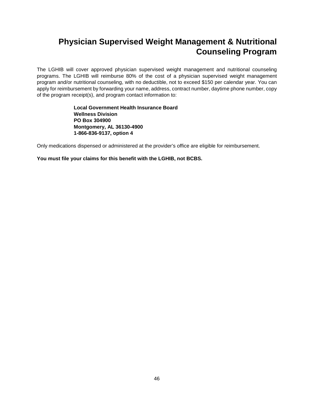# **Physician Supervised Weight Management & Nutritional Counseling Program**

The LGHIB will cover approved physician supervised weight management and nutritional counseling programs. The LGHIB will reimburse 80% of the cost of a physician supervised weight management program and/or nutritional counseling, with no deductible, not to exceed \$150 per calendar year. You can apply for reimbursement by forwarding your name, address, contract number, daytime phone number, copy of the program receipt(s), and program contact information to:

> **Local Government Health Insurance Board Wellness Division PO Box 304900 Montgomery, AL 36130-4900 1-866-836-9137, option 4**

Only medications dispensed or administered at the provider's office are eligible for reimbursement.

**You must file your claims for this benefit with the LGHIB, not BCBS.**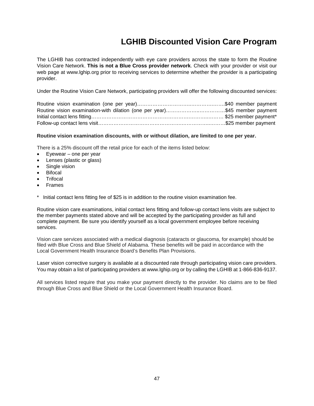# **LGHIB Discounted Vision Care Program**

The LGHIB has contracted independently with eye care providers across the state to form the Routine Vision Care Network. **This is not a Blue Cross provider network**. Check with your provider or visit our web page at www.lghip.org prior to receiving services to determine whether the provider is a participating provider.

Under the Routine Vision Care Network, participating providers will offer the following discounted services:

| Routine vision examination-with dilation (one per year)\$45 member payment |  |
|----------------------------------------------------------------------------|--|
|                                                                            |  |
|                                                                            |  |

#### **Routine vision examination discounts, with or without dilation, are limited to one per year.**

There is a 25% discount off the retail price for each of the items listed below:

- $E$ yewear one per year
- Lenses (plastic or glass)
- Single vision
- **Bifocal**
- **Trifocal**
- Frames
- Initial contact lens fitting fee of \$25 is in addition to the routine vision examination fee.

Routine vision care examinations, initial contact lens fitting and follow-up contact lens visits are subject to the member payments stated above and will be accepted by the participating provider as full and complete payment. Be sure you identify yourself as a local government employee before receiving services.

Vision care services associated with a medical diagnosis (cataracts or glaucoma, for example) should be filed with Blue Cross and Blue Shield of Alabama. These benefits will be paid in accordance with the Local Government Health Insurance Board's Benefits Plan Provisions.

Laser vision corrective surgery is available at a discounted rate through participating vision care providers. You may obtain a list of participating providers at www.lghip.org or by calling the LGHIB at 1-866-836-9137.

All services listed require that you make your payment directly to the provider. No claims are to be filed through Blue Cross and Blue Shield or the Local Government Health Insurance Board.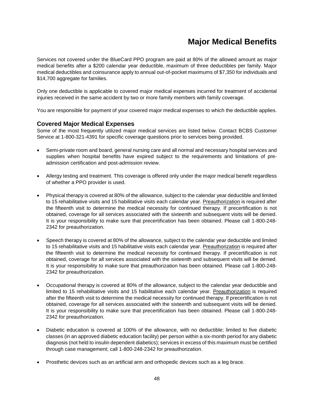# **Major Medical Benefits**

Services not covered under the BlueCard PPO program are paid at 80% of the allowed amount as major medical benefits after a \$200 calendar year deductible, maximum of three deductibles per family. Major medical deductibles and coinsurance apply to annual out-of-pocket maximums of \$7,350 for individuals and \$14,700 aggregate for families.

Only one deductible is applicable to covered major medical expenses incurred for treatment of accidental injuries received in the same accident by two or more family members with family coverage.

You are responsible for payment of your covered major medical expenses to which the deductible applies.

# **Covered Major Medical Expenses**

Some of the most frequently utilized major medical services are listed below. Contact BCBS Customer Service at 1-800-321-4391 for specific coverage questions prior to services being provided.

- Semi-private room and board, general nursing care and all normal and necessary hospital services and supplies when hospital benefits have expired subject to the requirements and limitations of preadmission certification and post-admission review.
- Allergy testing and treatment. This coverage is offered only under the major medical benefit regardless of whether a PPO provider is used.
- Physical therapy is covered at 80% of the allowance, subject to the calendar year deductible and limited to 15 rehabilitative visits and 15 habilitative visits each calendar year. Preauthorization is required after the fifteenth visit to determine the medical necessity for continued therapy. If precertification is not obtained, coverage for all services associated with the sixteenth and subsequent visits will be denied. It is your responsibility to make sure that precertification has been obtained. Please call 1-800-248- 2342 for preauthorization.
- Speech therapy is covered at 80% of the allowance, subject to the calendar year deductible and limited to 15 rehabilitative visits and 15 habilitative visits each calendar year. Preauthorization is required after the fifteenth visit to determine the medical necessity for continued therapy. If precertification is not obtained, coverage for all services associated with the sixteenth and subsequent visits will be denied. It is your responsibility to make sure that preauthorization has been obtained. Please call 1-800-248- 2342 for preauthorization.
- Occupational therapy is covered at 80% of the allowance, subject to the calendar year deductible and limited to 15 rehabilitative visits and 15 habilitative each calendar year. Preauthorization is required after the fifteenth visit to determine the medical necessity for continued therapy. If precertification is not obtained, coverage for all services associated with the sixteenth and subsequent visits will be denied. It is your responsibility to make sure that precertification has been obtained. Please call 1-800-248- 2342 for preauthorization.
- Diabetic education is covered at 100% of the allowance, with no deductible; limited to five diabetic classes (in an approved diabetic education facility) per person within a six-month period for any diabetic diagnosis (not held to insulin dependent diabetics); services in excess of this maximum must be certified through case management; call 1-800-248-2342 for preauthorization.
- Prosthetic devices such as an artificial arm and orthopedic devices such as a leg brace.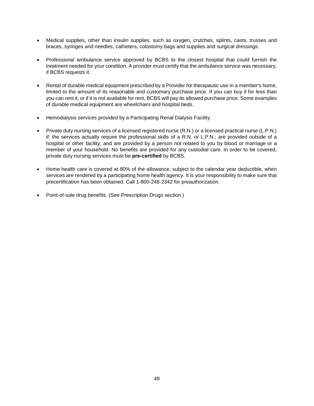- Medical supplies, other than insulin supplies, such as oxygen, crutches, splints, casts, trusses and braces, syringes and needles, catheters, colostomy bags and supplies and surgical dressings.
- Professional ambulance service approved by BCBS to the closest hospital that could furnish the treatment needed for your condition. A provider must certify that the ambulance service was necessary, if BCBS requests it.
- Rental of durable medical equipment prescribed by a Provider for therapeutic use in a member's home, limited to the amount of its reasonable and customary purchase price. If you can buy it for less than you can rent it, or if it is not available for rent, BCBS will pay its allowed purchase price. Some examples of durable medical equipment are wheelchairs and hospital beds.
- Hemodialysis services provided by a Participating Renal Dialysis Facility.
- Private duty nursing services of a licensed registered nurse (R.N.) or a licensed practical nurse (L.P.N.) if: the services actually require the professional skills of a R.N. or L.P.N.; are provided outside of a hospital or other facility; and are provided by a person not related to you by blood or marriage or a member of your household. No benefits are provided for any custodial care. In order to be covered, private duty nursing services must be **pre-certified** by BCBS.
- Home health care is covered at 80% of the allowance, subject to the calendar year deductible, when services are rendered by a participating home health agency. It is your responsibility to make sure that precertification has been obtained. Call 1-800-248-2342 for preauthorization.
- Point-of-sale drug benefits. (See Prescription Drugs section.)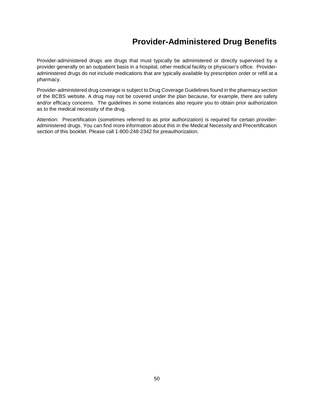# **Provider-Administered Drug Benefits**

Provider-administered drugs are drugs that must typically be administered or directly supervised by a provider generally on an outpatient basis in a hospital, other medical facility or physician's office. Provideradministered drugs do not include medications that are typically available by prescription order or refill at a pharmacy.

Provider-administered drug coverage is subject to [Drug Coverage Guidelines](https://www.bcbsal.org/web/pharmacy/guidelines.html) found in the pharmacy section of the BCBS website. A drug may not be covered under the plan because, for example, there are safety and/or efficacy concerns. The guidelines in some instances also require you to obtain prior authorization as to the medical necessity of the drug.

Attention:Precertification (sometimes referred to as prior authorization) is required for certain provideradministered drugs. You can find more information about this in the Medical Necessity and Precertification section of this booklet. Please call 1-800-248-2342 for preauthorization.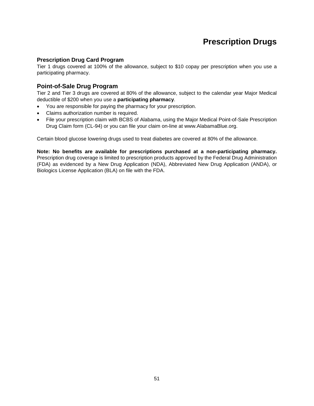# **Prescription Drugs**

#### **Prescription Drug Card Program**

Tier 1 drugs covered at 100% of the allowance, subject to \$10 copay per prescription when you use a participating pharmacy.

### **Point-of-Sale Drug Program**

Tier 2 and Tier 3 drugs are covered at 80% of the allowance, subject to the calendar year Major Medical deductible of \$200 when you use a **participating pharmacy**.

- You are responsible for paying the pharmacy for your prescription.
- Claims authorization number is required.
- File your prescription claim with BCBS of Alabama, using the Major Medical Point-of-Sale Prescription Drug Claim form (CL-94) or you can file your claim on-line at www.AlabamaBlue.org.

Certain blood glucose lowering drugs used to treat diabetes are covered at 80% of the allowance.

**Note: No benefits are available for prescriptions purchased at a non-participating pharmacy.** Prescription drug coverage is limited to prescription products approved by the Federal Drug Administration (FDA) as evidenced by a New Drug Application (NDA), Abbreviated New Drug Application (ANDA), or Biologics License Application (BLA) on file with the FDA.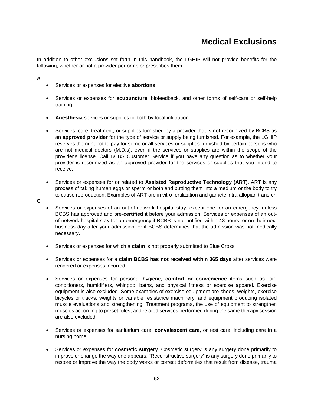# **Medical Exclusions**

In addition to other exclusions set forth in this handbook, the LGHIP will not provide benefits for the following, whether or not a provider performs or prescribes them:

## **A**

**C**

- Services or expenses for elective **abortions**.
- Services or expenses for **acupuncture**, biofeedback, and other forms of self-care or self-help training.
- **Anesthesia** services or supplies or both by local infiltration.
- Services, care, treatment, or supplies furnished by a provider that is not recognized by BCBS as an **approved provider** for the type of service or supply being furnished. For example, the LGHIP reserves the right not to pay for some or all services or supplies furnished by certain persons who are not medical doctors (M.D.s), even if the services or supplies are within the scope of the provider's license. Call BCBS Customer Service if you have any question as to whether your provider is recognized as an approved provider for the services or supplies that you intend to receive.
- Services or expenses for or related to **Assisted Reproductive Technology (ART).** ART is any process of taking human eggs or sperm or both and putting them into a medium or the body to try to cause reproduction. Examples of ART are in vitro fertilization and gamete intrafallopian transfer.
- Services or expenses of an out-of-network hospital stay, except one for an emergency, unless BCBS has approved and pre-**certified** it before your admission. Services or expenses of an outof-network hospital stay for an emergency if BCBS is not notified within 48 hours, or on their next business day after your admission, or if BCBS determines that the admission was not medically necessary.
- Services or expenses for which a **claim** is not properly submitted to Blue Cross.
- Services or expenses for a **claim BCBS has not received within 365 days** after services were rendered or expenses incurred.
- Services or expenses for personal hygiene, **comfort or convenience** items such as: airconditioners, humidifiers, whirlpool baths, and physical fitness or exercise apparel. Exercise equipment is also excluded. Some examples of exercise equipment are shoes, weights, exercise bicycles or tracks, weights or variable resistance machinery, and equipment producing isolated muscle evaluations and strengthening. Treatment programs, the use of equipment to strengthen muscles according to preset rules, and related services performed during the same therapy session are also excluded.
- Services or expenses for sanitarium care, **convalescent care**, or rest care, including care in a nursing home.
- Services or expenses for **cosmetic surgery**. Cosmetic surgery is any surgery done primarily to improve or change the way one appears. "Reconstructive surgery" is any surgery done primarily to restore or improve the way the body works or correct deformities that result from disease, trauma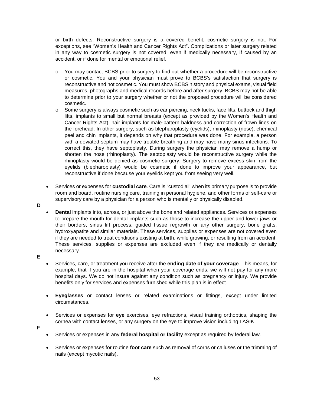or birth defects. Reconstructive surgery is a covered benefit; cosmetic surgery is not. For exceptions, see "Women's Health and Cancer Rights Act". Complications or later surgery related in any way to cosmetic surgery is not covered, even if medically necessary, if caused by an accident, or if done for mental or emotional relief.

- o You may contact BCBS prior to surgery to find out whether a procedure will be reconstructive or cosmetic. You and your physician must prove to BCBS's satisfaction that surgery is reconstructive and not cosmetic. You must show BCBS history and physical exams, visual field measures, photographs and medical records before and after surgery. BCBS may not be able to determine prior to your surgery whether or not the proposed procedure will be considered cosmetic.
- o Some surgery is always cosmetic such as ear piercing, neck tucks, face lifts, buttock and thigh lifts, implants to small but normal breasts (except as provided by the Women's Health and Cancer Rights Act), hair implants for male-pattern baldness and correction of frown lines on the forehead. In other surgery, such as blepharoplasty (eyelids), rhinoplasty (nose), chemical peel and chin implants, it depends on why that procedure was done. For example, a person with a deviated septum may have trouble breathing and may have many sinus infections. To correct this, they have septoplasty. During surgery the physician may remove a hump or shorten the nose (rhinoplasty). The septoplasty would be reconstructive surgery while the rhinoplasty would be denied as cosmetic surgery. Surgery to remove excess skin from the eyelids (blepharoplasty) would be cosmetic if done to improve your appearance, but reconstructive if done because your eyelids kept you from seeing very well.
- Services or expenses for **custodial care**. Care is "custodial" when its primary purpose is to provide room and board, routine nursing care, training in personal hygiene, and other forms of self-care or supervisory care by a physician for a person who is mentally or physically disabled.
- **D**
- **Dental** implants into, across, or just above the bone and related appliances. Services or expenses to prepare the mouth for dental implants such as those to increase the upper and lower jaws or their borders, sinus lift process, guided tissue regrowth or any other surgery, bone grafts, hydroxyapatite and similar materials. These services, supplies or expenses are not covered even if they are needed to treat conditions existing at birth, while growing, or resulting from an accident. These services, supplies or expenses are excluded even if they are medically or dentally necessary.
- **E**
- Services, care, or treatment you receive after the **ending date of your coverage**. This means, for example, that if you are in the hospital when your coverage ends, we will not pay for any more hospital days. We do not insure against any condition such as pregnancy or injury. We provide benefits only for services and expenses furnished while this plan is in effect.
- **Eyeglasses** or contact lenses or related examinations or fittings, except under limited circumstances.
- Services or expenses for **eye** exercises, eye refractions, visual training orthoptics, shaping the cornea with contact lenses, or any surgery on the eye to improve vision including LASIK.
- **F**
- Services or expenses in any **federal hospital or facility** except as required by federal law.
- Services or expenses for routine **foot care** such as removal of corns or calluses or the trimming of nails (except mycotic nails).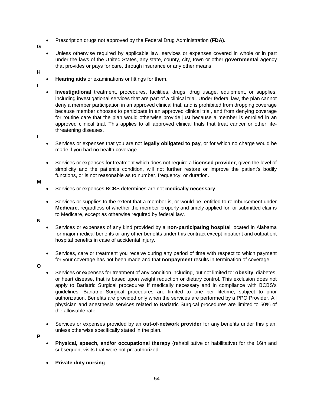- Prescription drugs not approved by the Federal Drug Administration **(FDA).**
- **G**
- Unless otherwise required by applicable law, services or expenses covered in whole or in part under the laws of the United States, any state, county, city, town or other **governmental** agency that provides or pays for care, through insurance or any other means.
- **H**
- **Hearing aids** or examinations or fittings for them.
- **I**
- **Investigational** treatment, procedures, facilities, drugs, drug usage, equipment, or supplies, including investigational services that are part of a clinical trial. Under federal law, the plan cannot deny a member participation in an approved clinical trial, and is prohibited from dropping coverage because member chooses to participate in an approved clinical trial, and from denying coverage for routine care that the plan would otherwise provide just because a member is enrolled in an approved clinical trial. This applies to all approved clinical trials that treat cancer or other lifethreatening diseases.

**L**

- Services or expenses that you are not **legally obligated to pay**, or for which no charge would be made if you had no health coverage.
- Services or expenses for treatment which does not require a **licensed provider**, given the level of simplicity and the patient's condition, will not further restore or improve the patient's bodily functions, or is not reasonable as to number, frequency, or duration.

**M**

- Services or expenses BCBS determines are not **medically necessary**.
- Services or supplies to the extent that a member is, or would be, entitled to reimbursement under **Medicare**, regardless of whether the member properly and timely applied for, or submitted claims to Medicare, except as otherwise required by federal law.

**N**

- Services or expenses of any kind provided by a **non-participating hospital** located in Alabama for major medical benefits or any other benefits under this contract except inpatient and outpatient hospital benefits in case of accidental injury.
- Services, care or treatment you receive during any period of time with respect to which payment for your coverage has not been made and that **nonpayment** results in termination of coverage.

**O**

- Services or expenses for treatment of any condition including, but not limited to: **obesity**, diabetes, or heart disease, that is based upon weight reduction or dietary control. This exclusion does not apply to Bariatric Surgical procedures if medically necessary and in compliance with BCBS's guidelines. Bariatric Surgical procedures are limited to one per lifetime, subject to prior authorization. Benefits are provided only when the services are performed by a PPO Provider. All physician and anesthesia services related to Bariatric Surgical procedures are limited to 50% of the allowable rate.
- Services or expenses provided by an **out-of-network provider** for any benefits under this plan, unless otherwise specifically stated in the plan.

**P**

- **Physical, speech, and/or occupational therapy** (rehabilitative or habilitative) for the 16th and subsequent visits that were not preauthorized.
- **Private duty nursing**.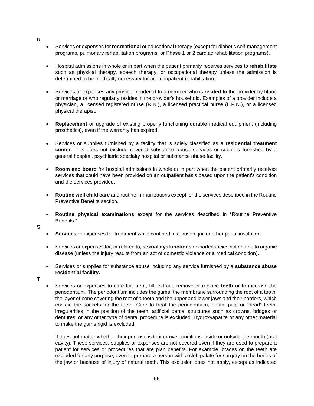- **R**
- Services or expenses for **recreational** or educational therapy (except for diabetic self-management programs, pulmonary rehabilitation programs, or Phase 1 or 2 cardiac rehabilitation programs).
- Hospital admissions in whole or in part when the patient primarily receives services to **rehabilitate** such as physical therapy, speech therapy, or occupational therapy unless the admission is determined to be medically necessary for acute inpatient rehabilitation.
- Services or expenses any provider rendered to a member who is **related** to the provider by blood or marriage or who regularly resides in the provider's household. Examples of a provider include a physician, a licensed registered nurse (R.N.), a licensed practical nurse (L.P.N.), or a licensed physical therapist.
- **Replacement** or upgrade of existing properly functioning durable medical equipment (including prosthetics), even if the warranty has expired.
- Services or supplies furnished by a facility that is solely classified as a **residential treatment center**. This does not exclude covered substance abuse services or supplies furnished by a general hospital, psychiatric specialty hospital or substance abuse facility.
- **Room and board** for hospital admissions in whole or in part when the patient primarily receives services that could have been provided on an outpatient basis based upon the patient's condition and the services provided.
- **Routine well child care** and routine immunizations except for the services described in the Routine Preventive Benefits section.
- **Routine physical examinations** except for the services described in "Routine Preventive Benefits."
- **S**
- **Services** or expenses for treatment while confined in a prison, jail or other penal institution.
- Services or expenses for, or related to, **sexual dysfunctions** or inadequacies not related to organic disease (unless the injury results from an act of domestic violence or a medical condition).
- Services or supplies for substance abuse including any service furnished by a **substance abuse residential facility.**
- **T**
- Services or expenses to care for, treat, fill, extract, remove or replace **teeth** or to increase the periodontium. The periodontium includes the gums, the membrane surrounding the root of a tooth, the layer of bone covering the root of a tooth and the upper and lower jaws and their borders, which contain the sockets for the teeth. Care to treat the periodontium, dental pulp or "dead" teeth, irregularities in the position of the teeth, artificial dental structures such as crowns, bridges or dentures, or any other type of dental procedure is excluded. Hydroxyapatite or any other material to make the gums rigid is excluded.

It does not matter whether their purpose is to improve conditions inside or outside the mouth (oral cavity). These services, supplies or expenses are not covered even if they are used to prepare a patient for services or procedures that are plan benefits. For example, braces on the teeth are excluded for any purpose, even to prepare a person with a cleft palate for surgery on the bones of the jaw or because of injury of natural teeth. This exclusion does not apply, except as indicated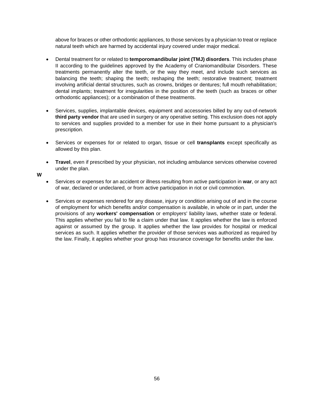above for braces or other orthodontic appliances, to those services by a physician to treat or replace natural teeth which are harmed by accidental injury covered under major medical.

- Dental treatment for or related to **temporomandibular joint (TMJ) disorders**. This includes phase II according to the guidelines approved by the Academy of Craniomandibular Disorders. These treatments permanently alter the teeth, or the way they meet, and include such services as balancing the teeth; shaping the teeth; reshaping the teeth; restorative treatment; treatment involving artificial dental structures, such as crowns, bridges or dentures; full mouth rehabilitation; dental implants; treatment for irregularities in the position of the teeth (such as braces or other orthodontic appliances); or a combination of these treatments.
- Services, supplies, implantable devices, equipment and accessories billed by any out-of-network **third party vendor** that are used in surgery or any operative setting. This exclusion does not apply to services and supplies provided to a member for use in their home pursuant to a physician's prescription.
- Services or expenses for or related to organ, tissue or cell **transplants** except specifically as allowed by this plan.
- **Travel**, even if prescribed by your physician, not including ambulance services otherwise covered under the plan.
- **W**
- Services or expenses for an accident or illness resulting from active participation in **war**, or any act of war, declared or undeclared, or from active participation in riot or civil commotion.
- Services or expenses rendered for any disease, injury or condition arising out of and in the course of employment for which benefits and/or compensation is available, in whole or in part, under the provisions of any **workers' compensation** or employers' liability laws, whether state or federal. This applies whether you fail to file a claim under that law. It applies whether the law is enforced against or assumed by the group. It applies whether the law provides for hospital or medical services as such. It applies whether the provider of those services was authorized as required by the law. Finally, it applies whether your group has insurance coverage for benefits under the law.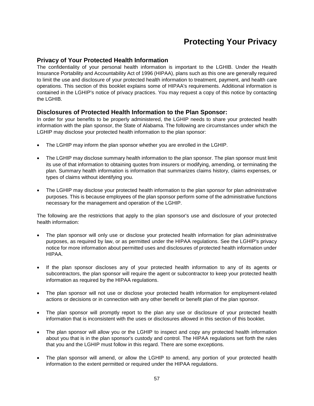## **Protecting Your Privacy**

## **Privacy of Your Protected Health Information**

The confidentiality of your personal health information is important to the LGHIB. Under the Health Insurance Portability and Accountability Act of 1996 (HIPAA), plans such as this one are generally required to limit the use and disclosure of your protected health information to treatment, payment, and health care operations. This section of this booklet explains some of HIPAA's requirements. Additional information is contained in the LGHIP's notice of privacy practices. You may request a copy of this notice by contacting the LGHIB.

## **Disclosures of Protected Health Information to the Plan Sponsor:**

In order for your benefits to be properly administered, the LGHIP needs to share your protected health information with the plan sponsor, the State of Alabama. The following are circumstances under which the LGHIP may disclose your protected health information to the plan sponsor:

- The LGHIP may inform the plan sponsor whether you are enrolled in the LGHIP.
- The LGHIP may disclose summary health information to the plan sponsor. The plan sponsor must limit its use of that information to obtaining quotes from insurers or modifying, amending, or terminating the plan. Summary health information is information that summarizes claims history, claims expenses, or types of claims without identifying you.
- The LGHIP may disclose your protected health information to the plan sponsor for plan administrative purposes. This is because employees of the plan sponsor perform some of the administrative functions necessary for the management and operation of the LGHIP.

The following are the restrictions that apply to the plan sponsor's use and disclosure of your protected health information:

- The plan sponsor will only use or disclose your protected health information for plan administrative purposes, as required by law, or as permitted under the HIPAA regulations. See the LGHIP's privacy notice for more information about permitted uses and disclosures of protected health information under HIPAA.
- If the plan sponsor discloses any of your protected health information to any of its agents or subcontractors, the plan sponsor will require the agent or subcontractor to keep your protected health information as required by the HIPAA regulations.
- The plan sponsor will not use or disclose your protected health information for employment-related actions or decisions or in connection with any other benefit or benefit plan of the plan sponsor.
- The plan sponsor will promptly report to the plan any use or disclosure of your protected health information that is inconsistent with the uses or disclosures allowed in this section of this booklet.
- The plan sponsor will allow you or the LGHIP to inspect and copy any protected health information about you that is in the plan sponsor's custody and control. The HIPAA regulations set forth the rules that you and the LGHIP must follow in this regard. There are some exceptions.
- The plan sponsor will amend, or allow the LGHIP to amend, any portion of your protected health information to the extent permitted or required under the HIPAA regulations.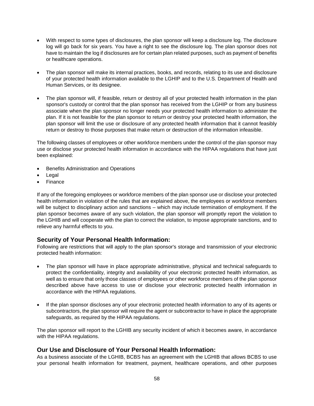- With respect to some types of disclosures, the plan sponsor will keep a disclosure log. The disclosure log will go back for six years. You have a right to see the disclosure log. The plan sponsor does not have to maintain the log if disclosures are for certain plan related purposes, such as payment of benefits or healthcare operations.
- The plan sponsor will make its internal practices, books, and records, relating to its use and disclosure of your protected health information available to the LGHIP and to the U.S. Department of Health and Human Services, or its designee.
- The plan sponsor will, if feasible, return or destroy all of your protected health information in the plan sponsor's custody or control that the plan sponsor has received from the LGHIP or from any business associate when the plan sponsor no longer needs your protected health information to administer the plan. If it is not feasible for the plan sponsor to return or destroy your protected health information, the plan sponsor will limit the use or disclosure of any protected health information that it cannot feasibly return or destroy to those purposes that make return or destruction of the information infeasible.

The following classes of employees or other workforce members under the control of the plan sponsor may use or disclose your protected health information in accordance with the HIPAA regulations that have just been explained:

- Benefits Administration and Operations
- **Legal**
- **Finance**

If any of the foregoing employees or workforce members of the plan sponsor use or disclose your protected health information in violation of the rules that are explained above, the employees or workforce members will be subject to disciplinary action and sanctions – which may include termination of employment. If the plan sponsor becomes aware of any such violation, the plan sponsor will promptly report the violation to the LGHIB and will cooperate with the plan to correct the violation, to impose appropriate sanctions, and to relieve any harmful effects to you.

## **Security of Your Personal Health Information:**

Following are restrictions that will apply to the plan sponsor's storage and transmission of your electronic protected health information:

- The plan sponsor will have in place appropriate administrative, physical and technical safeguards to protect the confidentiality, integrity and availability of your electronic protected health information, as well as to ensure that only those classes of employees or other workforce members of the plan sponsor described above have access to use or disclose your electronic protected health information in accordance with the HIPAA regulations.
- If the plan sponsor discloses any of your electronic protected health information to any of its agents or subcontractors, the plan sponsor will require the agent or subcontractor to have in place the appropriate safeguards, as required by the HIPAA regulations.

The plan sponsor will report to the LGHIB any security incident of which it becomes aware, in accordance with the HIPAA regulations.

## **Our Use and Disclosure of Your Personal Health Information:**

As a business associate of the LGHIB, BCBS has an agreement with the LGHIB that allows BCBS to use your personal health information for treatment, payment, healthcare operations, and other purposes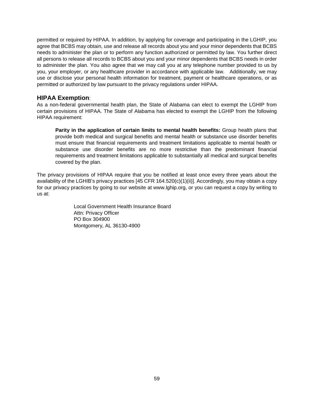permitted or required by HIPAA. In addition, by applying for coverage and participating in the LGHIP, you agree that BCBS may obtain, use and release all records about you and your minor dependents that BCBS needs to administer the plan or to perform any function authorized or permitted by law. You further direct all persons to release all records to BCBS about you and your minor dependents that BCBS needs in order to administer the plan. You also agree that we may call you at any telephone number provided to us by you, your employer, or any healthcare provider in accordance with applicable law. Additionally, we may use or disclose your personal health information for treatment, payment or healthcare operations, or as permitted or authorized by law pursuant to the privacy regulations under HIPAA.

## **HIPAA Exemption**:

As a non-federal governmental health plan, the State of Alabama can elect to exempt the LGHIP from certain provisions of HIPAA. The State of Alabama has elected to exempt the LGHIP from the following HIPAA requirement:

**Parity in the application of certain limits to mental health benefits:** Group health plans that provide both medical and surgical benefits and mental health or substance use disorder benefits must ensure that financial requirements and treatment limitations applicable to mental health or substance use disorder benefits are no more restrictive than the predominant financial requirements and treatment limitations applicable to substantially all medical and surgical benefits covered by the plan.

The privacy provisions of HIPAA require that you be notified at least once every three years about the availability of the LGHIB's privacy practices [45 CFR 164.520(c)(1)(ii)]. Accordingly, you may obtain a copy for our privacy practices by going to our website at www.lghip.org, or you can request a copy by writing to us at:

> Local Government Health Insurance Board Attn: Privacy Officer PO Box 304900 Montgomery, AL 36130-4900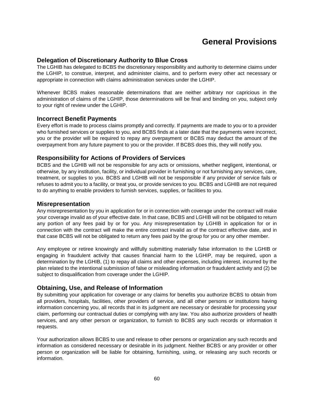## **General Provisions**

## **Delegation of Discretionary Authority to Blue Cross**

The LGHIB has delegated to BCBS the discretionary responsibility and authority to determine claims under the LGHIP, to construe, interpret, and administer claims, and to perform every other act necessary or appropriate in connection with claims administration services under the LGHIP.

Whenever BCBS makes reasonable determinations that are neither arbitrary nor capricious in the administration of claims of the LGHIP, those determinations will be final and binding on you, subject only to your right of review under the LGHIP.

#### **Incorrect Benefit Payments**

Every effort is made to process claims promptly and correctly. If payments are made to you or to a provider who furnished services or supplies to you, and BCBS finds at a later date that the payments were incorrect, you or the provider will be required to repay any overpayment or BCBS may deduct the amount of the overpayment from any future payment to you or the provider. If BCBS does this, they will notify you.

#### **Responsibility for Actions of Providers of Services**

BCBS and the LGHIB will not be responsible for any acts or omissions, whether negligent, intentional, or otherwise, by any institution, facility, or individual provider in furnishing or not furnishing any services, care, treatment, or supplies to you. BCBS and LGHIB will not be responsible if any provider of service fails or refuses to admit you to a facility, or treat you, or provide services to you. BCBS and LGHIB are not required to do anything to enable providers to furnish services, supplies, or facilities to you.

#### **Misrepresentation**

Any misrepresentation by you in application for or in connection with coverage under the contract will make your coverage invalid as of your effective date. In that case, BCBS and LGHIB will not be obligated to return any portion of any fees paid by or for you. Any misrepresentation by LGHIB in application for or in connection with the contract will make the entire contract invalid as of the contract effective date, and in that case BCBS will not be obligated to return any fees paid by the group for you or any other member.

Any employee or retiree knowingly and willfully submitting materially false information to the LGHIB or engaging in fraudulent activity that causes financial harm to the LGHIP, may be required, upon a determination by the LGHIB, (1) to repay all claims and other expenses, including interest, incurred by the plan related to the intentional submission of false or misleading information or fraudulent activity and (2) be subject to disqualification from coverage under the LGHIP.

## **Obtaining, Use, and Release of Information**

By submitting your application for coverage or any claims for benefits you authorize BCBS to obtain from all providers, hospitals, facilities, other providers of service, and all other persons or institutions having information concerning you, all records that in its judgment are necessary or desirable for processing your claim, performing our contractual duties or complying with any law. You also authorize providers of health services, and any other person or organization, to furnish to BCBS any such records or information it requests.

Your authorization allows BCBS to use and release to other persons or organization any such records and information as considered necessary or desirable in its judgment. Neither BCBS or any provider or other person or organization will be liable for obtaining, furnishing, using, or releasing any such records or information.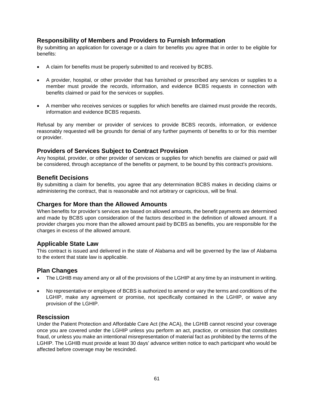## **Responsibility of Members and Providers to Furnish Information**

By submitting an application for coverage or a claim for benefits you agree that in order to be eligible for benefits:

- A claim for benefits must be properly submitted to and received by BCBS.
- A provider, hospital, or other provider that has furnished or prescribed any services or supplies to a member must provide the records, information, and evidence BCBS requests in connection with benefits claimed or paid for the services or supplies.
- A member who receives services or supplies for which benefits are claimed must provide the records, information and evidence BCBS requests.

Refusal by any member or provider of services to provide BCBS records, information, or evidence reasonably requested will be grounds for denial of any further payments of benefits to or for this member or provider.

## **Providers of Services Subject to Contract Provision**

Any hospital, provider, or other provider of services or supplies for which benefits are claimed or paid will be considered, through acceptance of the benefits or payment, to be bound by this contract's provisions.

#### **Benefit Decisions**

By submitting a claim for benefits, you agree that any determination BCBS makes in deciding claims or administering the contract, that is reasonable and not arbitrary or capricious, will be final.

## **Charges for More than the Allowed Amounts**

When benefits for provider's services are based on allowed amounts, the benefit payments are determined and made by BCBS upon consideration of the factors described in the definition of allowed amount. If a provider charges you more than the allowed amount paid by BCBS as benefits, you are responsible for the charges in excess of the allowed amount.

#### **Applicable State Law**

This contract is issued and delivered in the state of Alabama and will be governed by the law of Alabama to the extent that state law is applicable.

#### **Plan Changes**

- The LGHIB may amend any or all of the provisions of the LGHIP at any time by an instrument in writing.
- No representative or employee of BCBS is authorized to amend or vary the terms and conditions of the LGHIP, make any agreement or promise, not specifically contained in the LGHIP, or waive any provision of the LGHIP.

## **Rescission**

Under the Patient Protection and Affordable Care Act (the ACA), the LGHIB cannot rescind your coverage once you are covered under the LGHIP unless you perform an act, practice, or omission that constitutes fraud, or unless you make an intentional misrepresentation of material fact as prohibited by the terms of the LGHIP. The LGHIB must provide at least 30 days' advance written notice to each participant who would be affected before coverage may be rescinded.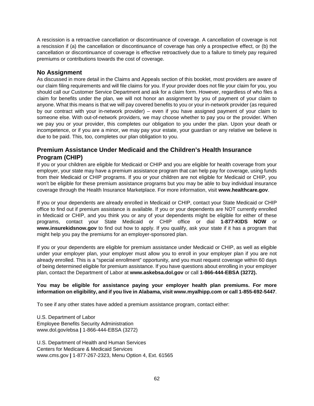A rescission is a retroactive cancellation or discontinuance of coverage. A cancellation of coverage is not a rescission if (a) the cancellation or discontinuance of coverage has only a prospective effect, or (b) the cancellation or discontinuance of coverage is effective retroactively due to a failure to timely pay required premiums or contributions towards the cost of coverage.

## **No Assignment**

As discussed in more detail in the Claims and Appeals section of this booklet, most providers are aware of our claim filing requirements and will file claims for you. If your provider does not file your claim for you, you should call our Customer Service Department and ask for a claim form. However, regardless of who files a claim for benefits under the plan, we will not honor an assignment by you of payment of your claim to anyone. What this means is that we will pay covered benefits to you or your in-network provider (as required by our contract with your in-network provider) – even if you have assigned payment of your claim to someone else. With out-of-network providers, we may choose whether to pay you or the provider. When we pay you or your provider, this completes our obligation to you under the plan. Upon your death or incompetence, or if you are a minor, we may pay your estate, your guardian or any relative we believe is due to be paid. This, too, completes our plan obligation to you.

## **Premium Assistance Under Medicaid and the Children's Health Insurance Program (CHIP)**

If you or your children are eligible for Medicaid or CHIP and you are eligible for health coverage from your employer, your state may have a premium assistance program that can help pay for coverage, using funds from their Medicaid or CHIP programs. If you or your children are not eligible for Medicaid or CHIP, you won't be eligible for these premium assistance programs but you may be able to buy individual insurance coverage through the Health Insurance Marketplace. For more information, visit **www.healthcare.gov**.

If you or your dependents are already enrolled in Medicaid or CHIP, contact your State Medicaid or CHIP office to find out if premium assistance is available. If you or your dependents are NOT currently enrolled in Medicaid or CHIP, and you think you or any of your dependents might be eligible for either of these programs, contact your State Medicaid or CHIP office or dial **1-877-KIDS NOW** or **www.insurekidsnow.gov** to find out how to apply. If you qualify, ask your state if it has a program that might help you pay the premiums for an employer-sponsored plan.

If you or your dependents are eligible for premium assistance under Medicaid or CHIP, as well as eligible under your employer plan, your employer must allow you to enroll in your employer plan if you are not already enrolled. This is a "special enrollment" opportunity, and you must request coverage within 60 days of being determined eligible for premium assistance. If you have questions about enrolling in your employer plan, contact the Department of Labor at **www.askebsa.dol.gov** or call **1-866-444-EBSA (3272).**

#### **You may be eligible for assistance paying your employer health plan premiums. For more information on eligibility, and if you live in Alabama, visit www.myalhipp.com or call 1-855-692-5447**.

To see if any other states have added a premium assistance program, contact either:

U.S. Department of Labor Employee Benefits Security Administration www.dol.gov/ebsa **|** 1-866-444-EBSA (3272)

U.S. Department of Health and Human Services Centers for Medicare & Medicaid Services www.cms.gov **|** 1-877-267-2323, Menu Option 4, Ext. 61565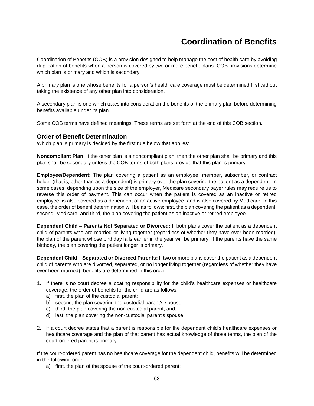## **Coordination of Benefits**

Coordination of Benefits (COB) is a provision designed to help manage the cost of health care by avoiding duplication of benefits when a person is covered by two or more benefit plans. COB provisions determine which plan is primary and which is secondary.

A primary plan is one whose benefits for a person's health care coverage must be determined first without taking the existence of any other plan into consideration.

A secondary plan is one which takes into consideration the benefits of the primary plan before determining benefits available under its plan.

Some COB terms have defined meanings. These terms are set forth at the end of this COB section.

### **Order of Benefit Determination**

Which plan is primary is decided by the first rule below that applies:

**Noncompliant Plan:** If the other plan is a noncompliant plan, then the other plan shall be primary and this plan shall be secondary unless the COB terms of both plans provide that this plan is primary.

**Employee/Dependent:** The plan covering a patient as an employee, member, subscriber, or contract holder (that is, other than as a dependent) is primary over the plan covering the patient as a dependent. In some cases, depending upon the size of the employer, Medicare secondary payer rules may require us to reverse this order of payment. This can occur when the patient is covered as an inactive or retired employee, is also covered as a dependent of an active employee, and is also covered by Medicare. In this case, the order of benefit determination will be as follows: first, the plan covering the patient as a dependent; second, Medicare; and third, the plan covering the patient as an inactive or retired employee.

**Dependent Child – Parents Not Separated or Divorced:** If both plans cover the patient as a dependent child of parents who are married or living together (regardless of whether they have ever been married), the plan of the parent whose birthday falls earlier in the year will be primary. If the parents have the same birthday, the plan covering the patient longer is primary.

**Dependent Child – Separated or Divorced Parents:** If two or more plans cover the patient as a dependent child of parents who are divorced, separated, or no longer living together (regardless of whether they have ever been married), benefits are determined in this order:

- 1. If there is no court decree allocating responsibility for the child's healthcare expenses or healthcare coverage, the order of benefits for the child are as follows:
	- a) first, the plan of the custodial parent;
	- b) second, the plan covering the custodial parent's spouse;
	- c) third, the plan covering the non-custodial parent; and,
	- d) last, the plan covering the non-custodial parent's spouse.
- 2. If a court decree states that a parent is responsible for the dependent child's healthcare expenses or healthcare coverage and the plan of that parent has actual knowledge of those terms, the plan of the court-ordered parent is primary.

If the court-ordered parent has no healthcare coverage for the dependent child, benefits will be determined in the following order:

a) first, the plan of the spouse of the court-ordered parent;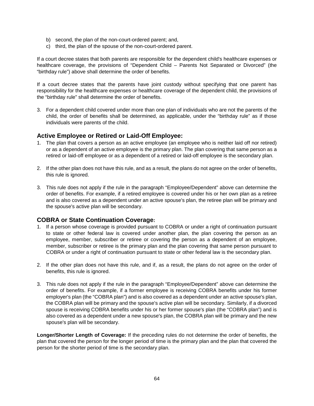- b) second, the plan of the non-court-ordered parent; and,
- c) third, the plan of the spouse of the non-court-ordered parent.

If a court decree states that both parents are responsible for the dependent child's healthcare expenses or healthcare coverage, the provisions of "Dependent Child – Parents Not Separated or Divorced" (the "birthday rule") above shall determine the order of benefits.

If a court decree states that the parents have joint custody without specifying that one parent has responsibility for the healthcare expenses or healthcare coverage of the dependent child, the provisions of the "birthday rule" shall determine the order of benefits.

3. For a dependent child covered under more than one plan of individuals who are not the parents of the child, the order of benefits shall be determined, as applicable, under the "birthday rule" as if those individuals were parents of the child.

### **Active Employee or Retired or Laid-Off Employee:**

- 1. The plan that covers a person as an active employee (an employee who is neither laid off nor retired) or as a dependent of an active employee is the primary plan. The plan covering that same person as a retired or laid-off employee or as a dependent of a retired or laid-off employee is the secondary plan.
- 2. If the other plan does not have this rule, and as a result, the plans do not agree on the order of benefits, this rule is ignored.
- 3. This rule does not apply if the rule in the paragraph "Employee/Dependent" above can determine the order of benefits. For example, if a retired employee is covered under his or her own plan as a retiree and is also covered as a dependent under an active spouse's plan, the retiree plan will be primary and the spouse's active plan will be secondary.

## **COBRA or State Continuation Coverage:**

- 1. If a person whose coverage is provided pursuant to COBRA or under a right of continuation pursuant to state or other federal law is covered under another plan, the plan covering the person as an employee, member, subscriber or retiree or covering the person as a dependent of an employee, member, subscriber or retiree is the primary plan and the plan covering that same person pursuant to COBRA or under a right of continuation pursuant to state or other federal law is the secondary plan.
- 2. If the other plan does not have this rule, and if, as a result, the plans do not agree on the order of benefits, this rule is ignored.
- 3. This rule does not apply if the rule in the paragraph "Employee/Dependent" above can determine the order of benefits. For example, if a former employee is receiving COBRA benefits under his former employer's plan (the "COBRA plan") and is also covered as a dependent under an active spouse's plan, the COBRA plan will be primary and the spouse's active plan will be secondary. Similarly, if a divorced spouse is receiving COBRA benefits under his or her former spouse's plan (the "COBRA plan") and is also covered as a dependent under a new spouse's plan, the COBRA plan will be primary and the new spouse's plan will be secondary.

**Longer/Shorter Length of Coverage:** If the preceding rules do not determine the order of benefits, the plan that covered the person for the longer period of time is the primary plan and the plan that covered the person for the shorter period of time is the secondary plan.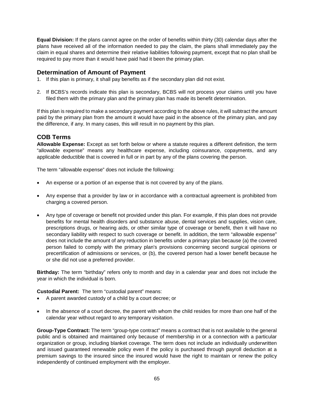**Equal Division:** If the plans cannot agree on the order of benefits within thirty (30) calendar days after the plans have received all of the information needed to pay the claim, the plans shall immediately pay the claim in equal shares and determine their relative liabilities following payment, except that no plan shall be required to pay more than it would have paid had it been the primary plan.

## **Determination of Amount of Payment**

- 1. If this plan is primary, it shall pay benefits as if the secondary plan did not exist.
- 2. If BCBS's records indicate this plan is secondary, BCBS will not process your claims until you have filed them with the primary plan and the primary plan has made its benefit determination.

If this plan is required to make a secondary payment according to the above rules, it will subtract the amount paid by the primary plan from the amount it would have paid in the absence of the primary plan, and pay the difference, if any. In many cases, this will result in no payment by this plan.

## **COB Terms**

**Allowable Expense:** Except as set forth below or where a statute requires a different definition, the term "allowable expense" means any healthcare expense, including coinsurance, copayments, and any applicable deductible that is covered in full or in part by any of the plans covering the person.

The term "allowable expense" does not include the following:

- An expense or a portion of an expense that is not covered by any of the plans.
- Any expense that a provider by law or in accordance with a contractual agreement is prohibited from charging a covered person.
- Any type of coverage or benefit not provided under this plan. For example, if this plan does not provide benefits for mental health disorders and substance abuse, dental services and supplies, vision care, prescriptions drugs, or hearing aids, or other similar type of coverage or benefit, then it will have no secondary liability with respect to such coverage or benefit. In addition, the term "allowable expense" does not include the amount of any reduction in benefits under a primary plan because (a) the covered person failed to comply with the primary plan's provisions concerning second surgical opinions or precertification of admissions or services, or (b), the covered person had a lower benefit because he or she did not use a preferred provider.

**Birthday:** The term "birthday" refers only to month and day in a calendar year and does not include the year in which the individual is born.

**Custodial Parent:** The term "custodial parent" means:

- A parent awarded custody of a child by a court decree; or
- In the absence of a court decree, the parent with whom the child resides for more than one half of the calendar year without regard to any temporary visitation.

**Group-Type Contract:** The term "group-type contract" means a contract that is not available to the general public and is obtained and maintained only because of membership in or a connection with a particular organization or group, including blanket coverage. The term does not include an individually underwritten and issued guaranteed renewable policy even if the policy is purchased through payroll deduction at a premium savings to the insured since the insured would have the right to maintain or renew the policy independently of continued employment with the employer.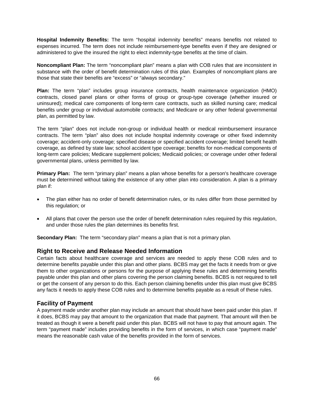**Hospital Indemnity Benefits:** The term "hospital indemnity benefits" means benefits not related to expenses incurred. The term does not include reimbursement-type benefits even if they are designed or administered to give the insured the right to elect indemnity-type benefits at the time of claim.

**Noncompliant Plan:** The term "noncompliant plan" means a plan with COB rules that are inconsistent in substance with the order of benefit determination rules of this plan. Examples of noncompliant plans are those that state their benefits are "excess" or "always secondary."

**Plan:** The term "plan" includes group insurance contracts, health maintenance organization (HMO) contracts, closed panel plans or other forms of group or group-type coverage (whether insured or uninsured); medical care components of long-term care contracts, such as skilled nursing care; medical benefits under group or individual automobile contracts; and Medicare or any other federal governmental plan, as permitted by law.

The term "plan" does not include non-group or individual health or medical reimbursement insurance contracts. The term "plan" also does not include hospital indemnity coverage or other fixed indemnity coverage; accident-only coverage; specified disease or specified accident coverage; limited benefit health coverage, as defined by state law; school accident type coverage; benefits for non-medical components of long-term care policies; Medicare supplement policies; Medicaid policies; or coverage under other federal governmental plans, unless permitted by law.

**Primary Plan:** The term "primary plan" means a plan whose benefits for a person's healthcare coverage must be determined without taking the existence of any other plan into consideration. A plan is a primary plan if:

- The plan either has no order of benefit determination rules, or its rules differ from those permitted by this regulation; or
- All plans that cover the person use the order of benefit determination rules required by this regulation, and under those rules the plan determines its benefits first.

**Secondary Plan:** The term "secondary plan" means a plan that is not a primary plan.

## **Right to Receive and Release Needed Information**

Certain facts about healthcare coverage and services are needed to apply these COB rules and to determine benefits payable under this plan and other plans. BCBS may get the facts it needs from or give them to other organizations or persons for the purpose of applying these rules and determining benefits payable under this plan and other plans covering the person claiming benefits. BCBS is not required to tell or get the consent of any person to do this. Each person claiming benefits under this plan must give BCBS any facts it needs to apply these COB rules and to determine benefits payable as a result of these rules.

## **Facility of Payment**

A payment made under another plan may include an amount that should have been paid under this plan. If it does, BCBS may pay that amount to the organization that made that payment. That amount will then be treated as though it were a benefit paid under this plan. BCBS will not have to pay that amount again. The term "payment made" includes providing benefits in the form of services, in which case "payment made" means the reasonable cash value of the benefits provided in the form of services.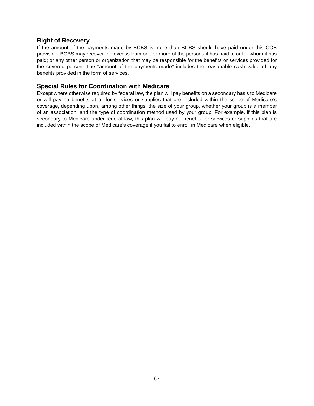## **Right of Recovery**

If the amount of the payments made by BCBS is more than BCBS should have paid under this COB provision, BCBS may recover the excess from one or more of the persons it has paid to or for whom it has paid; or any other person or organization that may be responsible for the benefits or services provided for the covered person. The "amount of the payments made" includes the reasonable cash value of any benefits provided in the form of services.

## **Special Rules for Coordination with Medicare**

Except where otherwise required by federal law, the plan will pay benefits on a secondary basis to Medicare or will pay no benefits at all for services or supplies that are included within the scope of Medicare's coverage, depending upon, among other things, the size of your group, whether your group is a member of an association, and the type of coordination method used by your group. For example, if this plan is secondary to Medicare under federal law, this plan will pay no benefits for services or supplies that are included within the scope of Medicare's coverage if you fail to enroll in Medicare when eligible.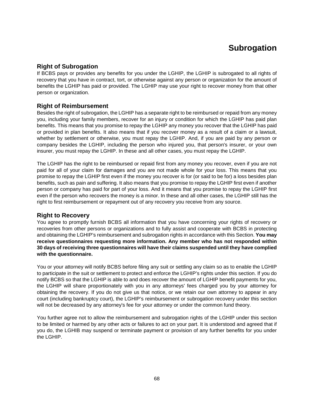# **Subrogation**

## **Right of Subrogation**

If BCBS pays or provides any benefits for you under the LGHIP, the LGHIP is subrogated to all rights of recovery that you have in contract, tort, or otherwise against any person or organization for the amount of benefits the LGHIP has paid or provided. The LGHIP may use your right to recover money from that other person or organization.

## **Right of Reimbursement**

Besides the right of subrogation, the LGHIP has a separate right to be reimbursed or repaid from any money you, including your family members, recover for an injury or condition for which the LGHIP has paid plan benefits. This means that you promise to repay the LGHIP any money you recover that the LGHIP has paid or provided in plan benefits. It also means that if you recover money as a result of a claim or a lawsuit, whether by settlement or otherwise, you must repay the LGHIP. And, if you are paid by any person or company besides the LGHIP, including the person who injured you, that person's insurer, or your own insurer, you must repay the LGHIP. In these and all other cases, you must repay the LGHIP.

The LGHIP has the right to be reimbursed or repaid first from any money you recover, even if you are not paid for all of your claim for damages and you are not made whole for your loss. This means that you promise to repay the LGHIP first even if the money you recover is for (or said to be for) a loss besides plan benefits, such as pain and suffering. It also means that you promise to repay the LGHIP first even if another person or company has paid for part of your loss. And it means that you promise to repay the LGHIP first even if the person who recovers the money is a minor. In these and all other cases, the LGHIP still has the right to first reimbursement or repayment out of any recovery you receive from any source.

## **Right to Recovery**

You agree to promptly furnish BCBS all information that you have concerning your rights of recovery or recoveries from other persons or organizations and to fully assist and cooperate with BCBS in protecting and obtaining the LGHIP's reimbursement and subrogation rights in accordance with this Section. **You may receive questionnaires requesting more information. Any member who has not responded within 30 days of receiving three questionnaires will have their claims suspended until they have complied with the questionnaire.**

You or your attorney will notify BCBS before filing any suit or settling any claim so as to enable the LGHIP to participate in the suit or settlement to protect and enforce the LGHIP's rights under this section. If you do notify BCBS so that the LGHIP is able to and does recover the amount of LGHIP benefit payments for you, the LGHIP will share proportionately with you in any attorneys' fees charged you by your attorney for obtaining the recovery. If you do not give us that notice, or we retain our own attorney to appear in any court (including bankruptcy court), the LGHIP's reimbursement or subrogation recovery under this section will not be decreased by any attorney's fee for your attorney or under the common fund theory.

You further agree not to allow the reimbursement and subrogation rights of the LGHIP under this section to be limited or harmed by any other acts or failures to act on your part. It is understood and agreed that if you do, the LGHIB may suspend or terminate payment or provision of any further benefits for you under the LGHIP.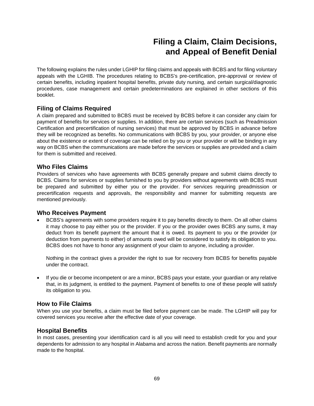# **Filing a Claim, Claim Decisions, and Appeal of Benefit Denial**

The following explains the rules under LGHIP for filing claims and appeals with BCBS and for filing voluntary appeals with the LGHIB. The procedures relating to BCBS's pre-certification, pre-approval or review of certain benefits, including inpatient hospital benefits, private duty nursing, and certain surgical/diagnostic procedures, case management and certain predeterminations are explained in other sections of this booklet.

## **Filing of Claims Required**

A claim prepared and submitted to BCBS must be received by BCBS before it can consider any claim for payment of benefits for services or supplies. In addition, there are certain services (such as Preadmission Certification and precertification of nursing services) that must be approved by BCBS in advance before they will be recognized as benefits. No communications with BCBS by you, your provider, or anyone else about the existence or extent of coverage can be relied on by you or your provider or will be binding in any way on BCBS when the communications are made before the services or supplies are provided and a claim for them is submitted and received.

## **Who Files Claims**

Providers of services who have agreements with BCBS generally prepare and submit claims directly to BCBS. Claims for services or supplies furnished to you by providers without agreements with BCBS must be prepared and submitted by either you or the provider. For services requiring preadmission or precertification requests and approvals, the responsibility and manner for submitting requests are mentioned previously.

## **Who Receives Payment**

• BCBS's agreements with some providers require it to pay benefits directly to them. On all other claims it may choose to pay either you or the provider. If you or the provider owes BCBS any sums, it may deduct from its benefit payment the amount that it is owed. Its payment to you or the provider (or deduction from payments to either) of amounts owed will be considered to satisfy its obligation to you. BCBS does not have to honor any assignment of your claim to anyone, including a provider.

Nothing in the contract gives a provider the right to sue for recovery from BCBS for benefits payable under the contract.

• If you die or become incompetent or are a minor, BCBS pays your estate, your guardian or any relative that, in its judgment, is entitled to the payment. Payment of benefits to one of these people will satisfy its obligation to you.

## **How to File Claims**

When you use your benefits, a claim must be filed before payment can be made. The LGHIP will pay for covered services you receive after the effective date of your coverage.

#### **Hospital Benefits**

In most cases, presenting your identification card is all you will need to establish credit for you and your dependents for admission to any hospital in Alabama and across the nation. Benefit payments are normally made to the hospital.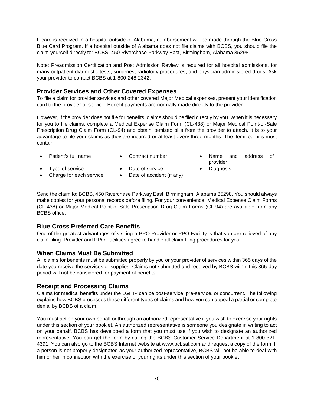If care is received in a hospital outside of Alabama, reimbursement will be made through the Blue Cross Blue Card Program. If a hospital outside of Alabama does not file claims with BCBS, you should file the claim yourself directly to: BCBS, 450 Riverchase Parkway East, Birmingham, Alabama 35298.

Note: Preadmission Certification and Post Admission Review is required for all hospital admissions, for many outpatient diagnostic tests, surgeries, radiology procedures, and physician administered drugs. Ask your provider to contact BCBS at 1-800-248-2342.

## **Provider Services and Other Covered Expenses**

To file a claim for provider services and other covered Major Medical expenses, present your identification card to the provider of service. Benefit payments are normally made directly to the provider.

However, if the provider does not file for benefits, claims should be filed directly by you. When it is necessary for you to file claims, complete a Medical Expense Claim Form (CL-438) or Major Medical Point-of-Sale Prescription Drug Claim Form (CL-94) and obtain itemized bills from the provider to attach. It is to your advantage to file your claims as they are incurred or at least every three months. The itemized bills must contain:

| Patient's full name     | Contract number           |                  | Name<br>provider | and | address | ОŤ |
|-------------------------|---------------------------|------------------|------------------|-----|---------|----|
| Type of service         | Date of service           | <b>Diagnosis</b> |                  |     |         |    |
| Charge for each service | Date of accident (if any) |                  |                  |     |         |    |

Send the claim to: BCBS, 450 Riverchase Parkway East, Birmingham, Alabama 35298. You should always make copies for your personal records before filing. For your convenience, Medical Expense Claim Forms (CL-438) or Major Medical Point-of-Sale Prescription Drug Claim Forms (CL-94) are available from any BCBS office.

## **Blue Cross Preferred Care Benefits**

One of the greatest advantages of visiting a PPO Provider or PPO Facility is that you are relieved of any claim filing. Provider and PPO Facilities agree to handle all claim filing procedures for you.

## **When Claims Must Be Submitted**

All claims for benefits must be submitted properly by you or your provider of services within 365 days of the date you receive the services or supplies. Claims not submitted and received by BCBS within this 365-day period will not be considered for payment of benefits.

## **Receipt and Processing Claims**

Claims for medical benefits under the LGHIP can be post-service, pre-service, or concurrent. The following explains how BCBS processes these different types of claims and how you can appeal a partial or complete denial by BCBS of a claim.

You must act on your own behalf or through an authorized representative if you wish to exercise your rights under this section of your booklet. An authorized representative is someone you designate in writing to act on your behalf. BCBS has developed a form that you must use if you wish to designate an authorized representative. You can get the form by calling the BCBS Customer Service Department at 1-800-321- 4391. You can also go to the BCBS Internet website at www.bcbsal.com and request a copy of the form. If a person is not properly designated as your authorized representative, BCBS will not be able to deal with him or her in connection with the exercise of your rights under this section of your booklet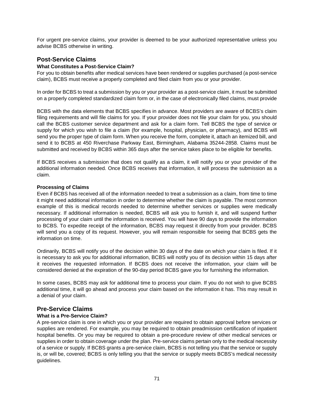For urgent pre-service claims, your provider is deemed to be your authorized representative unless you advise BCBS otherwise in writing.

## **Post-Service Claims**

#### **What Constitutes a Post-Service Claim?**

For you to obtain benefits after medical services have been rendered or supplies purchased (a post-service claim), BCBS must receive a properly completed and filed claim from you or your provider.

In order for BCBS to treat a submission by you or your provider as a post-service claim, it must be submitted on a properly completed standardized claim form or, in the case of electronically filed claims, must provide

BCBS with the data elements that BCBS specifies in advance. Most providers are aware of BCBS's claim filing requirements and will file claims for you. If your provider does not file your claim for you, you should call the BCBS customer service department and ask for a claim form. Tell BCBS the type of service or supply for which you wish to file a claim (for example, hospital, physician, or pharmacy), and BCBS will send you the proper type of claim form. When you receive the form, complete it, attach an itemized bill, and send it to BCBS at 450 Riverchase Parkway East, Birmingham, Alabama 35244-2858. Claims must be submitted and received by BCBS within 365 days after the service takes place to be eligible for benefits.

If BCBS receives a submission that does not qualify as a claim, it will notify you or your provider of the additional information needed. Once BCBS receives that information, it will process the submission as a claim.

#### **Processing of Claims**

Even if BCBS has received all of the information needed to treat a submission as a claim, from time to time it might need additional information in order to determine whether the claim is payable. The most common example of this is medical records needed to determine whether services or supplies were medically necessary. If additional information is needed, BCBS will ask you to furnish it, and will suspend further processing of your claim until the information is received. You will have 90 days to provide the information to BCBS. To expedite receipt of the information, BCBS may request it directly from your provider. BCBS will send you a copy of its request. However, you will remain responsible for seeing that BCBS gets the information on time.

Ordinarily, BCBS will notify you of the decision within 30 days of the date on which your claim is filed. If it is necessary to ask you for additional information, BCBS will notify you of its decision within 15 days after it receives the requested information. If BCBS does not receive the information, your claim will be considered denied at the expiration of the 90-day period BCBS gave you for furnishing the information.

In some cases, BCBS may ask for additional time to process your claim. If you do not wish to give BCBS additional time, it will go ahead and process your claim based on the information it has. This may result in a denial of your claim.

## **Pre-Service Claims**

#### **What is a Pre-Service Claim?**

A pre-service claim is one in which you or your provider are required to obtain approval before services or supplies are rendered. For example, you may be required to obtain preadmission certification of inpatient hospital benefits. Or you may be required to obtain a pre-procedure review of other medical services or supplies in order to obtain coverage under the plan. Pre-service claims pertain only to the medical necessity of a service or supply. If BCBS grants a pre-service claim, BCBS is not telling you that the service or supply is, or will be, covered; BCBS is only telling you that the service or supply meets BCBS's medical necessity guidelines.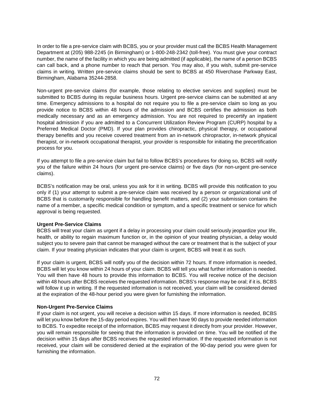In order to file a pre-service claim with BCBS, you or your provider must call the BCBS Health Management Department at (205) 988-2245 (in Birmingham) or 1-800-248-2342 (toll-free). You must give your contract number, the name of the facility in which you are being admitted (if applicable), the name of a person BCBS can call back, and a phone number to reach that person. You may also, if you wish, submit pre-service claims in writing. Written pre-service claims should be sent to BCBS at 450 Riverchase Parkway East, Birmingham, Alabama 35244-2858.

Non-urgent pre-service claims (for example, those relating to elective services and supplies) must be submitted to BCBS during its regular business hours. Urgent pre-service claims can be submitted at any time. Emergency admissions to a hospital do not require you to file a pre-service claim so long as you provide notice to BCBS within 48 hours of the admission and BCBS certifies the admission as both medically necessary and as an emergency admission. You are not required to precertify an inpatient hospital admission if you are admitted to a Concurrent Utilization Review Program (CURP) hospital by a Preferred Medical Doctor (PMD). If your plan provides chiropractic, physical therapy, or occupational therapy benefits and you receive covered treatment from an in-network chiropractor, in-network physical therapist, or in-network occupational therapist, your provider is responsible for initiating the precertification process for you.

If you attempt to file a pre-service claim but fail to follow BCBS's procedures for doing so, BCBS will notify you of the failure within 24 hours (for urgent pre-service claims) or five days (for non-urgent pre-service claims).

BCBS's notification may be oral, unless you ask for it in writing. BCBS will provide this notification to you only if (1) your attempt to submit a pre-service claim was received by a person or organizational unit of BCBS that is customarily responsible for handling benefit matters, and (2) your submission contains the name of a member, a specific medical condition or symptom, and a specific treatment or service for which approval is being requested.

#### **Urgent Pre-Service Claims**

BCBS will treat your claim as urgent if a delay in processing your claim could seriously jeopardize your life, health, or ability to regain maximum function or, in the opinion of your treating physician, a delay would subject you to severe pain that cannot be managed without the care or treatment that is the subject of your claim. If your treating physician indicates that your claim is urgent, BCBS will treat it as such.

If your claim is urgent, BCBS will notify you of the decision within 72 hours. If more information is needed, BCBS will let you know within 24 hours of your claim. BCBS will tell you what further information is needed. You will then have 48 hours to provide this information to BCBS. You will receive notice of the decision within 48 hours after BCBS receives the requested information. BCBS's response may be oral; if it is, BCBS will follow it up in writing. If the requested information is not received, your claim will be considered denied at the expiration of the 48-hour period you were given for furnishing the information.

#### **Non-Urgent Pre-Service Claims**

If your claim is not urgent, you will receive a decision within 15 days. If more information is needed, BCBS will let you know before the 15-day period expires. You will then have 90 days to provide needed information to BCBS. To expedite receipt of the information, BCBS may request it directly from your provider. However, you will remain responsible for seeing that the information is provided on time. You will be notified of the decision within 15 days after BCBS receives the requested information. If the requested information is not received, your claim will be considered denied at the expiration of the 90-day period you were given for furnishing the information.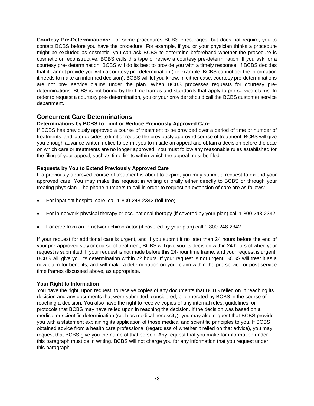**Courtesy Pre-Determinations:** For some procedures BCBS encourages, but does not require, you to contact BCBS before you have the procedure. For example, if you or your physician thinks a procedure might be excluded as cosmetic, you can ask BCBS to determine beforehand whether the procedure is cosmetic or reconstructive. BCBS calls this type of review a courtesy pre-determination. If you ask for a courtesy pre- determination, BCBS will do its best to provide you with a timely response. If BCBS decides that it cannot provide you with a courtesy pre-determination (for example, BCBS cannot get the information it needs to make an informed decision), BCBS will let you know. In either case, courtesy pre-determinations are not pre- service claims under the plan. When BCBS processes requests for courtesy predeterminations, BCBS is not bound by the time frames and standards that apply to pre-service claims. In order to request a courtesy pre- determination, you or your provider should call the BCBS customer service department.

## **Concurrent Care Determinations**

## **Determinations by BCBS to Limit or Reduce Previously Approved Care**

If BCBS has previously approved a course of treatment to be provided over a period of time or number of treatments, and later decides to limit or reduce the previously approved course of treatment, BCBS will give you enough advance written notice to permit you to initiate an appeal and obtain a decision before the date on which care or treatments are no longer approved. You must follow any reasonable rules established for the filing of your appeal, such as time limits within which the appeal must be filed.

#### **Requests by You to Extend Previously Approved Care**

If a previously approved course of treatment is about to expire, you may submit a request to extend your approved care. You may make this request in writing or orally either directly to BCBS or through your treating physician. The phone numbers to call in order to request an extension of care are as follows:

- For inpatient hospital care, call 1-800-248-2342 (toll-free).
- For in-network physical therapy or occupational therapy (if covered by your plan) call 1-800-248-2342.
- For care from an in-network chiropractor (if covered by your plan) call 1-800-248-2342.

If your request for additional care is urgent, and if you submit it no later than 24 hours before the end of your pre-approved stay or course of treatment, BCBS will give you its decision within 24 hours of when your request is submitted. If your request is not made before this 24-hour time frame, and your request is urgent, BCBS will give you its determination within 72 hours. If your request is not urgent, BCBS will treat it as a new claim for benefits, and will make a determination on your claim within the pre-service or post-service time frames discussed above, as appropriate.

#### **Your Right to Information**

You have the right, upon request, to receive copies of any documents that BCBS relied on in reaching its decision and any documents that were submitted, considered, or generated by BCBS in the course of reaching a decision. You also have the right to receive copies of any internal rules, guidelines, or protocols that BCBS may have relied upon in reaching the decision. If the decision was based on a medical or scientific determination (such as medical necessity), you may also request that BCBS provide you with a statement explaining its application of those medical and scientific principles to you. If BCBS obtained advice from a health care professional (regardless of whether it relied on that advice), you may request that BCBS give you the name of that person. Any request that you make for information under this paragraph must be in writing. BCBS will not charge you for any information that you request under this paragraph.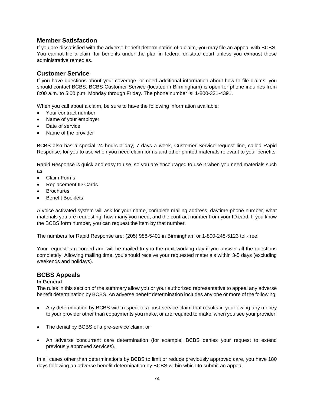## **Member Satisfaction**

If you are dissatisfied with the adverse benefit determination of a claim, you may file an appeal with BCBS. You cannot file a claim for benefits under the plan in federal or state court unless you exhaust these administrative remedies.

## **Customer Service**

If you have questions about your coverage, or need additional information about how to file claims, you should contact BCBS. BCBS Customer Service (located in Birmingham) is open for phone inquiries from 8:00 a.m. to 5:00 p.m. Monday through Friday. The phone number is: 1-800-321-4391.

When you call about a claim, be sure to have the following information available:

- Your contract number
- Name of your employer
- Date of service
- Name of the provider

BCBS also has a special 24 hours a day, 7 days a week, Customer Service request line, called Rapid Response, for you to use when you need claim forms and other printed materials relevant to your benefits.

Rapid Response is quick and easy to use, so you are encouraged to use it when you need materials such as:

- Claim Forms
- Replacement ID Cards
- **Brochures**
- **Benefit Booklets**

A voice activated system will ask for your name, complete mailing address, daytime phone number, what materials you are requesting, how many you need, and the contract number from your ID card. If you know the BCBS form number, you can request the item by that number.

The numbers for Rapid Response are: (205) 988-5401 in Birmingham or 1-800-248-5123 toll-free.

Your request is recorded and will be mailed to you the next working day if you answer all the questions completely. Allowing mailing time, you should receive your requested materials within 3-5 days (excluding weekends and holidays).

#### **BCBS Appeals**

#### **In General**

The rules in this section of the summary allow you or your authorized representative to appeal any adverse benefit determination by BCBS. An adverse benefit determination includes any one or more of the following:

- Any determination by BCBS with respect to a post-service claim that results in your owing any money to your provider other than copayments you make, or are required to make, when you see your provider;
- The denial by BCBS of a pre-service claim; or
- An adverse concurrent care determination (for example, BCBS denies your request to extend previously approved services).

In all cases other than determinations by BCBS to limit or reduce previously approved care, you have 180 days following an adverse benefit determination by BCBS within which to submit an appeal.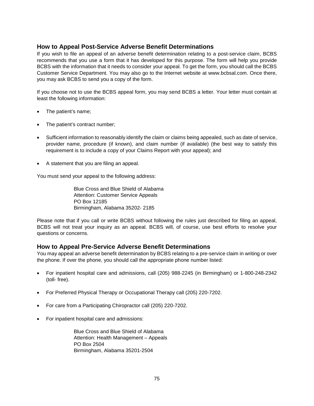## **How to Appeal Post-Service Adverse Benefit Determinations**

If you wish to file an appeal of an adverse benefit determination relating to a post-service claim, BCBS recommends that you use a form that it has developed for this purpose. The form will help you provide BCBS with the information that it needs to consider your appeal. To get the form, you should call the BCBS Customer Service Department. You may also go to the Internet website at www.bcbsal.com. Once there, you may ask BCBS to send you a copy of the form.

If you choose not to use the BCBS appeal form, you may send BCBS a letter. Your letter must contain at least the following information:

- The patient's name;
- The patient's contract number;
- Sufficient information to reasonably identify the claim or claims being appealed, such as date of service, provider name, procedure (if known), and claim number (if available) (the best way to satisfy this requirement is to include a copy of your Claims Report with your appeal); and
- A statement that you are filing an appeal.

You must send your appeal to the following address:

Blue Cross and Blue Shield of Alabama Attention: Customer Service Appeals PO Box 12185 Birmingham, Alabama 35202- 2185

Please note that if you call or write BCBS without following the rules just described for filing an appeal, BCBS will not treat your inquiry as an appeal. BCBS will, of course, use best efforts to resolve your questions or concerns.

## **How to Appeal Pre-Service Adverse Benefit Determinations**

You may appeal an adverse benefit determination by BCBS relating to a pre-service claim in writing or over the phone. If over the phone, you should call the appropriate phone number listed:

- For inpatient hospital care and admissions, call (205) 988-2245 (in Birmingham) or 1-800-248-2342 (toll- free).
- For Preferred Physical Therapy or Occupational Therapy call (205) 220-7202.
- For care from a Participating Chiropractor call (205) 220-7202.
- For inpatient hospital care and admissions:

Blue Cross and Blue Shield of Alabama Attention: Health Management – Appeals PO Box 2504 Birmingham, Alabama 35201-2504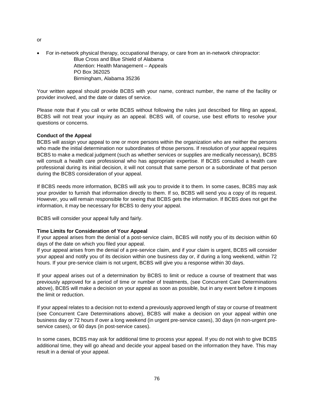- or
- For in-network physical therapy, occupational therapy, or care from an in-network chiropractor: Blue Cross and Blue Shield of Alabama Attention: Health Management – Appeals PO Box 362025 Birmingham, Alabama 35236

Your written appeal should provide BCBS with your name, contract number, the name of the facility or provider involved, and the date or dates of service.

Please note that if you call or write BCBS without following the rules just described for filing an appeal, BCBS will not treat your inquiry as an appeal. BCBS will, of course, use best efforts to resolve your questions or concerns.

#### **Conduct of the Appeal**

BCBS will assign your appeal to one or more persons within the organization who are neither the persons who made the initial determination nor subordinates of those persons. If resolution of your appeal requires BCBS to make a medical judgment (such as whether services or supplies are medically necessary), BCBS will consult a health care professional who has appropriate expertise. If BCBS consulted a health care professional during its initial decision, it will not consult that same person or a subordinate of that person during the BCBS consideration of your appeal.

If BCBS needs more information, BCBS will ask you to provide it to them. In some cases, BCBS may ask your provider to furnish that information directly to them. If so, BCBS will send you a copy of its request. However, you will remain responsible for seeing that BCBS gets the information. If BCBS does not get the information, it may be necessary for BCBS to deny your appeal.

BCBS will consider your appeal fully and fairly.

#### **Time Limits for Consideration of Your Appeal**

If your appeal arises from the denial of a post-service claim, BCBS will notify you of its decision within 60 days of the date on which you filed your appeal.

If your appeal arises from the denial of a pre-service claim, and if your claim is urgent, BCBS will consider your appeal and notify you of its decision within one business day or, if during a long weekend, within 72 hours. If your pre-service claim is not urgent, BCBS will give you a response within 30 days.

If your appeal arises out of a determination by BCBS to limit or reduce a course of treatment that was previously approved for a period of time or number of treatments, (see Concurrent Care Determinations above), BCBS will make a decision on your appeal as soon as possible, but in any event before it imposes the limit or reduction.

If your appeal relates to a decision not to extend a previously approved length of stay or course of treatment (see Concurrent Care Determinations above), BCBS will make a decision on your appeal within one business day or 72 hours if over a long weekend (in urgent pre-service cases), 30 days (in non-urgent preservice cases), or 60 days (in post-service cases).

In some cases, BCBS may ask for additional time to process your appeal. If you do not wish to give BCBS additional time, they will go ahead and decide your appeal based on the information they have. This may result in a denial of your appeal.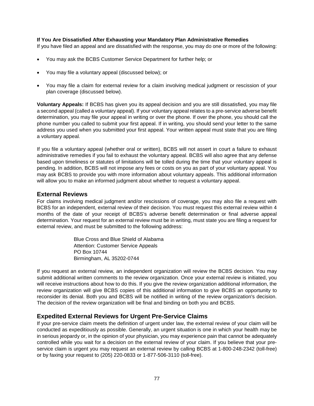#### **If You Are Dissatisfied After Exhausting your Mandatory Plan Administrative Remedies**

If you have filed an appeal and are dissatisfied with the response, you may do one or more of the following:

- You may ask the BCBS Customer Service Department for further help; or
- You may file a voluntary appeal (discussed below); or
- You may file a claim for external review for a claim involving medical judgment or rescission of your plan coverage (discussed below).

**Voluntary Appeals:** If BCBS has given you its appeal decision and you are still dissatisfied, you may file a second appeal (called a voluntary appeal). If your voluntary appeal relates to a pre-service adverse benefit determination, you may file your appeal in writing or over the phone. If over the phone, you should call the phone number you called to submit your first appeal. If in writing, you should send your letter to the same address you used when you submitted your first appeal. Your written appeal must state that you are filing a voluntary appeal.

If you file a voluntary appeal (whether oral or written), BCBS will not assert in court a failure to exhaust administrative remedies if you fail to exhaust the voluntary appeal. BCBS will also agree that any defense based upon timeliness or statutes of limitations will be tolled during the time that your voluntary appeal is pending. In addition, BCBS will not impose any fees or costs on you as part of your voluntary appeal. You may ask BCBS to provide you with more information about voluntary appeals. This additional information will allow you to make an informed judgment about whether to request a voluntary appeal.

### **External Reviews**

For claims involving medical judgment and/or rescissions of coverage, you may also file a request with BCBS for an independent, external review of their decision. You must request this external review within 4 months of the date of your receipt of BCBS's adverse benefit determination or final adverse appeal determination. Your request for an external review must be in writing, must state you are filing a request for external review, and must be submitted to the following address:

> Blue Cross and Blue Shield of Alabama Attention: Customer Service Appeals PO Box 10744 Birmingham, AL 35202-0744

If you request an external review, an independent organization will review the BCBS decision. You may submit additional written comments to the review organization. Once your external review is initiated, you will receive instructions about how to do this. If you give the review organization additional information, the review organization will give BCBS copies of this additional information to give BCBS an opportunity to reconsider its denial. Both you and BCBS will be notified in writing of the review organization's decision. The decision of the review organization will be final and binding on both you and BCBS.

## **Expedited External Reviews for Urgent Pre-Service Claims**

If your pre-service claim meets the definition of urgent under law, the external review of your claim will be conducted as expeditiously as possible. Generally, an urgent situation is one in which your health may be in serious jeopardy or, in the opinion of your physician, you may experience pain that cannot be adequately controlled while you wait for a decision on the external review of your claim. If you believe that your preservice claim is urgent you may request an external review by calling BCBS at 1-800-248-2342 (toll-free) or by faxing your request to (205) 220-0833 or 1-877-506-3110 (toll-free).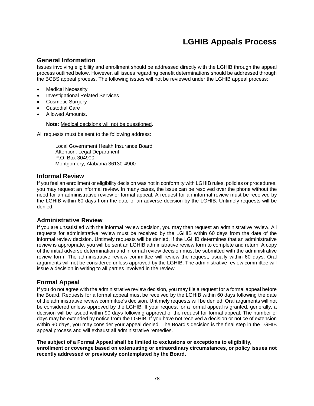## **LGHIB Appeals Process**

## **General Information**

Issues involving eligibility and enrollment should be addressed directly with the LGHIB through the appeal process outlined below. However, all issues regarding benefit determinations should be addressed through the BCBS appeal process. The following issues will not be reviewed under the LGHIB appeal process:

- Medical Necessity
- Investigational Related Services
- Cosmetic Surgery
- Custodial Care
- Allowed Amounts.

**Note:** Medical decisions will not be questioned.

All requests must be sent to the following address:

Local Government Health Insurance Board Attention: Legal Department P.O. Box 304900 Montgomery, Alabama 36130-4900

### **Informal Review**

If you feel an enrollment or eligibility decision was not in conformity with LGHIB rules, policies or procedures, you may request an informal review. In many cases, the issue can be resolved over the phone without the need for an administrative review or formal appeal. A request for an informal review must be received by the LGHIB within 60 days from the date of an adverse decision by the LGHIB. Untimely requests will be denied.

#### **Administrative Review**

If you are unsatisfied with the informal review decision, you may then request an administrative review. All requests for administrative review must be received by the LGHIB within 60 days from the date of the informal review decision. Untimely requests will be denied. If the LGHIB determines that an administrative review is appropriate, you will be sent an LGHIB administrative review form to complete and return. A copy of the initial adverse determination and informal review decision must be submitted with the administrative review form. The administrative review committee will review the request, usually within 60 days. Oral arguments will not be considered unless approved by the LGHIB. The administrative review committee will issue a decision in writing to all parties involved in the review. .

## **Formal Appeal**

If you do not agree with the administrative review decision, you may file a request for a formal appeal before the Board. Requests for a formal appeal must be received by the LGHIB within 60 days following the date of the administrative review committee's decision. Untimely requests will be denied. Oral arguments will not be considered unless approved by the LGHIB. If your request for a formal appeal is granted, generally, a decision will be issued within 90 days following approval of the request for formal appeal. The number of days may be extended by notice from the LGHIB. If you have not received a decision or notice of extension within 90 days, you may consider your appeal denied. The Board's decision is the final step in the LGHIB appeal process and will exhaust all administrative remedies.

**The subject of a Formal Appeal shall be limited to exclusions or exceptions to eligibility, enrollment or coverage based on extenuating or extraordinary circumstances, or policy issues not recently addressed or previously contemplated by the Board.**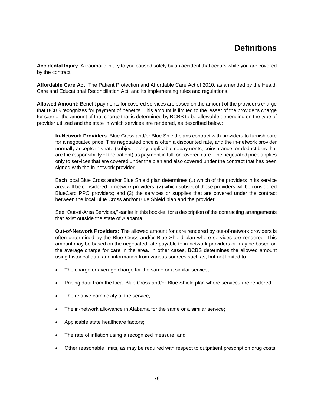# **Definitions**

**Accidental Injury**: A traumatic injury to you caused solely by an accident that occurs while you are covered by the contract.

**Affordable Care Act:** The Patient Protection and Affordable Care Act of 2010, as amended by the Health Care and Educational Reconciliation Act, and its implementing rules and regulations.

**Allowed Amount:** Benefit payments for covered services are based on the amount of the provider's charge that BCBS recognizes for payment of benefits. This amount is limited to the lesser of the provider's charge for care or the amount of that charge that is determined by BCBS to be allowable depending on the type of provider utilized and the state in which services are rendered, as described below:

**In-Network Providers**: Blue Cross and/or Blue Shield plans contract with providers to furnish care for a negotiated price. This negotiated price is often a discounted rate, and the in-network provider normally accepts this rate (subject to any applicable copayments, coinsurance, or deductibles that are the responsibility of the patient) as payment in full for covered care. The negotiated price applies only to services that are covered under the plan and also covered under the contract that has been signed with the in-network provider.

Each local Blue Cross and/or Blue Shield plan determines (1) which of the providers in its service area will be considered in-network providers; (2) which subset of those providers will be considered BlueCard PPO providers; and (3) the services or supplies that are covered under the contract between the local Blue Cross and/or Blue Shield plan and the provider.

See "Out-of-Area Services," earlier in this booklet, for a description of the contracting arrangements that exist outside the state of Alabama.

**Out-of-Network Providers:** The allowed amount for care rendered by out-of-network providers is often determined by the Blue Cross and/or Blue Shield plan where services are rendered. This amount may be based on the negotiated rate payable to in-network providers or may be based on the average charge for care in the area. In other cases, BCBS determines the allowed amount using historical data and information from various sources such as, but not limited to:

- The charge or average charge for the same or a similar service;
- Pricing data from the local Blue Cross and/or Blue Shield plan where services are rendered;
- The relative complexity of the service;
- The in-network allowance in Alabama for the same or a similar service;
- Applicable state healthcare factors;
- The rate of inflation using a recognized measure; and
- Other reasonable limits, as may be required with respect to outpatient prescription drug costs.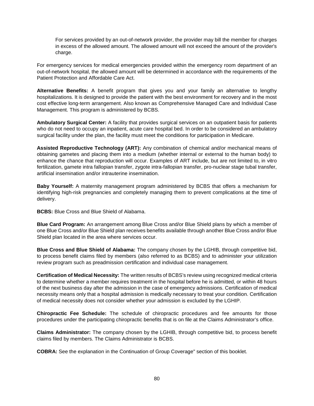For services provided by an out-of-network provider, the provider may bill the member for charges in excess of the allowed amount. The allowed amount will not exceed the amount of the provider's charge.

For emergency services for medical emergencies provided within the emergency room department of an out-of-network hospital, the allowed amount will be determined in accordance with the requirements of the Patient Protection and Affordable Care Act.

**Alternative Benefits:** A benefit program that gives you and your family an alternative to lengthy hospitalizations. It is designed to provide the patient with the best environment for recovery and in the most cost effective long-term arrangement. Also known as Comprehensive Managed Care and Individual Case Management. This program is administered by BCBS.

**Ambulatory Surgical Center:** A facility that provides surgical services on an outpatient basis for patients who do not need to occupy an inpatient, acute care hospital bed. In order to be considered an ambulatory surgical facility under the plan, the facility must meet the conditions for participation in Medicare.

**Assisted Reproductive Technology (ART):** Any combination of chemical and/or mechanical means of obtaining gametes and placing them into a medium (whether internal or external to the human body) to enhance the chance that reproduction will occur. Examples of ART include, but are not limited to, in vitro fertilization, gamete intra fallopian transfer, zygote intra-fallopian transfer, pro-nuclear stage tubal transfer, artificial insemination and/or intrauterine insemination.

**Baby Yourself:** A maternity management program administered by BCBS that offers a mechanism for identifying high-risk pregnancies and completely managing them to prevent complications at the time of delivery.

**BCBS:** Blue Cross and Blue Shield of Alabama.

**Blue Card Program:** An arrangement among Blue Cross and/or Blue Shield plans by which a member of one Blue Cross and/or Blue Shield plan receives benefits available through another Blue Cross and/or Blue Shield plan located in the area where services occur.

**Blue Cross and Blue Shield of Alabama:** The company chosen by the LGHIB, through competitive bid, to process benefit claims filed by members (also referred to as BCBS) and to administer your utilization review program such as preadmission certification and individual case management.

**Certification of Medical Necessity:** The written results of BCBS's review using recognized medical criteria to determine whether a member requires treatment in the hospital before he is admitted, or within 48 hours of the next business day after the admission in the case of emergency admissions. Certification of medical necessity means only that a hospital admission is medically necessary to treat your condition. Certification of medical necessity does not consider whether your admission is excluded by the LGHIP.

**Chiropractic Fee Schedule:** The schedule of chiropractic procedures and fee amounts for those procedures under the participating chiropractic benefits that is on file at the Claims Administrator's office.

**Claims Administrator:** The company chosen by the LGHIB, through competitive bid, to process benefit claims filed by members. The Claims Administrator is BCBS.

**COBRA:** See the explanation in the Continuation of Group Coverage" section of this booklet.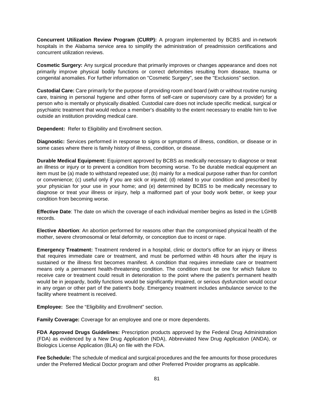**Concurrent Utilization Review Program (CURP):** A program implemented by BCBS and in-network hospitals in the Alabama service area to simplify the administration of preadmission certifications and concurrent utilization reviews.

**Cosmetic Surgery:** Any surgical procedure that primarily improves or changes appearance and does not primarily improve physical bodily functions or correct deformities resulting from disease, trauma or congenital anomalies. For further information on "Cosmetic Surgery", see the "Exclusions" section.

**Custodial Care:** Care primarily for the purpose of providing room and board (with or without routine nursing care, training in personal hygiene and other forms of self-care or supervisory care by a provider) for a person who is mentally or physically disabled. Custodial care does not include specific medical, surgical or psychiatric treatment that would reduce a member's disability to the extent necessary to enable him to live outside an institution providing medical care.

**Dependent:** Refer to Eligibility and Enrollment section.

**Diagnostic:** Services performed in response to signs or symptoms of illness, condition, or disease or in some cases where there is family history of illness, condition, or disease.

**Durable Medical Equipment:** Equipment approved by BCBS as medically necessary to diagnose or treat an illness or injury or to prevent a condition from becoming worse. To be durable medical equipment an item must be (a) made to withstand repeated use; (b) mainly for a medical purpose rather than for comfort or convenience; (c) useful only if you are sick or injured; (d) related to your condition and prescribed by your physician for your use in your home; and (e) determined by BCBS to be medically necessary to diagnose or treat your illness or injury, help a malformed part of your body work better, or keep your condition from becoming worse.

**Effective Date**: The date on which the coverage of each individual member begins as listed in the LGHIB records.

**Elective Abortion**: An abortion performed for reasons other than the compromised physical health of the mother, severe chromosomal or fetal deformity, or conception due to incest or rape.

**Emergency Treatment:** Treatment rendered in a hospital, clinic or doctor's office for an injury or illness that requires immediate care or treatment, and must be performed within 48 hours after the injury is sustained or the illness first becomes manifest. A condition that requires immediate care or treatment means only a permanent health-threatening condition. The condition must be one for which failure to receive care or treatment could result in deterioration to the point where the patient's permanent health would be in jeopardy, bodily functions would be significantly impaired, or serious dysfunction would occur in any organ or other part of the patient's body. Emergency treatment includes ambulance service to the facility where treatment is received.

**Employee:** See the "Eligibility and Enrollment" section.

**Family Coverage:** Coverage for an employee and one or more dependents.

**FDA Approved Drugs Guidelines:** Prescription products approved by the Federal Drug Administration (FDA) as evidenced by a New Drug Application (NDA), Abbreviated New Drug Application (ANDA), or Biologics License Application (BLA) on file with the FDA.

**Fee Schedule:** The schedule of medical and surgical procedures and the fee amounts for those procedures under the Preferred Medical Doctor program and other Preferred Provider programs as applicable.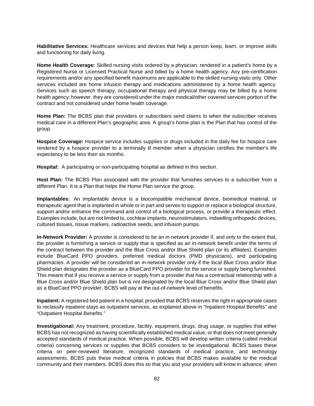**Habilitative Services:** Healthcare services and devices that help a person keep, learn, or improve skills and functioning for daily living.

**Home Health Coverage:** Skilled nursing visits ordered by a physician, rendered in a patient's home by a Registered Nurse or Licensed Practical Nurse and billed by a home health agency. Any pre-certification requirements and/or any specified benefit maximums are applicable to the skilled nursing visits only. Other services included are home infusion therapy and medications administered by a home health agency. Services such as speech therapy, occupational therapy and physical therapy may be billed by a home health agency; however, they are considered under the major medical/other covered services portion of the contract and not considered under home health coverage.

**Home Plan:** The BCBS plan that providers or subscribers send claims to when the subscriber receives medical care in a different Plan's geographic area. A group's home plan is the Plan that has control of the group.

**Hospice Coverage:** Hospice service includes supplies or drugs included in the daily fee for hospice care rendered by a hospice provider to a terminally ill member when a physician certifies the member's life expectancy to be less than six months.

**Hospital:** A participating or non-participating hospital as defined in this section.

**Host Plan:** The BCBS Plan associated with the provider that furnishes services to a subscriber from a different Plan. It is a Plan that helps the Home Plan service the group.

**Implantables:** An implantable device is a biocompatible mechanical device, biomedical material, or therapeutic agent that is implanted in whole or in part and serves to support or replace a biological structure, support and/or enhance the command and control of a biological process, or provide a therapeutic effect. Examples include, but are not limited to, cochlear implants, neurostimulators, indwelling orthopedic devices, cultured tissues, tissue markers, radioactive seeds, and infusion pumps.

**In-Network Provider:** A provider is considered to be an in-network provider if, and only to the extent that, the provider is furnishing a service or supply that is specified as an in-network benefit under the terms of the contract between the provider and the Blue Cross and/or Blue Shield plan (or its affiliates). Examples include BlueCard PPO providers, preferred medical doctors (PMD physicians), and participating pharmacies. A provider will be considered an in-network provider only if the local Blue Cross and/or Blue Shield plan designates the provider as a BlueCard PPO provider for the service or supply being furnished. This means that if you receive a service or supply from a provider that has a contractual relationship with a Blue Cross and/or Blue Shield plan but is not designated by the local Blue Cross and/or Blue Shield plan as a BlueCard PPO provider, BCBS will pay at the out-of-network level of benefits.

**Inpatient:** A registered bed patient in a hospital; provided that BCBS reserves the right in appropriate cases to reclassify inpatient stays as outpatient services, as explained above in "Inpatient Hospital Benefits" and "Outpatient Hospital Benefits."

**Investigational:** Any treatment, procedure, facility, equipment, drugs, drug usage, or supplies that either BCBS has not recognized as having scientifically established medical value, or that does not meet generally accepted standards of medical practice. When possible, BCBS will develop written criteria (called medical criteria) concerning services or supplies that BCBS considers to be investigational. BCBS bases these criteria on peer-reviewed literature, recognized standards of medical practice, and technology assessments. BCBS puts these medical criteria in policies that BCBS makes available to the medical community and their members. BCBS does this so that you and your providers will know in advance, when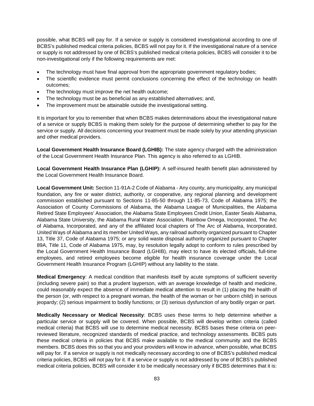possible, what BCBS will pay for. If a service or supply is considered investigational according to one of BCBS's published medical criteria policies, BCBS will not pay for it. If the investigational nature of a service or supply is not addressed by one of BCBS's published medical criteria policies, BCBS will consider it to be non-investigational only if the following requirements are met:

- The technology must have final approval from the appropriate government regulatory bodies;
- The scientific evidence must permit conclusions concerning the effect of the technology on health outcomes;
- The technology must improve the net health outcome;
- The technology must be as beneficial as any established alternatives; and,
- The improvement must be attainable outside the investigational setting.

It is important for you to remember that when BCBS makes determinations about the investigational nature of a service or supply BCBS is making them solely for the purpose of determining whether to pay for the service or supply. All decisions concerning your treatment must be made solely by your attending physician and other medical providers.

**Local Government Health Insurance Board (LGHIB):** The state agency charged with the administration of the Local Government Health Insurance Plan. This agency is also referred to as LGHIB.

**Local Government Health Insurance Plan (LGHIP):** A self-insured health benefit plan administered by the Local Government Health Insurance Board.

**Local Government Unit:** Section 11-91A-2 Code of Alabama - Any county, any municipality, any municipal foundation, any fire or water district, authority, or cooperative, any regional planning and development commission established pursuant to Sections 11-85-50 through 11-85-73, Code of Alabama 1975; the Association of County Commissions of Alabama, the Alabama League of Municipalities, the Alabama Retired State Employees' Association, the Alabama State Employees Credit Union, Easter Seals Alabama, Alabama State University, the Alabama Rural Water Association, Rainbow Omega, Incorporated, The Arc of Alabama, Incorporated, and any of the affiliated local chapters of The Arc of Alabama, Incorporated, United Ways of Alabama and its member United Ways, any railroad authority organized pursuant to Chapter 13, Title 37, Code of Alabama 1975; or any solid waste disposal authority organized pursuant to Chapter 89A, Title 11, Code of Alabama 1975, may, by resolution legally adopt to conform to rules prescribed by the Local Government Health Insurance Board (LGHIB), may elect to have its elected officials, full-time employees, and retired employees become eligible for health insurance coverage under the Local Government Health Insurance Program (LGHIP) without any liability to the state.

**Medical Emergency**: A medical condition that manifests itself by acute symptoms of sufficient severity (including severe pain) so that a prudent layperson, with an average knowledge of health and medicine, could reasonably expect the absence of immediate medical attention to result in (1) placing the health of the person (or, with respect to a pregnant woman, the health of the woman or her unborn child) in serious jeopardy; (2) serious impairment to bodily functions; or (3) serious dysfunction of any bodily organ or part.

**Medically Necessary or Medical Necessity**: BCBS uses these terms to help determine whether a particular service or supply will be covered. When possible, BCBS will develop written criteria (called medical criteria) that BCBS will use to determine medical necessity. BCBS bases these criteria on peerreviewed literature, recognized standards of medical practice, and technology assessments. BCBS puts these medical criteria in policies that BCBS make available to the medical community and the BCBS members. BCBS does this so that you and your providers will know in advance, when possible, what BCBS will pay for. If a service or supply is not medically necessary according to one of BCBS's published medical criteria policies, BCBS will not pay for it. If a service or supply is not addressed by one of BCBS's published medical criteria policies, BCBS will consider it to be medically necessary only if BCBS determines that it is: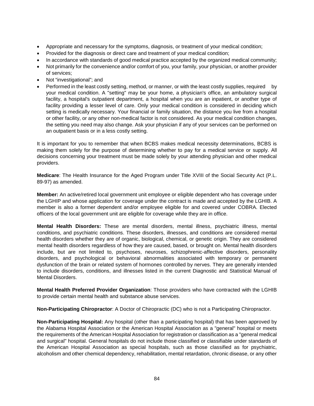- Appropriate and necessary for the symptoms, diagnosis, or treatment of your medical condition;
- Provided for the diagnosis or direct care and treatment of your medical condition;
- In accordance with standards of good medical practice accepted by the organized medical community;
- Not primarily for the convenience and/or comfort of you, your family, your physician, or another provider of services;
- Not "investigational"; and
- Performed in the least costly setting, method, or manner, or with the least costly supplies, required by your medical condition. A "setting" may be your home, a physician's office, an ambulatory surgical facility, a hospital's outpatient department, a hospital when you are an inpatient, or another type of facility providing a lesser level of care. Only your medical condition is considered in deciding which setting is medically necessary. Your financial or family situation, the distance you live from a hospital or other facility, or any other non-medical factor is not considered. As your medical condition changes, the setting you need may also change. Ask your physician if any of your services can be performed on an outpatient basis or in a less costly setting.

It is important for you to remember that when BCBS makes medical necessity determinations, BCBS is making them solely for the purpose of determining whether to pay for a medical service or supply. All decisions concerning your treatment must be made solely by your attending physician and other medical providers.

**Medicare**: The Health Insurance for the Aged Program under Title XVIII of the Social Security Act (P.L. 89-97) as amended.

**Member:** An active/retired local government unit employee or eligible dependent who has coverage under the LGHIP and whose application for coverage under the contract is made and accepted by the LGHIB. A member is also a former dependent and/or employee eligible for and covered under COBRA. Elected officers of the local government unit are eligible for coverage while they are in office.

**Mental Health Disorders:** These are mental disorders, mental illness, psychiatric illness, mental conditions, and psychiatric conditions. These disorders, illnesses, and conditions are considered mental health disorders whether they are of organic, biological, chemical, or genetic origin. They are considered mental health disorders regardless of how they are caused, based, or brought on. Mental health disorders include, but are not limited to, psychoses, neuroses, schizophrenic-affective disorders, personality disorders, and psychological or behavioral abnormalities associated with temporary or permanent dysfunction of the brain or related system of hormones controlled by nerves. They are generally intended to include disorders, conditions, and illnesses listed in the current Diagnostic and Statistical Manual of Mental Disorders.

**Mental Health Preferred Provider Organization**: Those providers who have contracted with the LGHIB to provide certain mental health and substance abuse services.

**Non-Participating Chiropractor**: A Doctor of Chiropractic (DC) who is not a Participating Chiropractor.

**Non-Participating Hospital:** Any hospital (other than a participating hospital) that has been approved by the Alabama Hospital Association or the American Hospital Association as a "general" hospital or meets the requirements of the American Hospital Association for registration or classification as a "general medical and surgical" hospital. General hospitals do not include those classified or classifiable under standards of the American Hospital Association as special hospitals, such as those classified as for psychiatric, alcoholism and other chemical dependency, rehabilitation, mental retardation, chronic disease, or any other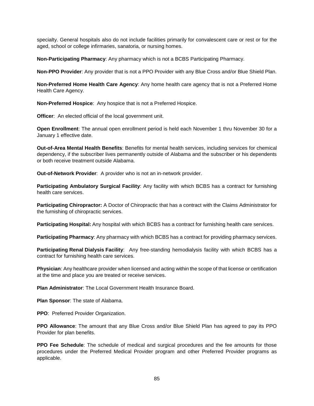specialty. General hospitals also do not include facilities primarily for convalescent care or rest or for the aged, school or college infirmaries, sanatoria, or nursing homes.

**Non-Participating Pharmacy**: Any pharmacy which is not a BCBS Participating Pharmacy.

**Non-PPO Provider**: Any provider that is not a PPO Provider with any Blue Cross and/or Blue Shield Plan.

**Non-Preferred Home Health Care Agency**: Any home health care agency that is not a Preferred Home Health Care Agency.

**Non-Preferred Hospice**: Any hospice that is not a Preferred Hospice.

**Officer:** An elected official of the local government unit.

**Open Enrollment**: The annual open enrollment period is held each November 1 thru November 30 for a January 1 effective date.

**Out-of-Area Mental Health Benefits**: Benefits for mental health services, including services for chemical dependency, if the subscriber lives permanently outside of Alabama and the subscriber or his dependents or both receive treatment outside Alabama.

**Out-of-Network Provider**: A provider who is not an in-network provider.

**Participating Ambulatory Surgical Facility**: Any facility with which BCBS has a contract for furnishing health care services.

**Participating Chiropractor:** A Doctor of Chiropractic that has a contract with the Claims Administrator for the furnishing of chiropractic services.

**Participating Hospital:** Any hospital with which BCBS has a contract for furnishing health care services.

**Participating Pharmacy**: Any pharmacy with which BCBS has a contract for providing pharmacy services.

**Participating Renal Dialysis Facility**: Any free-standing hemodialysis facility with which BCBS has a contract for furnishing health care services.

**Physician**: Any healthcare provider when licensed and acting within the scope of that license or certification at the time and place you are treated or receive services.

**Plan Administrator**: The Local Government Health Insurance Board.

**Plan Sponsor**: The state of Alabama.

**PPO**: Preferred Provider Organization.

**PPO Allowance**: The amount that any Blue Cross and/or Blue Shield Plan has agreed to pay its PPO Provider for plan benefits.

**PPO Fee Schedule**: The schedule of medical and surgical procedures and the fee amounts for those procedures under the Preferred Medical Provider program and other Preferred Provider programs as applicable.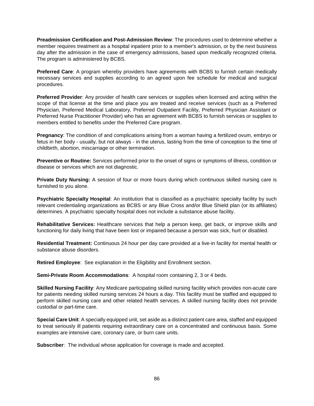**Preadmission Certification and Post-Admission Review**: The procedures used to determine whether a member requires treatment as a hospital inpatient prior to a member's admission, or by the next business day after the admission in the case of emergency admissions, based upon medically recognized criteria. The program is administered by BCBS.

**Preferred Care**: A program whereby providers have agreements with BCBS to furnish certain medically necessary services and supplies according to an agreed upon fee schedule for medical and surgical procedures.

**Preferred Provider**: Any provider of health care services or supplies when licensed and acting within the scope of that license at the time and place you are treated and receive services (such as a Preferred Physician, Preferred Medical Laboratory, Preferred Outpatient Facility, Preferred Physician Assistant or Preferred Nurse Practitioner Provider) who has an agreement with BCBS to furnish services or supplies to members entitled to benefits under the Preferred Care program.

**Pregnancy**: The condition of and complications arising from a woman having a fertilized ovum, embryo or fetus in her body - usually, but not always - in the uterus, lasting from the time of conception to the time of childbirth, abortion, miscarriage or other termination.

**Preventive or Routine:** Services performed prior to the onset of signs or symptoms of illness, condition or disease or services which are not diagnostic.

**Private Duty Nursing:** A session of four or more hours during which continuous skilled nursing care is furnished to you alone.

**Psychiatric Specialty Hospital**: An institution that is classified as a psychiatric specialty facility by such relevant credentialing organizations as BCBS or any Blue Cross and/or Blue Shield plan (or its affiliates) determines. A psychiatric specialty hospital does not include a substance abuse facility.

**Rehabilitative Services:** Healthcare services that help a person keep, get back, or improve skills and functioning for daily living that have been lost or impaired because a person was sick, hurt or disabled.

**Residential Treatment:** Continuous 24 hour per day care provided at a live-in facility for mental health or substance abuse disorders.

**Retired Employee**: See explanation in the Eligibility and Enrollment section.

**Semi-Private Room Accommodations**: A hospital room containing 2, 3 or 4 beds.

**Skilled Nursing Facility**: Any Medicare participating skilled nursing facility which provides non-acute care for patients needing skilled nursing services 24 hours a day. This facility must be staffed and equipped to perform skilled nursing care and other related health services. A skilled nursing facility does not provide custodial or part-time care.

**Special Care Unit**: A specially equipped unit, set aside as a distinct patient care area, staffed and equipped to treat seriously ill patients requiring extraordinary care on a concentrated and continuous basis. Some examples are intensive care, coronary care, or burn care units.

**Subscriber**: The individual whose application for coverage is made and accepted.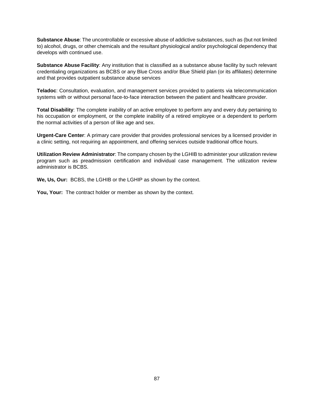**Substance Abuse**: The uncontrollable or excessive abuse of addictive substances, such as (but not limited to) alcohol, drugs, or other chemicals and the resultant physiological and/or psychological dependency that develops with continued use.

**Substance Abuse Facility**: Any institution that is classified as a substance abuse facility by such relevant credentialing organizations as BCBS or any Blue Cross and/or Blue Shield plan (or its affiliates) determine and that provides outpatient substance abuse services

**Teladoc**: Consultation, evaluation, and management services provided to patients via telecommunication systems with or without personal face-to-face interaction between the patient and healthcare provider.

**Total Disability**: The complete inability of an active employee to perform any and every duty pertaining to his occupation or employment, or the complete inability of a retired employee or a dependent to perform the normal activities of a person of like age and sex.

**Urgent-Care Center**: A primary care provider that provides professional services by a licensed provider in a clinic setting, not requiring an appointment, and offering services outside traditional office hours.

**Utilization Review Administrator**: The company chosen by the LGHIB to administer your utilization review program such as preadmission certification and individual case management. The utilization review administrator is BCBS.

**We, Us, Our:** BCBS, the LGHIB or the LGHIP as shown by the context.

**You, Your:** The contract holder or member as shown by the context.